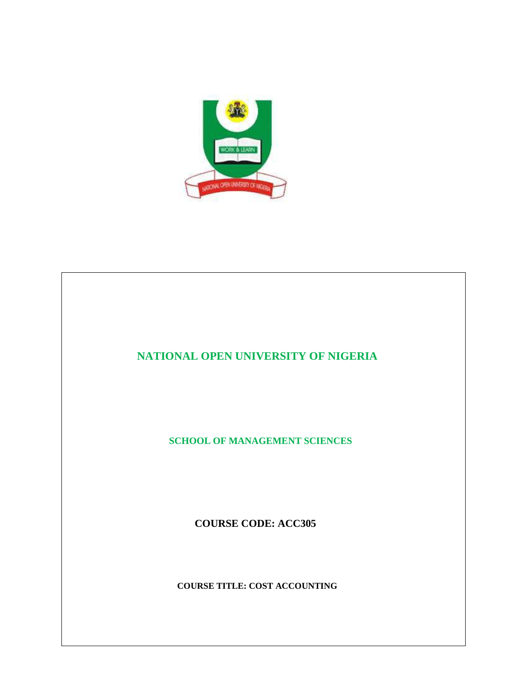

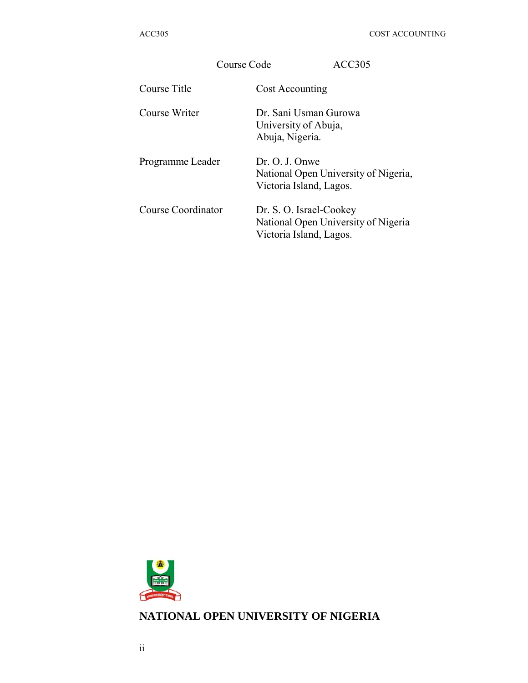| Course Code        |                                                                                           | ACC305                               |
|--------------------|-------------------------------------------------------------------------------------------|--------------------------------------|
| Course Title       | Cost Accounting                                                                           |                                      |
| Course Writer      | Dr. Sani Usman Gurowa<br>University of Abuja,<br>Abuja, Nigeria.                          |                                      |
| Programme Leader   | Dr. O. J. Onwe<br>Victoria Island, Lagos.                                                 | National Open University of Nigeria, |
| Course Coordinator | Dr. S. O. Israel-Cookey<br>National Open University of Nigeria<br>Victoria Island, Lagos. |                                      |



**NATIONAL OPEN UNIVERSITY OF NIGERIA**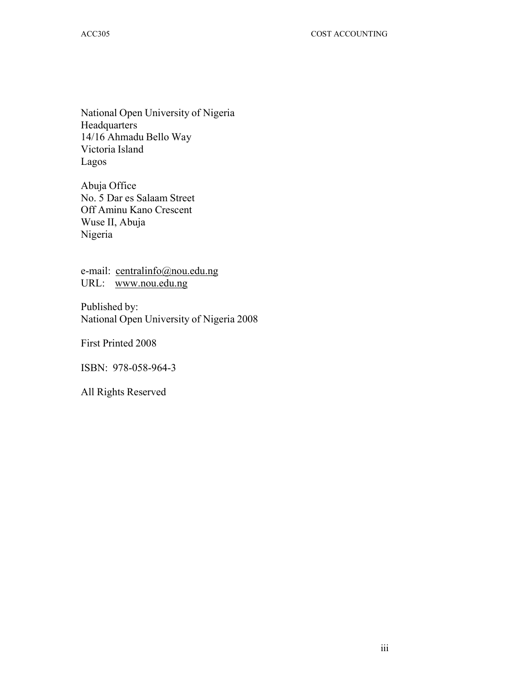National Open University of Nigeria **Headquarters** 14/16 Ahmadu Bello Way Victoria Island Lagos

Abuja Office No. 5 Dar es Salaam Street Off Aminu Kano Crescent Wuse II, Abuja Nigeria

e-mail: centralinfo@nou.edu.ng URL: www.nou.edu.ng

Published by: National Open University of Nigeria 2008

First Printed 2008

ISBN: 978-058-964-3

All Rights Reserved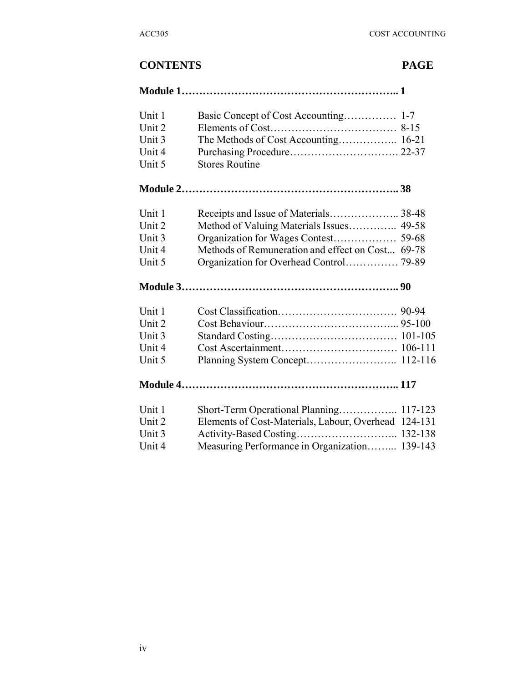# **CONTENTS PAGE**

| Unit 1 |                                                      |  |
|--------|------------------------------------------------------|--|
| Unit 2 |                                                      |  |
| Unit 3 | The Methods of Cost Accounting 16-21                 |  |
| Unit 4 |                                                      |  |
| Unit 5 | <b>Stores Routine</b>                                |  |
|        |                                                      |  |
| Unit 1 |                                                      |  |
| Unit 2 | Method of Valuing Materials Issues 49-58             |  |
| Unit 3 |                                                      |  |
| Unit 4 | Methods of Remuneration and effect on Cost 69-78     |  |
| Unit 5 |                                                      |  |
|        |                                                      |  |
| Unit 1 |                                                      |  |
| Unit 2 |                                                      |  |
| Unit 3 |                                                      |  |
| Unit 4 |                                                      |  |
| Unit 5 |                                                      |  |
|        |                                                      |  |
| Unit 1 | Short-Term Operational Planning 117-123              |  |
| Unit 2 | Elements of Cost-Materials, Labour, Overhead 124-131 |  |
| Unit 3 |                                                      |  |
| Unit 4 | Measuring Performance in Organization 139-143        |  |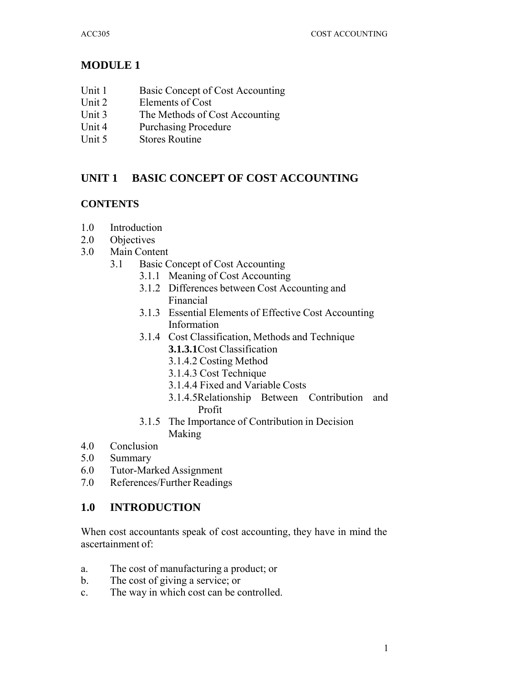# **MODULE 1**

- Unit 1 Basic Concept of Cost Accounting
- Unit 2 Elements of Cost
- Unit 3 The Methods of Cost Accounting
- Unit 4 Purchasing Procedure
- Unit 5 Stores Routine

# **UNIT 1 BASIC CONCEPT OF COST ACCOUNTING**

## **CONTENTS**

- 1.0 Introduction
- 2.0 Objectives
- 3.0 Main Content
	- 3.1 Basic Concept of Cost Accounting
		- 3.1.1 Meaning of Cost Accounting
		- 3.1.2 Differences between Cost Accounting and Financial
		- 3.1.3 Essential Elements of Effective Cost Accounting Information
		- 3.1.4 Cost Classification, Methods and Technique
			- **3.1.3.1**Cost Classification
			- 3.1.4.2 Costing Method
			- 3.1.4.3 Cost Technique
			- 3.1.4.4 Fixed and Variable Costs
			- 3.1.4.5Relationship Between Contribution and Profit
		- 3.1.5 The Importance of Contribution in Decision Making
- 4.0 Conclusion
- 5.0 Summary
- 6.0 Tutor-Marked Assignment
- 7.0 References/Further Readings

# **1.0 INTRODUCTION**

When cost accountants speak of cost accounting, they have in mind the ascertainment of:

- a. The cost of manufacturing a product; or
- b. The cost of giving a service; or
- c. The way in which cost can be controlled.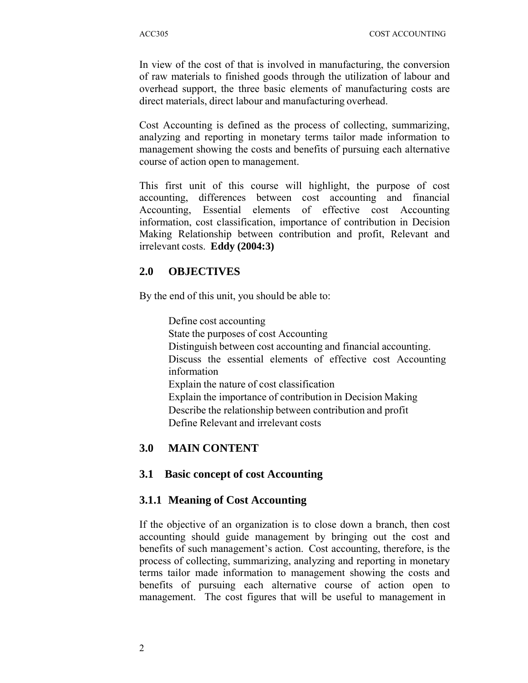In view of the cost of that is involved in manufacturing, the conversion of raw materials to finished goods through the utilization of labour and overhead support, the three basic elements of manufacturing costs are direct materials, direct labour and manufacturing overhead.

Cost Accounting is defined as the process of collecting, summarizing, analyzing and reporting in monetary terms tailor made information to management showing the costs and benefits of pursuing each alternative course of action open to management.

This first unit of this course will highlight, the purpose of cost accounting, differences between cost accounting and financial Accounting, Essential elements of effective cost Accounting information, cost classification, importance of contribution in Decision Making Relationship between contribution and profit, Relevant and irrelevant costs. **Eddy (2004:3)**

## **2.0 OBJECTIVES**

By the end of this unit, you should be able to:

Define cost accounting State the purposes of cost Accounting Distinguish between cost accounting and financial accounting. Discuss the essential elements of effective cost Accounting information Explain the nature of cost classification Explain the importance of contribution in Decision Making Describe the relationship between contribution and profit Define Relevant and irrelevant costs

## **3.0 MAIN CONTENT**

#### **3.1 Basic concept of cost Accounting**

#### **3.1.1 Meaning of Cost Accounting**

If the objective of an organization is to close down a branch, then cost accounting should guide management by bringing out the cost and benefits of such management's action. Cost accounting, therefore, is the process of collecting, summarizing, analyzing and reporting in monetary terms tailor made information to management showing the costs and benefits of pursuing each alternative course of action open to management. The cost figures that will be useful to management in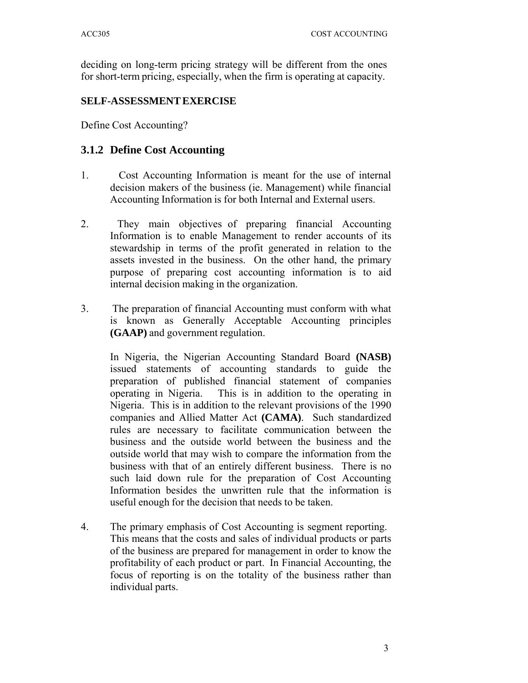deciding on long-term pricing strategy will be different from the ones for short-term pricing, especially, when the firm is operating at capacity.

## **SELF-ASSESSMENT EXERCISE**

Define Cost Accounting?

# **3.1.2 Define Cost Accounting**

- 1. Cost Accounting Information is meant for the use of internal decision makers of the business (ie. Management) while financial Accounting Information is for both Internal and External users.
- 2. They main objectives of preparing financial Accounting Information is to enable Management to render accounts of its stewardship in terms of the profit generated in relation to the assets invested in the business. On the other hand, the primary purpose of preparing cost accounting information is to aid internal decision making in the organization.
- 3. The preparation of financial Accounting must conform with what is known as Generally Acceptable Accounting principles **(GAAP)** and government regulation.

In Nigeria, the Nigerian Accounting Standard Board **(NASB)**  issued statements of accounting standards to guide the preparation of published financial statement of companies operating in Nigeria. This is in addition to the operating in Nigeria. This is in addition to the relevant provisions of the 1990 companies and Allied Matter Act **(CAMA)**. Such standardized rules are necessary to facilitate communication between the business and the outside world between the business and the outside world that may wish to compare the information from the business with that of an entirely different business. There is no such laid down rule for the preparation of Cost Accounting Information besides the unwritten rule that the information is useful enough for the decision that needs to be taken.

4. The primary emphasis of Cost Accounting is segment reporting. This means that the costs and sales of individual products or parts of the business are prepared for management in order to know the profitability of each product or part. In Financial Accounting, the focus of reporting is on the totality of the business rather than individual parts.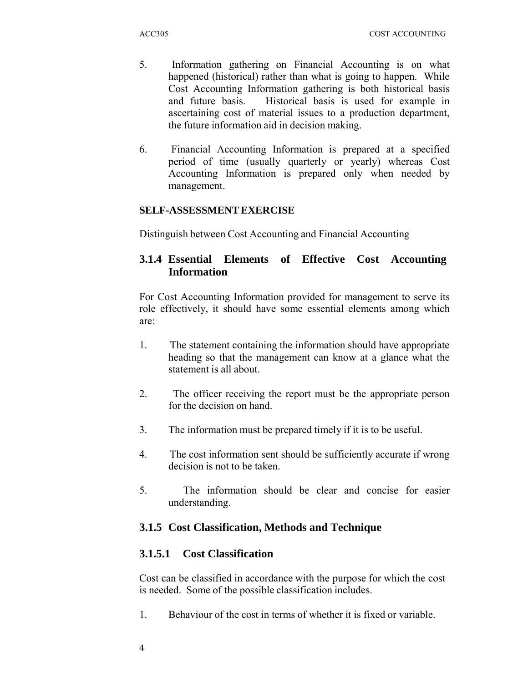- 5. Information gathering on Financial Accounting is on what happened (historical) rather than what is going to happen. While Cost Accounting Information gathering is both historical basis and future basis. Historical basis is used for example in ascertaining cost of material issues to a production department, the future information aid in decision making.
- 6. Financial Accounting Information is prepared at a specified period of time (usually quarterly or yearly) whereas Cost Accounting Information is prepared only when needed by management.

### **SELF-ASSESSMENT EXERCISE**

Distinguish between Cost Accounting and Financial Accounting

# **3.1.4 Essential Elements of Effective Cost Accounting Information**

For Cost Accounting Information provided for management to serve its role effectively, it should have some essential elements among which are:

- 1. The statement containing the information should have appropriate heading so that the management can know at a glance what the statement is all about.
- 2. The officer receiving the report must be the appropriate person for the decision on hand.
- 3. The information must be prepared timely if it is to be useful.
- 4. The cost information sent should be sufficiently accurate if wrong decision is not to be taken.
- 5. The information should be clear and concise for easier understanding.

## **3.1.5 Cost Classification, Methods and Technique**

## **3.1.5.1 Cost Classification**

Cost can be classified in accordance with the purpose for which the cost is needed. Some of the possible classification includes.

1. Behaviour of the cost in terms of whether it is fixed or variable.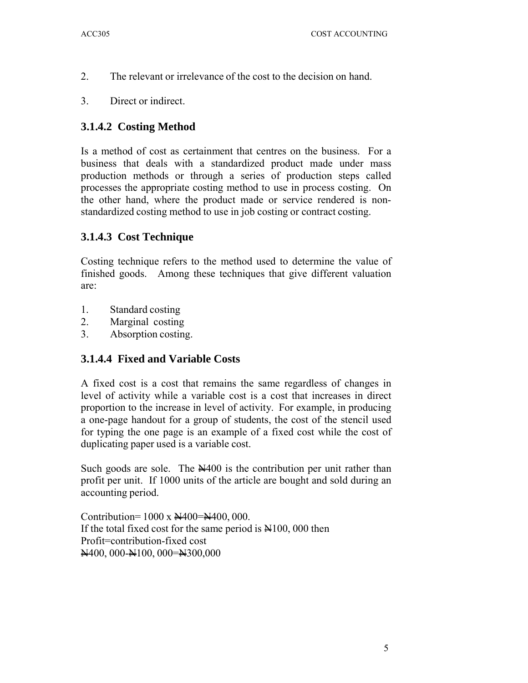- 2. The relevant or irrelevance of the cost to the decision on hand.
- 3. Direct or indirect.

# **3.1.4.2 Costing Method**

Is a method of cost as certainment that centres on the business. For a business that deals with a standardized product made under mass production methods or through a series of production steps called processes the appropriate costing method to use in process costing. On the other hand, where the product made or service rendered is nonstandardized costing method to use in job costing or contract costing.

# **3.1.4.3 Cost Technique**

Costing technique refers to the method used to determine the value of finished goods. Among these techniques that give different valuation are:

- 1. Standard costing
- 2. Marginal costing
- 3. Absorption costing.

# **3.1.4.4 Fixed and Variable Costs**

A fixed cost is a cost that remains the same regardless of changes in level of activity while a variable cost is a cost that increases in direct proportion to the increase in level of activity. For example, in producing a one-page handout for a group of students, the cost of the stencil used for typing the one page is an example of a fixed cost while the cost of duplicating paper used is a variable cost.

Such goods are sole. The  $\cancel{0.4400}$  is the contribution per unit rather than profit per unit. If 1000 units of the article are bought and sold during an accounting period.

Contribution=  $1000 \times \frac{N400}{N400}$   $\frac{N400}{N}$ . If the total fixed cost for the same period is  $\frac{1}{2}$  100, 000 then Profit=contribution-fixed cost N400, 000-N100, 000=N300,000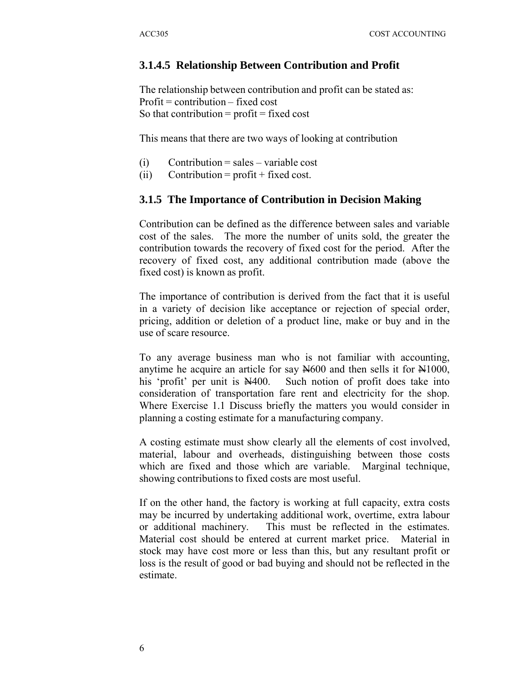# **3.1.4.5 Relationship Between Contribution and Profit**

The relationship between contribution and profit can be stated as:  $Profit = contribution - fixed cost$ So that contribution  $=$  profit  $=$  fixed cost

This means that there are two ways of looking at contribution

- $(i)$  Contribution = sales variable cost
- (ii) Contribution =  $profit + fixed cost$ .

## **3.1.5 The Importance of Contribution in Decision Making**

Contribution can be defined as the difference between sales and variable cost of the sales. The more the number of units sold, the greater the contribution towards the recovery of fixed cost for the period. After the recovery of fixed cost, any additional contribution made (above the fixed cost) is known as profit.

The importance of contribution is derived from the fact that it is useful in a variety of decision like acceptance or rejection of special order, pricing, addition or deletion of a product line, make or buy and in the use of scare resource.

To any average business man who is not familiar with accounting, anytime he acquire an article for say  $\frac{N}{000}$  and then sells it for  $\frac{N}{1000}$ , his 'profit' per unit is  $\mathbb{N}400$ . Such notion of profit does take into consideration of transportation fare rent and electricity for the shop. Where Exercise 1.1 Discuss briefly the matters you would consider in planning a costing estimate for a manufacturing company.

A costing estimate must show clearly all the elements of cost involved, material, labour and overheads, distinguishing between those costs which are fixed and those which are variable. Marginal technique, showing contributions to fixed costs are most useful.

If on the other hand, the factory is working at full capacity, extra costs may be incurred by undertaking additional work, overtime, extra labour or additional machinery. This must be reflected in the estimates. Material cost should be entered at current market price. Material in stock may have cost more or less than this, but any resultant profit or loss is the result of good or bad buying and should not be reflected in the estimate.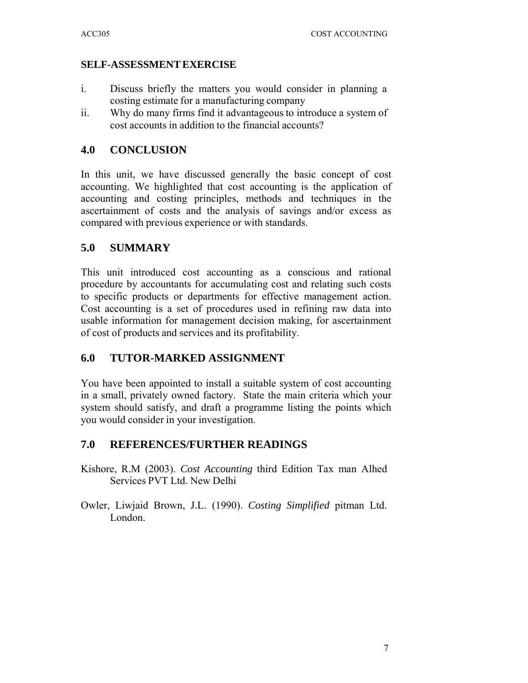## **SELF-ASSESSMENT EXERCISE**

- i. Discuss briefly the matters you would consider in planning a costing estimate for a manufacturing company
- ii. Why do many firms find it advantageous to introduce a system of cost accounts in addition to the financial accounts?

# **4.0 CONCLUSION**

In this unit, we have discussed generally the basic concept of cost accounting. We highlighted that cost accounting is the application of accounting and costing principles, methods and techniques in the ascertainment of costs and the analysis of savings and/or excess as compared with previous experience or with standards.

# **5.0 SUMMARY**

This unit introduced cost accounting as a conscious and rational procedure by accountants for accumulating cost and relating such costs to specific products or departments for effective management action. Cost accounting is a set of procedures used in refining raw data into usable information for management decision making, for ascertainment of cost of products and services and its profitability.

# **6.0 TUTOR-MARKED ASSIGNMENT**

You have been appointed to install a suitable system of cost accounting in a small, privately owned factory. State the main criteria which your system should satisfy, and draft a programme listing the points which you would consider in your investigation.

# **7.0 REFERENCES/FURTHER READINGS**

- Kishore, R.M (2003). *Cost Accounting* third Edition Tax man Alhed Services PVT Ltd. New Delhi
- Owler, Liwjaid Brown, J.L. (1990). *Costing Simplified* pitman Ltd. London.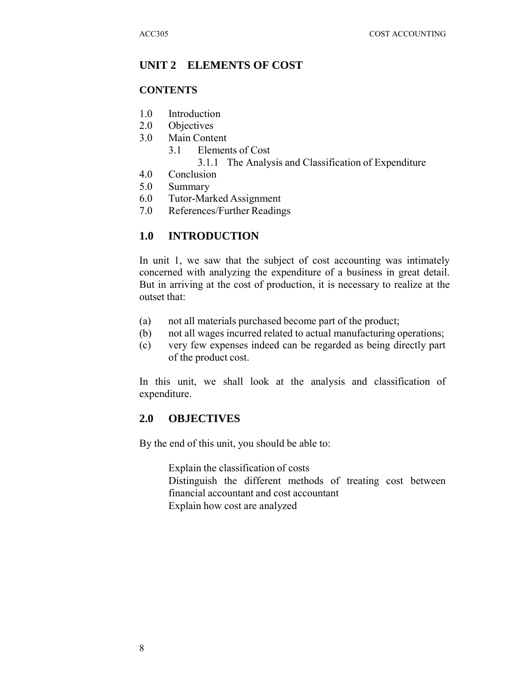## **UNIT 2 ELEMENTS OF COST**

#### **CONTENTS**

- 1.0 Introduction
- 2.0 Objectives
- 3.0 Main Content
	- 3.1 Elements of Cost
		- 3.1.1 The Analysis and Classification of Expenditure
- 4.0 Conclusion
- 5.0 Summary
- 6.0 Tutor-Marked Assignment
- 7.0 References/Further Readings

# **1.0 INTRODUCTION**

In unit 1, we saw that the subject of cost accounting was intimately concerned with analyzing the expenditure of a business in great detail. But in arriving at the cost of production, it is necessary to realize at the outset that:

- (a) not all materials purchased become part of the product;
- (b) not all wages incurred related to actual manufacturing operations;
- (c) very few expenses indeed can be regarded as being directly part of the product cost.

In this unit, we shall look at the analysis and classification of expenditure.

## **2.0 OBJECTIVES**

By the end of this unit, you should be able to:

Explain the classification of costs Distinguish the different methods of treating cost between financial accountant and cost accountant Explain how cost are analyzed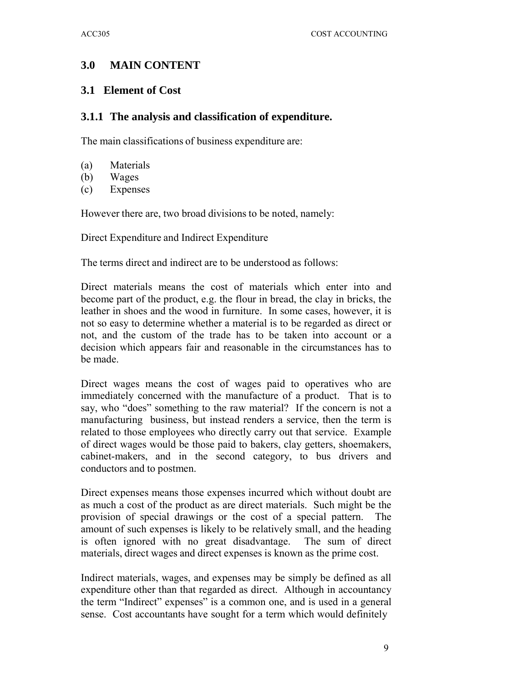# **3.0 MAIN CONTENT**

## **3.1 Element of Cost**

## **3.1.1 The analysis and classification of expenditure.**

The main classifications of business expenditure are:

- (a) Materials
- (b) Wages
- (c) Expenses

However there are, two broad divisions to be noted, namely:

Direct Expenditure and Indirect Expenditure

The terms direct and indirect are to be understood as follows:

Direct materials means the cost of materials which enter into and become part of the product, e.g. the flour in bread, the clay in bricks, the leather in shoes and the wood in furniture. In some cases, however, it is not so easy to determine whether a material is to be regarded as direct or not, and the custom of the trade has to be taken into account or a decision which appears fair and reasonable in the circumstances has to be made.

Direct wages means the cost of wages paid to operatives who are immediately concerned with the manufacture of a product. That is to say, who "does" something to the raw material? If the concern is not a manufacturing business, but instead renders a service, then the term is related to those employees who directly carry out that service. Example of direct wages would be those paid to bakers, clay getters, shoemakers, cabinet-makers, and in the second category, to bus drivers and conductors and to postmen.

Direct expenses means those expenses incurred which without doubt are as much a cost of the product as are direct materials. Such might be the provision of special drawings or the cost of a special pattern. The amount of such expenses is likely to be relatively small, and the heading is often ignored with no great disadvantage. The sum of direct materials, direct wages and direct expenses is known as the prime cost.

Indirect materials, wages, and expenses may be simply be defined as all expenditure other than that regarded as direct. Although in accountancy the term "Indirect" expenses" is a common one, and is used in a general sense. Cost accountants have sought for a term which would definitely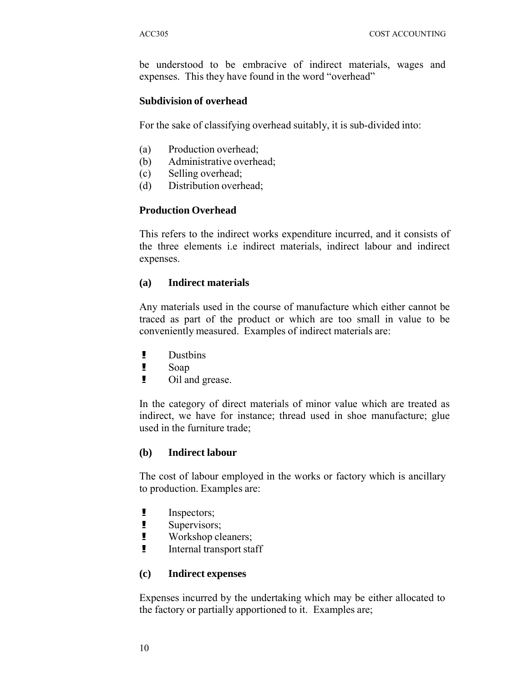be understood to be embracive of indirect materials, wages and expenses. This they have found in the word "overhead"

### **Subdivision of overhead**

For the sake of classifying overhead suitably, it is sub-divided into:

- (a) Production overhead;
- (b) Administrative overhead;
- (c) Selling overhead;
- (d) Distribution overhead;

#### **Production Overhead**

This refers to the indirect works expenditure incurred, and it consists of the three elements i.e indirect materials, indirect labour and indirect expenses.

#### **(a) Indirect materials**

Any materials used in the course of manufacture which either cannot be traced as part of the product or which are too small in value to be conveniently measured. Examples of indirect materials are:

- $\frac{1}{\epsilon}$  Dustbins  $\frac{1}{2}$  Dustb<br>Soap
- 
- **!** Dustbins<br> **!** Soap<br>
Oil and grease.

In the category of direct materials of minor value which are treated as indirect, we have for instance; thread used in shoe manufacture; glue used in the furniture trade;

#### **(b) Indirect labour**

The cost of labour employed in the works or factory which is ancillary to production. Examples are:

- **I** Inspectors;
- 
- **E** Supervisors;<br>Workshop cl **!** Workshop cleaners;<br>**!** Internal transport sta
- Internal transport staff

#### **(c) Indirect expenses**

Expenses incurred by the undertaking which may be either allocated to the factory or partially apportioned to it. Examples are;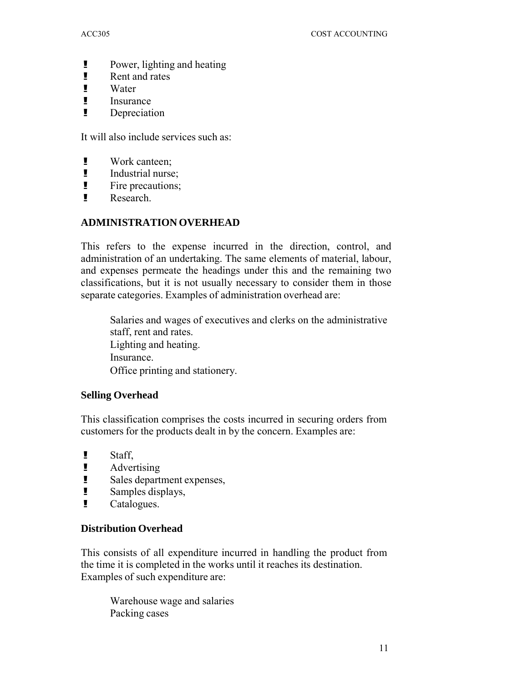- ! Power, lighting and heating **!** Power, lighting<br>Rent and rates **E** Power, lighting<br> **Rent and rates**<br> **E** Water<br> **E** Insurance
- 
- 
- **!** Insurance
- **Depreciation**

It will also include services such as:

- **!** Work canteen;<br>**!** Industrial nurse
- 
- **I** Industrial nurse;<br>**I** Fire precautions: Profit can<br> **Profit contract to the Exerce** Fire precautions; Prime Fire precal<br>
Prime Prime Research.
- 

### **ADMINISTRATION OVERHEAD**

This refers to the expense incurred in the direction, control, and administration of an undertaking. The same elements of material, labour, and expenses permeate the headings under this and the remaining two classifications, but it is not usually necessary to consider them in those separate categories. Examples of administration overhead are:

Salaries and wages of executives and clerks on the administrative staff, rent and rates. Lighting and heating. **Insurance** Office printing and stationery.

#### **Selling Overhead**

This classification comprises the costs incurred in securing orders from customers for the products dealt in by the concern. Examples are:

- **!** Staff,<br>**!** Adver
- 
- **1** Advertising<br>**1** Sales depart Sales department expenses,<br>
Samples displays E Sales department e<br>
Samples displays,
- E Sales depart<br>
Samples disp<br>
Catalogues.
- 

#### **Distribution Overhead**

This consists of all expenditure incurred in handling the product from the time it is completed in the works until it reaches its destination. Examples of such expenditure are:

Warehouse wage and salaries Packing cases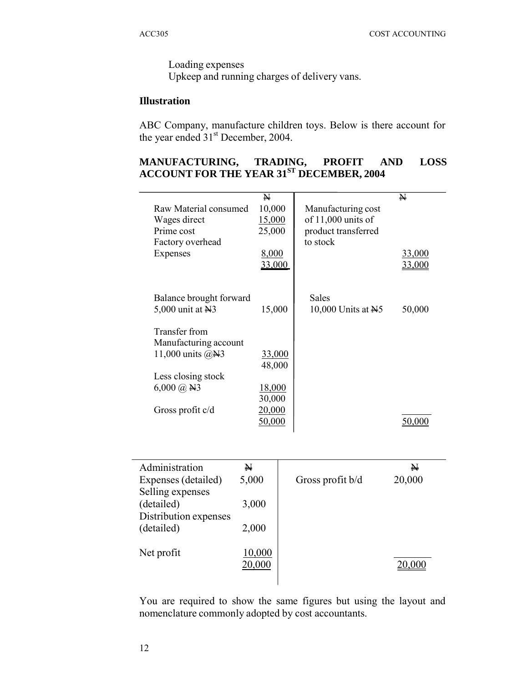Loading expenses

Upkeep and running charges of delivery vans.

## **Illustration**

ABC Company, manufacture children toys. Below is there account for the year ended 31<sup>st</sup> December, 2004.

#### **MANUFACTURING, TRADING, PROFIT AND LOSS ACCOUNT FOR THE YEAR 31ST DECEMBER, 2004**

|                         | N      |                      | N      |
|-------------------------|--------|----------------------|--------|
|                         |        |                      |        |
| Raw Material consumed   | 10,000 | Manufacturing cost   |        |
| Wages direct            | 15,000 | of $11,000$ units of |        |
| Prime cost              | 25,000 | product transferred  |        |
| Factory overhead        |        | to stock             |        |
| Expenses                | 8,000  |                      | 33,000 |
|                         |        |                      |        |
|                         | 33,000 |                      | 33,000 |
|                         |        |                      |        |
|                         |        |                      |        |
| Balance brought forward |        | <b>Sales</b>         |        |
| 5,000 unit at $N3$      | 15,000 | 10,000 Units at N5   | 50,000 |
|                         |        |                      |        |
| Transfer from           |        |                      |        |
|                         |        |                      |        |
| Manufacturing account   |        |                      |        |
| 11,000 units $(a)$ N3   | 33,000 |                      |        |
|                         | 48,000 |                      |        |
| Less closing stock      |        |                      |        |
| $6,000 \ (\omega \)$ N3 | 18,000 |                      |        |
|                         | 30,000 |                      |        |
|                         |        |                      |        |
| Gross profit c/d        | 20,000 |                      |        |
|                         | 50,000 |                      | 50.000 |

| Administration        | Ħ      |                  | Ħ      |
|-----------------------|--------|------------------|--------|
| Expenses (detailed)   | 5,000  | Gross profit b/d | 20,000 |
| Selling expenses      |        |                  |        |
| (detailed)            | 3,000  |                  |        |
| Distribution expenses |        |                  |        |
| (detailed)            | 2,000  |                  |        |
|                       |        |                  |        |
| Net profit            | 10,000 |                  |        |
|                       | 20,000 |                  |        |
|                       |        |                  |        |
|                       |        |                  |        |

You are required to show the same figures but using the layout and nomenclature commonly adopted by cost accountants.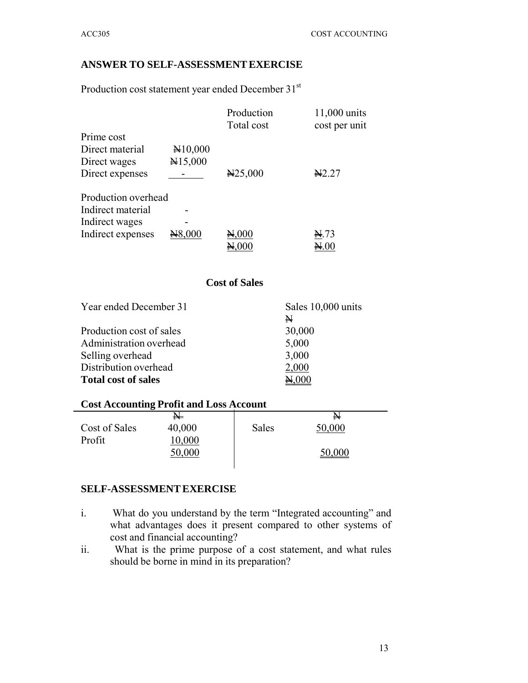### **ANSWER TO SELF-ASSESSMENT EXERCISE**

Production cost statement year ended December 31st

|                     |         | Production<br>Total cost     | 11,000 units<br>cost per unit |
|---------------------|---------|------------------------------|-------------------------------|
| Prime cost          |         |                              |                               |
| Direct material     | H10,000 |                              |                               |
| Direct wages        | H15,000 |                              |                               |
| Direct expenses     |         | $\text{H}25,000$             | H2.27                         |
| Production overhead |         |                              |                               |
| Indirect material   |         |                              |                               |
| Indirect wages      |         |                              |                               |
| Indirect expenses   | H8,000  | A,000                        | N.73                          |
|                     |         | $\mathbf{N}_{\mathrm{c}}000$ | A.00                          |

#### **Cost of Sales**

| Year ended December 31     | Sales 10,000 units |
|----------------------------|--------------------|
|                            | N                  |
| Production cost of sales   | 30,000             |
| Administration overhead    | 5,000              |
| Selling overhead           | 3,000              |
| Distribution overhead      | 2,000              |
| <b>Total cost of sales</b> | $\triangle 000$    |

# **Cost Accounting Profit and Loss Account**

|               | ₩      |              | N      |
|---------------|--------|--------------|--------|
| Cost of Sales | 40,000 | <b>Sales</b> | 50,000 |
| Profit        | 10,000 |              |        |
|               | 50,000 |              | 50,000 |
|               |        |              |        |

#### **SELF-ASSESSMENT EXERCISE**

- i. What do you understand by the term "Integrated accounting" and what advantages does it present compared to other systems of cost and financial accounting?
- ii. What is the prime purpose of a cost statement, and what rules should be borne in mind in its preparation?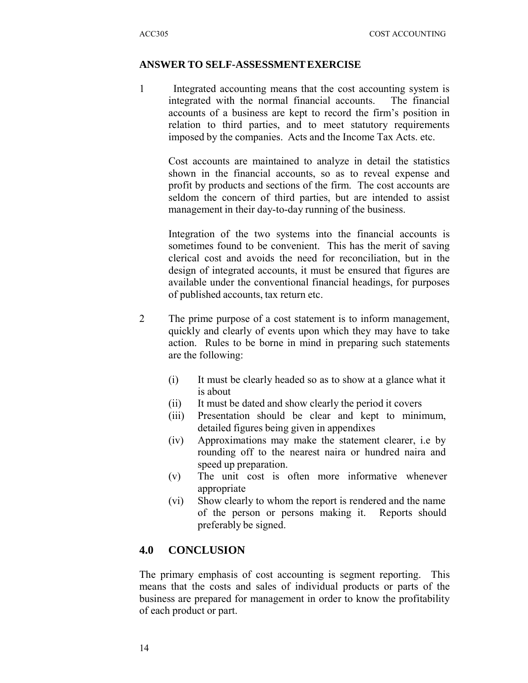#### **ANSWER TO SELF-ASSESSMENT EXERCISE**

1 Integrated accounting means that the cost accounting system is integrated with the normal financial accounts. The financial accounts of a business are kept to record the firm's position in relation to third parties, and to meet statutory requirements imposed by the companies. Acts and the Income Tax Acts. etc.

Cost accounts are maintained to analyze in detail the statistics shown in the financial accounts, so as to reveal expense and profit by products and sections of the firm. The cost accounts are seldom the concern of third parties, but are intended to assist management in their day-to-day running of the business.

Integration of the two systems into the financial accounts is sometimes found to be convenient. This has the merit of saving clerical cost and avoids the need for reconciliation, but in the design of integrated accounts, it must be ensured that figures are available under the conventional financial headings, for purposes of published accounts, tax return etc.

- 2 The prime purpose of a cost statement is to inform management, quickly and clearly of events upon which they may have to take action. Rules to be borne in mind in preparing such statements are the following:
	- (i) It must be clearly headed so as to show at a glance what it is about
	- (ii) It must be dated and show clearly the period it covers
	- (iii) Presentation should be clear and kept to minimum, detailed figures being given in appendixes
	- (iv) Approximations may make the statement clearer, i.e by rounding off to the nearest naira or hundred naira and speed up preparation.
	- (v) The unit cost is often more informative whenever appropriate
	- (vi) Show clearly to whom the report is rendered and the name of the person or persons making it. Reports should preferably be signed.

## **4.0 CONCLUSION**

The primary emphasis of cost accounting is segment reporting. This means that the costs and sales of individual products or parts of the business are prepared for management in order to know the profitability of each product or part.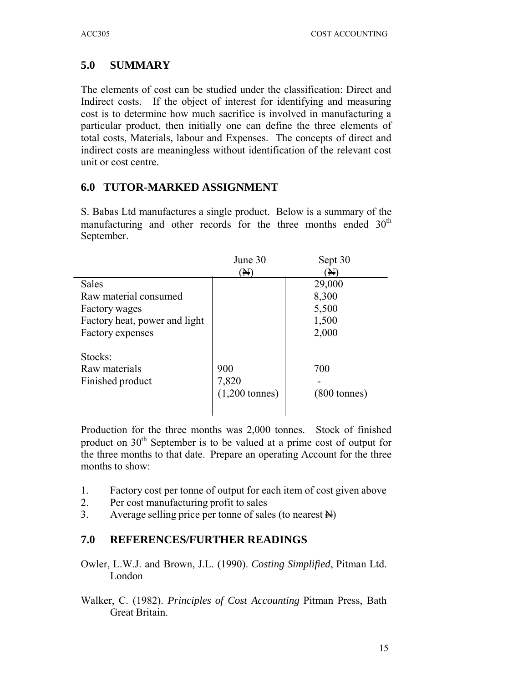# **5.0 SUMMARY**

The elements of cost can be studied under the classification: Direct and Indirect costs. If the object of interest for identifying and measuring cost is to determine how much sacrifice is involved in manufacturing a particular product, then initially one can define the three elements of total costs, Materials, labour and Expenses. The concepts of direct and indirect costs are meaningless without identification of the relevant cost unit or cost centre.

# **6.0 TUTOR-MARKED ASSIGNMENT**

S. Babas Ltd manufactures a single product. Below is a summary of the manufacturing and other records for the three months ended  $30<sup>th</sup>$ September.

|                                              | June 30                                  | Sept 30                       |
|----------------------------------------------|------------------------------------------|-------------------------------|
|                                              | $\left( \mathrm{N}\right)$               | 'N)                           |
| <b>Sales</b>                                 |                                          | 29,000                        |
| Raw material consumed                        |                                          | 8,300                         |
| Factory wages                                |                                          | 5,500                         |
| Factory heat, power and light                |                                          | 1,500                         |
| Factory expenses                             |                                          | 2,000                         |
| Stocks:<br>Raw materials<br>Finished product | 900<br>7,820<br>$(1,200 \text{ tonnes})$ | 700<br>$(800 \text{ tonnes})$ |

Production for the three months was 2,000 tonnes. Stock of finished product on 30<sup>th</sup> September is to be valued at a prime cost of output for the three months to that date. Prepare an operating Account for the three months to show:

- 1. Factory cost per tonne of output for each item of cost given above
- 2. Per cost manufacturing profit to sales
- 3. Average selling price per tonne of sales (to nearest  $\mathbb{H}$ )

# **7.0 REFERENCES/FURTHER READINGS**

- Owler, L.W.J. and Brown, J.L. (1990). *Costing Simplified*, Pitman Ltd. London
- Walker, C. (1982). *Principles of Cost Accounting* Pitman Press, Bath Great Britain.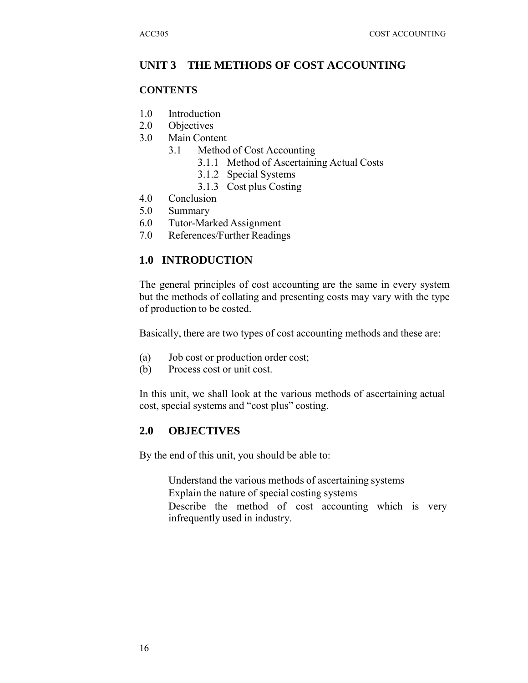# **UNIT 3 THE METHODS OF COST ACCOUNTING**

#### **CONTENTS**

- 1.0 Introduction
- 2.0 Objectives
- 3.0 Main Content
	- 3.1 Method of Cost Accounting
		- 3.1.1 Method of Ascertaining Actual Costs
		- 3.1.2 Special Systems
		- 3.1.3 Cost plus Costing
- 4.0 Conclusion
- 5.0 Summary
- 6.0 Tutor-Marked Assignment
- 7.0 References/Further Readings

## **1.0 INTRODUCTION**

The general principles of cost accounting are the same in every system but the methods of collating and presenting costs may vary with the type of production to be costed.

Basically, there are two types of cost accounting methods and these are:

- (a) Job cost or production order cost;
- (b) Process cost or unit cost.

In this unit, we shall look at the various methods of ascertaining actual cost, special systems and "cost plus" costing.

## **2.0 OBJECTIVES**

By the end of this unit, you should be able to:

Understand the various methods of ascertaining systems Explain the nature of special costing systems Describe the method of cost accounting which is very infrequently used in industry.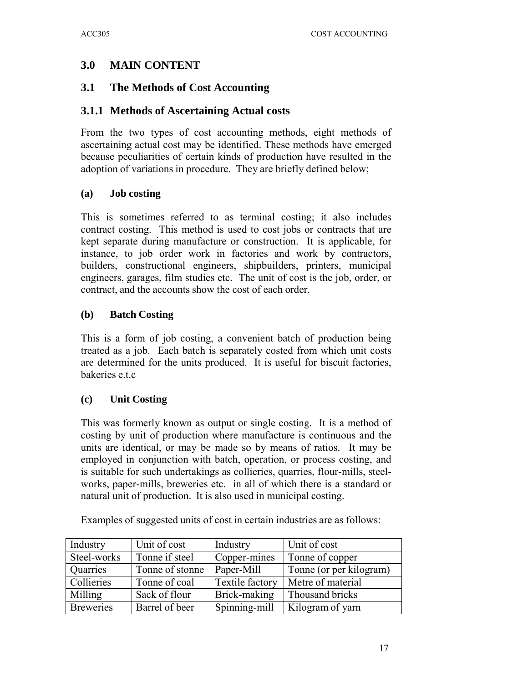## **3.0 MAIN CONTENT**

## **3.1 The Methods of Cost Accounting**

## **3.1.1 Methods of Ascertaining Actual costs**

From the two types of cost accounting methods, eight methods of ascertaining actual cost may be identified. These methods have emerged because peculiarities of certain kinds of production have resulted in the adoption of variations in procedure. They are briefly defined below;

### **(a) Job costing**

This is sometimes referred to as terminal costing; it also includes contract costing. This method is used to cost jobs or contracts that are kept separate during manufacture or construction. It is applicable, for instance, to job order work in factories and work by contractors, builders, constructional engineers, shipbuilders, printers, municipal engineers, garages, film studies etc. The unit of cost is the job, order, or contract, and the accounts show the cost of each order.

### **(b) Batch Costing**

This is a form of job costing, a convenient batch of production being treated as a job. Each batch is separately costed from which unit costs are determined for the units produced. It is useful for biscuit factories, bakeries e.t.c

## **(c) Unit Costing**

This was formerly known as output or single costing. It is a method of costing by unit of production where manufacture is continuous and the units are identical, or may be made so by means of ratios. It may be employed in conjunction with batch, operation, or process costing, and is suitable for such undertakings as collieries, quarries, flour-mills, steelworks, paper-mills, breweries etc. in all of which there is a standard or natural unit of production. It is also used in municipal costing.

Examples of suggested units of cost in certain industries are as follows:

| Industry         | Unit of cost    | Industry        | Unit of cost            |
|------------------|-----------------|-----------------|-------------------------|
| Steel-works      | Tonne if steel  | Copper-mines    | Tonne of copper         |
| Quarries         | Tonne of stonne | Paper-Mill      | Tonne (or per kilogram) |
| Collieries       | Tonne of coal   | Textile factory | Metre of material       |
| Milling          | Sack of flour   | Brick-making    | Thousand bricks         |
| <b>Breweries</b> | Barrel of beer  | Spinning-mill   | Kilogram of yarn        |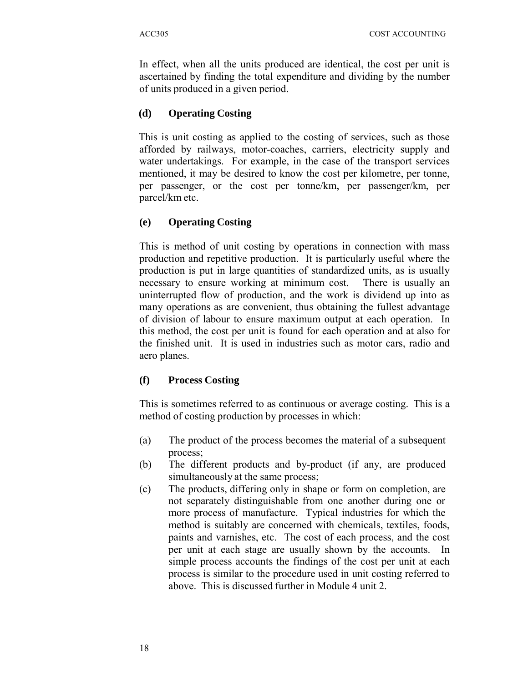In effect, when all the units produced are identical, the cost per unit is ascertained by finding the total expenditure and dividing by the number of units produced in a given period.

## **(d) Operating Costing**

This is unit costing as applied to the costing of services, such as those afforded by railways, motor-coaches, carriers, electricity supply and water undertakings. For example, in the case of the transport services mentioned, it may be desired to know the cost per kilometre, per tonne, per passenger, or the cost per tonne/km, per passenger/km, per parcel/km etc.

## **(e) Operating Costing**

This is method of unit costing by operations in connection with mass production and repetitive production. It is particularly useful where the production is put in large quantities of standardized units, as is usually necessary to ensure working at minimum cost. There is usually an uninterrupted flow of production, and the work is dividend up into as many operations as are convenient, thus obtaining the fullest advantage of division of labour to ensure maximum output at each operation. In this method, the cost per unit is found for each operation and at also for the finished unit. It is used in industries such as motor cars, radio and aero planes.

## **(f) Process Costing**

This is sometimes referred to as continuous or average costing. This is a method of costing production by processes in which:

- (a) The product of the process becomes the material of a subsequent process;
- (b) The different products and by-product (if any, are produced simultaneously at the same process;
- (c) The products, differing only in shape or form on completion, are not separately distinguishable from one another during one or more process of manufacture. Typical industries for which the method is suitably are concerned with chemicals, textiles, foods, paints and varnishes, etc. The cost of each process, and the cost per unit at each stage are usually shown by the accounts. In simple process accounts the findings of the cost per unit at each process is similar to the procedure used in unit costing referred to above. This is discussed further in Module 4 unit 2.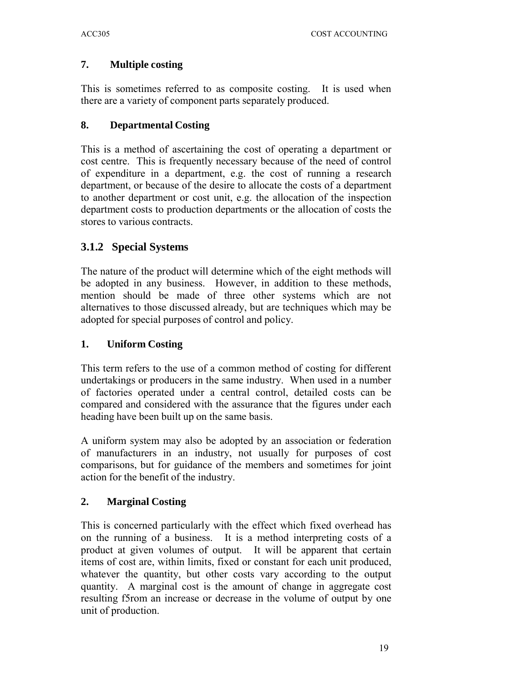# **7. Multiple costing**

This is sometimes referred to as composite costing. It is used when there are a variety of component parts separately produced.

## **8. Departmental Costing**

This is a method of ascertaining the cost of operating a department or cost centre. This is frequently necessary because of the need of control of expenditure in a department, e.g. the cost of running a research department, or because of the desire to allocate the costs of a department to another department or cost unit, e.g. the allocation of the inspection department costs to production departments or the allocation of costs the stores to various contracts.

# **3.1.2 Special Systems**

The nature of the product will determine which of the eight methods will be adopted in any business. However, in addition to these methods, mention should be made of three other systems which are not alternatives to those discussed already, but are techniques which may be adopted for special purposes of control and policy.

## **1. Uniform Costing**

This term refers to the use of a common method of costing for different undertakings or producers in the same industry. When used in a number of factories operated under a central control, detailed costs can be compared and considered with the assurance that the figures under each heading have been built up on the same basis.

A uniform system may also be adopted by an association or federation of manufacturers in an industry, not usually for purposes of cost comparisons, but for guidance of the members and sometimes for joint action for the benefit of the industry.

# **2. Marginal Costing**

This is concerned particularly with the effect which fixed overhead has on the running of a business. It is a method interpreting costs of a product at given volumes of output. It will be apparent that certain items of cost are, within limits, fixed or constant for each unit produced, whatever the quantity, but other costs vary according to the output quantity. A marginal cost is the amount of change in aggregate cost resulting f5rom an increase or decrease in the volume of output by one unit of production.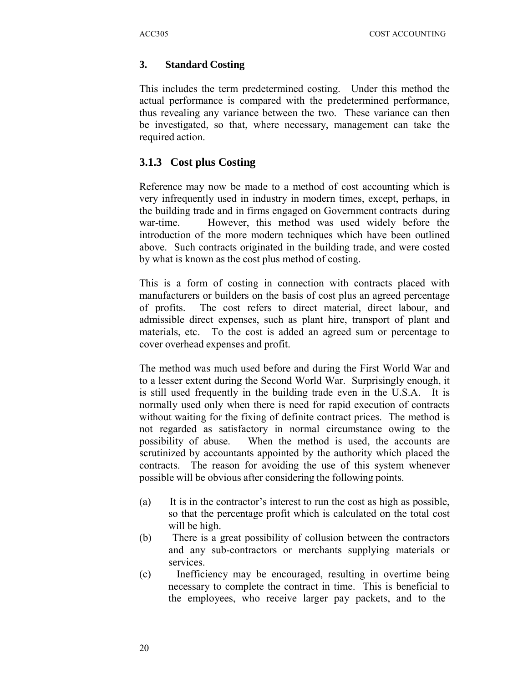## **3. Standard Costing**

This includes the term predetermined costing. Under this method the actual performance is compared with the predetermined performance, thus revealing any variance between the two. These variance can then be investigated, so that, where necessary, management can take the required action.

## **3.1.3 Cost plus Costing**

Reference may now be made to a method of cost accounting which is very infrequently used in industry in modern times, except, perhaps, in the building trade and in firms engaged on Government contracts during war-time. However, this method was used widely before the introduction of the more modern techniques which have been outlined above. Such contracts originated in the building trade, and were costed by what is known as the cost plus method of costing.

This is a form of costing in connection with contracts placed with manufacturers or builders on the basis of cost plus an agreed percentage of profits. The cost refers to direct material, direct labour, and admissible direct expenses, such as plant hire, transport of plant and materials, etc. To the cost is added an agreed sum or percentage to cover overhead expenses and profit.

The method was much used before and during the First World War and to a lesser extent during the Second World War. Surprisingly enough, it is still used frequently in the building trade even in the U.S.A. It is normally used only when there is need for rapid execution of contracts without waiting for the fixing of definite contract prices. The method is not regarded as satisfactory in normal circumstance owing to the possibility of abuse. When the method is used, the accounts are scrutinized by accountants appointed by the authority which placed the contracts. The reason for avoiding the use of this system whenever possible will be obvious after considering the following points.

- (a) It is in the contractor's interest to run the cost as high as possible, so that the percentage profit which is calculated on the total cost will be high.
- (b) There is a great possibility of collusion between the contractors and any sub-contractors or merchants supplying materials or services.
- (c) Inefficiency may be encouraged, resulting in overtime being necessary to complete the contract in time. This is beneficial to the employees, who receive larger pay packets, and to the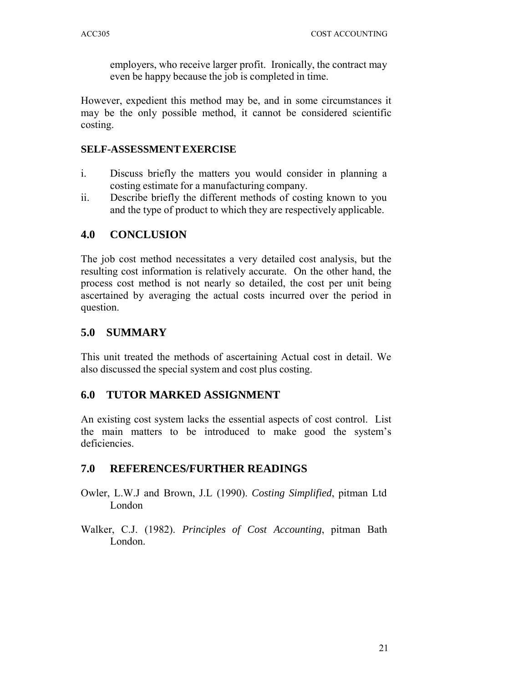employers, who receive larger profit. Ironically, the contract may even be happy because the job is completed in time.

However, expedient this method may be, and in some circumstances it may be the only possible method, it cannot be considered scientific costing.

## **SELF-ASSESSMENT EXERCISE**

- i. Discuss briefly the matters you would consider in planning a costing estimate for a manufacturing company.
- ii. Describe briefly the different methods of costing known to you and the type of product to which they are respectively applicable.

# **4.0 CONCLUSION**

The job cost method necessitates a very detailed cost analysis, but the resulting cost information is relatively accurate. On the other hand, the process cost method is not nearly so detailed, the cost per unit being ascertained by averaging the actual costs incurred over the period in question.

# **5.0 SUMMARY**

This unit treated the methods of ascertaining Actual cost in detail. We also discussed the special system and cost plus costing.

# **6.0 TUTOR MARKED ASSIGNMENT**

An existing cost system lacks the essential aspects of cost control. List the main matters to be introduced to make good the system's deficiencies.

# **7.0 REFERENCES/FURTHER READINGS**

- Owler, L.W.J and Brown, J.L (1990). *Costing Simplified*, pitman Ltd London
- Walker, C.J. (1982). *Principles of Cost Accounting*, pitman Bath London.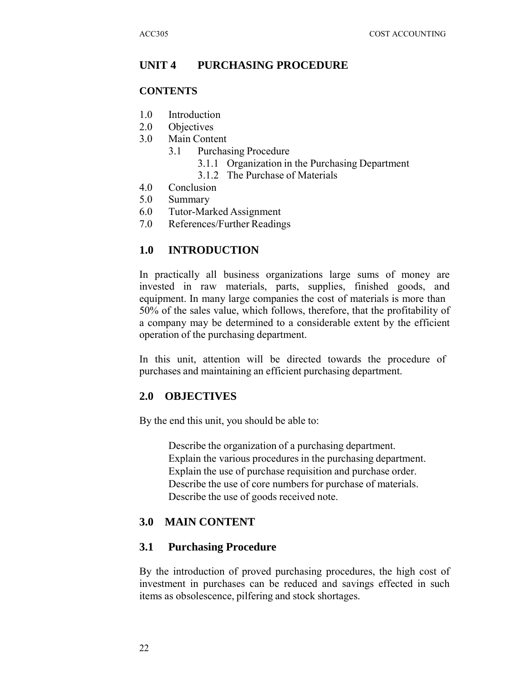# **UNIT 4 PURCHASING PROCEDURE**

### **CONTENTS**

- 1.0 Introduction
- 2.0 Objectives
- 3.0 Main Content
	- 3.1 Purchasing Procedure
		- 3.1.1 Organization in the Purchasing Department
		- 3.1.2 The Purchase of Materials
- 4.0 Conclusion
- 5.0 Summary
- 6.0 Tutor-Marked Assignment
- 7.0 References/Further Readings

# **1.0 INTRODUCTION**

In practically all business organizations large sums of money are invested in raw materials, parts, supplies, finished goods, and equipment. In many large companies the cost of materials is more than 50% of the sales value, which follows, therefore, that the profitability of a company may be determined to a considerable extent by the efficient operation of the purchasing department.

In this unit, attention will be directed towards the procedure of purchases and maintaining an efficient purchasing department.

## **2.0 OBJECTIVES**

By the end this unit, you should be able to:

Describe the organization of a purchasing department. Explain the various procedures in the purchasing department. Explain the use of purchase requisition and purchase order. Describe the use of core numbers for purchase of materials. Describe the use of goods received note.

# **3.0 MAIN CONTENT**

## **3.1 Purchasing Procedure**

By the introduction of proved purchasing procedures, the high cost of investment in purchases can be reduced and savings effected in such items as obsolescence, pilfering and stock shortages.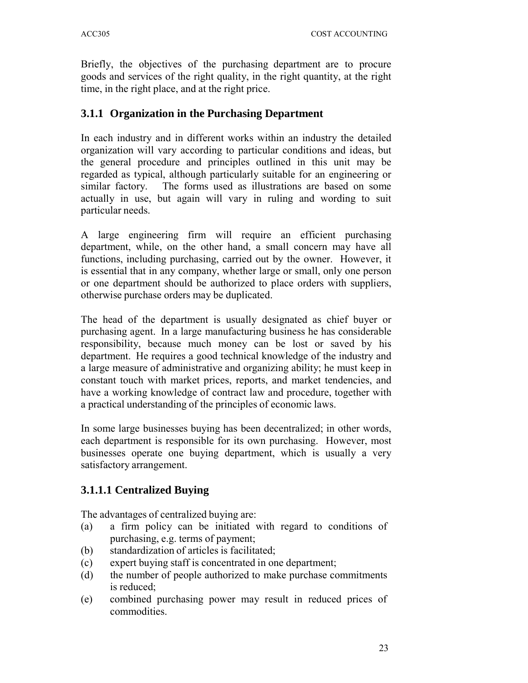ACC305 COST ACCOUNTING

Briefly, the objectives of the purchasing department are to procure goods and services of the right quality, in the right quantity, at the right time, in the right place, and at the right price.

# **3.1.1 Organization in the Purchasing Department**

In each industry and in different works within an industry the detailed organization will vary according to particular conditions and ideas, but the general procedure and principles outlined in this unit may be regarded as typical, although particularly suitable for an engineering or similar factory. The forms used as illustrations are based on some actually in use, but again will vary in ruling and wording to suit particular needs.

A large engineering firm will require an efficient purchasing department, while, on the other hand, a small concern may have all functions, including purchasing, carried out by the owner. However, it is essential that in any company, whether large or small, only one person or one department should be authorized to place orders with suppliers, otherwise purchase orders may be duplicated.

The head of the department is usually designated as chief buyer or purchasing agent. In a large manufacturing business he has considerable responsibility, because much money can be lost or saved by his department. He requires a good technical knowledge of the industry and a large measure of administrative and organizing ability; he must keep in constant touch with market prices, reports, and market tendencies, and have a working knowledge of contract law and procedure, together with a practical understanding of the principles of economic laws.

In some large businesses buying has been decentralized; in other words, each department is responsible for its own purchasing. However, most businesses operate one buying department, which is usually a very satisfactory arrangement.

# **3.1.1.1 Centralized Buying**

The advantages of centralized buying are:

- (a) a firm policy can be initiated with regard to conditions of purchasing, e.g. terms of payment;
- (b) standardization of articles is facilitated;
- (c) expert buying staff is concentrated in one department;
- (d) the number of people authorized to make purchase commitments is reduced;
- (e) combined purchasing power may result in reduced prices of commodities.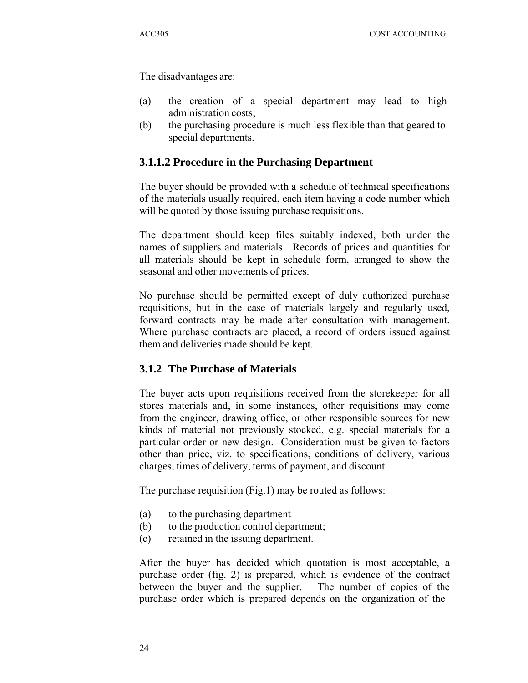The disadvantages are:

- (a) the creation of a special department may lead to high administration costs;
- (b) the purchasing procedure is much less flexible than that geared to special departments.

# **3.1.1.2 Procedure in the Purchasing Department**

The buyer should be provided with a schedule of technical specifications of the materials usually required, each item having a code number which will be quoted by those issuing purchase requisitions.

The department should keep files suitably indexed, both under the names of suppliers and materials. Records of prices and quantities for all materials should be kept in schedule form, arranged to show the seasonal and other movements of prices.

No purchase should be permitted except of duly authorized purchase requisitions, but in the case of materials largely and regularly used, forward contracts may be made after consultation with management. Where purchase contracts are placed, a record of orders issued against them and deliveries made should be kept.

# **3.1.2 The Purchase of Materials**

The buyer acts upon requisitions received from the storekeeper for all stores materials and, in some instances, other requisitions may come from the engineer, drawing office, or other responsible sources for new kinds of material not previously stocked, e.g. special materials for a particular order or new design. Consideration must be given to factors other than price, viz. to specifications, conditions of delivery, various charges, times of delivery, terms of payment, and discount.

The purchase requisition (Fig.1) may be routed as follows:

- (a) to the purchasing department
- (b) to the production control department;
- (c) retained in the issuing department.

After the buyer has decided which quotation is most acceptable, a purchase order (fig. 2) is prepared, which is evidence of the contract between the buyer and the supplier. The number of copies of the purchase order which is prepared depends on the organization of the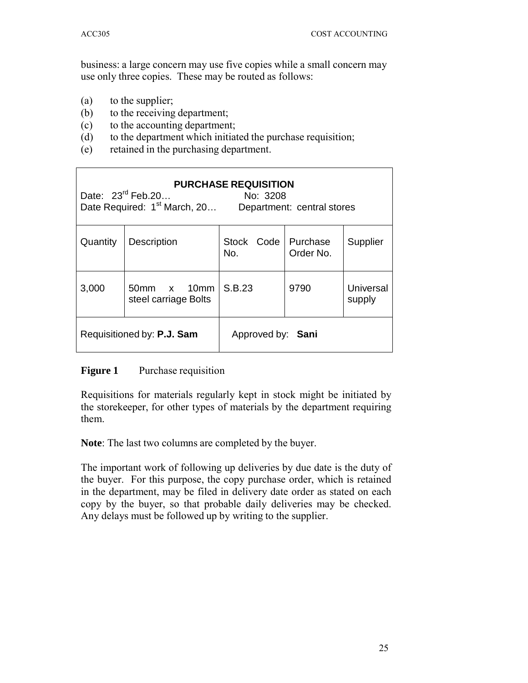business: a large concern may use five copies while a small concern may use only three copies. These may be routed as follows:

- (a) to the supplier;
- (b) to the receiving department;
- (c) to the accounting department;
- (d) to the department which initiated the purchase requisition;
- (e) retained in the purchasing department.

| <b>PURCHASE REQUISITION</b><br>Date: $23^{\text{rd}}$ Feb.20<br>No: 3208<br>Date Required: 1 <sup>st</sup> March, 20 Department: central stores |                                     |              |      |                     |
|-------------------------------------------------------------------------------------------------------------------------------------------------|-------------------------------------|--------------|------|---------------------|
| Stock Code<br>Purchase<br>Quantity<br>Description<br>No.<br>Order No.                                                                           |                                     |              |      | Supplier            |
| 3,000                                                                                                                                           | 50mm x 10mm<br>steel carriage Bolts | S.B.23       | 9790 | Universal<br>supply |
| Requisitioned by: P.J. Sam                                                                                                                      |                                     | Approved by: | Sani |                     |

# **Figure 1** Purchase requisition

Requisitions for materials regularly kept in stock might be initiated by the storekeeper, for other types of materials by the department requiring them.

**Note**: The last two columns are completed by the buyer.

The important work of following up deliveries by due date is the duty of the buyer. For this purpose, the copy purchase order, which is retained in the department, may be filed in delivery date order as stated on each copy by the buyer, so that probable daily deliveries may be checked. Any delays must be followed up by writing to the supplier.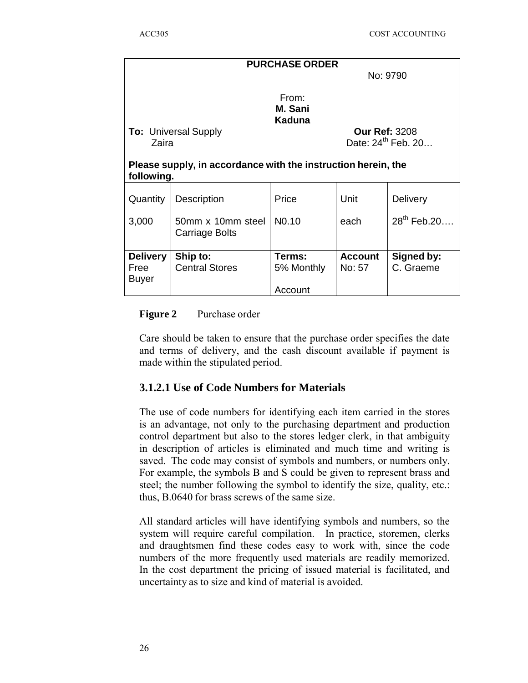| <b>PURCHASE ORDER</b> |                                                               |                   |                      |                                |  |
|-----------------------|---------------------------------------------------------------|-------------------|----------------------|--------------------------------|--|
|                       | No: 9790                                                      |                   |                      |                                |  |
|                       |                                                               |                   |                      |                                |  |
|                       |                                                               | From:             |                      |                                |  |
|                       |                                                               | M. Sani           |                      |                                |  |
|                       |                                                               | <b>Kaduna</b>     |                      |                                |  |
|                       | <b>To: Universal Supply</b>                                   |                   | <b>Our Ref: 3208</b> |                                |  |
| Zaira                 |                                                               |                   |                      | Date: 24 <sup>th</sup> Feb. 20 |  |
|                       |                                                               |                   |                      |                                |  |
|                       | Please supply, in accordance with the instruction herein, the |                   |                      |                                |  |
| following.            |                                                               |                   |                      |                                |  |
|                       |                                                               |                   |                      |                                |  |
| Quantity              | Description                                                   | Price             | Unit                 | Delivery                       |  |
|                       | 50mm x 10mm steel                                             | N <sub>0.10</sub> |                      | $28^{th}$ Feb. $20$            |  |
| 3,000                 |                                                               |                   | each                 |                                |  |
|                       | Carriage Bolts                                                |                   |                      |                                |  |
| <b>Delivery</b>       | Ship to:                                                      | Terms:            | <b>Account</b>       | Signed by:                     |  |
| Free                  | <b>Central Stores</b>                                         |                   | No: 57               | C. Graeme                      |  |
| <b>Buyer</b>          |                                                               | 5% Monthly        |                      |                                |  |
|                       |                                                               |                   |                      |                                |  |
|                       |                                                               | Account           |                      |                                |  |



Care should be taken to ensure that the purchase order specifies the date and terms of delivery, and the cash discount available if payment is made within the stipulated period.

# **3.1.2.1 Use of Code Numbers for Materials**

The use of code numbers for identifying each item carried in the stores is an advantage, not only to the purchasing department and production control department but also to the stores ledger clerk, in that ambiguity in description of articles is eliminated and much time and writing is saved. The code may consist of symbols and numbers, or numbers only. For example, the symbols B and S could be given to represent brass and steel; the number following the symbol to identify the size, quality, etc.: thus, B.0640 for brass screws of the same size.

All standard articles will have identifying symbols and numbers, so the system will require careful compilation. In practice, storemen, clerks and draughtsmen find these codes easy to work with, since the code numbers of the more frequently used materials are readily memorized. In the cost department the pricing of issued material is facilitated, and uncertainty as to size and kind of material is avoided.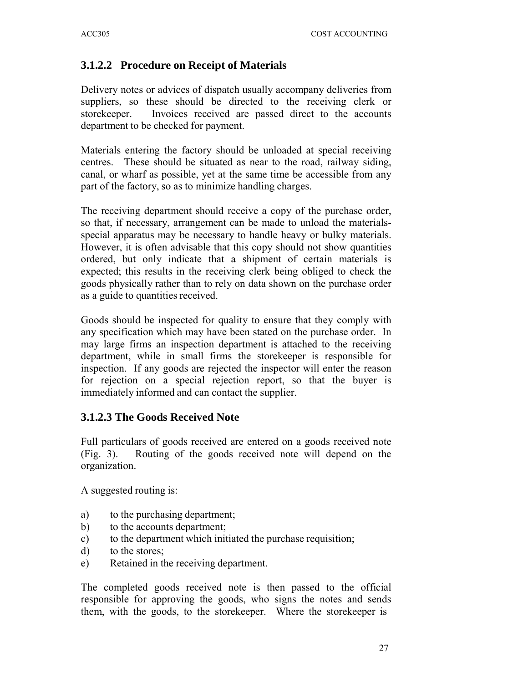# **3.1.2.2 Procedure on Receipt of Materials**

Delivery notes or advices of dispatch usually accompany deliveries from suppliers, so these should be directed to the receiving clerk or storekeeper. Invoices received are passed direct to the accounts department to be checked for payment.

Materials entering the factory should be unloaded at special receiving centres. These should be situated as near to the road, railway siding, canal, or wharf as possible, yet at the same time be accessible from any part of the factory, so as to minimize handling charges.

The receiving department should receive a copy of the purchase order, so that, if necessary, arrangement can be made to unload the materialsspecial apparatus may be necessary to handle heavy or bulky materials. However, it is often advisable that this copy should not show quantities ordered, but only indicate that a shipment of certain materials is expected; this results in the receiving clerk being obliged to check the goods physically rather than to rely on data shown on the purchase order as a guide to quantities received.

Goods should be inspected for quality to ensure that they comply with any specification which may have been stated on the purchase order. In may large firms an inspection department is attached to the receiving department, while in small firms the storekeeper is responsible for inspection. If any goods are rejected the inspector will enter the reason for rejection on a special rejection report, so that the buyer is immediately informed and can contact the supplier.

# **3.1.2.3 The Goods Received Note**

Full particulars of goods received are entered on a goods received note (Fig. 3). Routing of the goods received note will depend on the organization.

A suggested routing is:

- a) to the purchasing department;
- b) to the accounts department;
- c) to the department which initiated the purchase requisition;
- d) to the stores;
- e) Retained in the receiving department.

The completed goods received note is then passed to the official responsible for approving the goods, who signs the notes and sends them, with the goods, to the storekeeper. Where the storekeeper is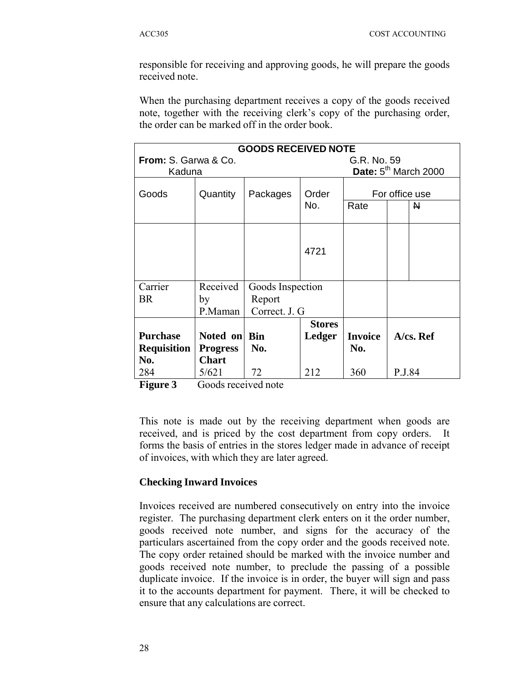responsible for receiving and approving goods, he will prepare the goods received note.

When the purchasing department receives a copy of the goods received note, together with the receiving clerk's copy of the purchasing order, the order can be marked off in the order book.

| <b>GOODS RECEIVED NOTE</b> |                                                                                   |                                     |               |                |              |
|----------------------------|-----------------------------------------------------------------------------------|-------------------------------------|---------------|----------------|--------------|
|                            | From: S. Garwa & Co.<br>G.R. No. 59<br>Date: 5 <sup>th</sup> March 2000<br>Kaduna |                                     |               |                |              |
|                            |                                                                                   |                                     |               |                |              |
| Goods                      | Quantity                                                                          | Packages<br>Order<br>For office use |               |                |              |
|                            |                                                                                   |                                     | No.           | Rate           | N            |
|                            |                                                                                   |                                     | 4721          |                |              |
| Carrier                    | Received                                                                          | Goods Inspection                    |               |                |              |
| BR                         | by                                                                                | Report                              |               |                |              |
|                            | P.Maman                                                                           | Correct. J. G                       |               |                |              |
|                            |                                                                                   |                                     | <b>Stores</b> |                |              |
| <b>Purchase</b>            | Noted on                                                                          | <b>Bin</b>                          | Ledger        | <b>Invoice</b> | $A$ /cs. Ref |
| <b>Requisition</b>         | <b>Progress</b>                                                                   | No.                                 |               | No.            |              |
| No.                        | <b>Chart</b>                                                                      |                                     |               |                |              |
| 284                        | 5/621                                                                             | 72                                  | 212           | 360            | P.J.84       |

**Figure 3** Goods received note

This note is made out by the receiving department when goods are received, and is priced by the cost department from copy orders. It forms the basis of entries in the stores ledger made in advance of receipt of invoices, with which they are later agreed.

## **Checking Inward Invoices**

Invoices received are numbered consecutively on entry into the invoice register. The purchasing department clerk enters on it the order number, goods received note number, and signs for the accuracy of the particulars ascertained from the copy order and the goods received note. The copy order retained should be marked with the invoice number and goods received note number, to preclude the passing of a possible duplicate invoice. If the invoice is in order, the buyer will sign and pass it to the accounts department for payment. There, it will be checked to ensure that any calculations are correct.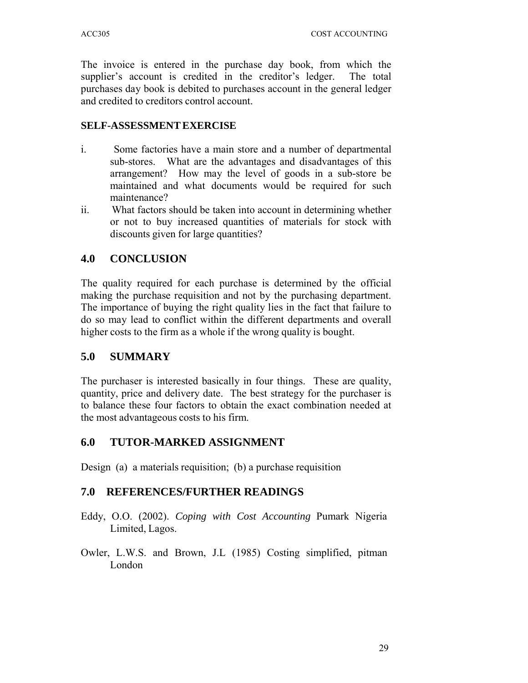The invoice is entered in the purchase day book, from which the supplier's account is credited in the creditor's ledger. The total purchases day book is debited to purchases account in the general ledger and credited to creditors control account.

## **SELF-ASSESSMENT EXERCISE**

- i. Some factories have a main store and a number of departmental sub-stores. What are the advantages and disadvantages of this arrangement? How may the level of goods in a sub-store be maintained and what documents would be required for such maintenance?
- ii. What factors should be taken into account in determining whether or not to buy increased quantities of materials for stock with discounts given for large quantities?

# **4.0 CONCLUSION**

The quality required for each purchase is determined by the official making the purchase requisition and not by the purchasing department. The importance of buying the right quality lies in the fact that failure to do so may lead to conflict within the different departments and overall higher costs to the firm as a whole if the wrong quality is bought.

# **5.0 SUMMARY**

The purchaser is interested basically in four things. These are quality, quantity, price and delivery date. The best strategy for the purchaser is to balance these four factors to obtain the exact combination needed at the most advantageous costs to his firm.

# **6.0 TUTOR-MARKED ASSIGNMENT**

Design (a) a materials requisition; (b) a purchase requisition

# **7.0 REFERENCES/FURTHER READINGS**

- Eddy, O.O. (2002). *Coping with Cost Accounting* Pumark Nigeria Limited, Lagos.
- Owler, L.W.S. and Brown, J.L (1985) Costing simplified, pitman London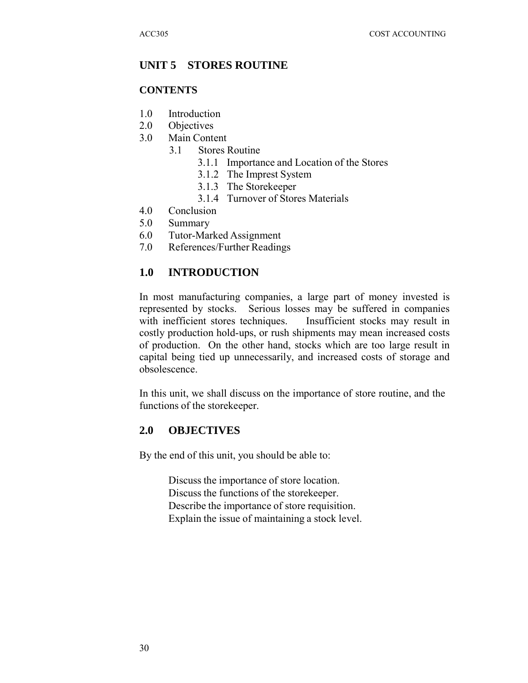# **UNIT 5 STORES ROUTINE**

### **CONTENTS**

- 1.0 Introduction
- 2.0 Objectives
- 3.0 Main Content
	- 3.1 Stores Routine
		- 3.1.1 Importance and Location of the Stores
		- 3.1.2 The Imprest System
		- 3.1.3 The Storekeeper
		- 3.1.4 Turnover of Stores Materials
- 4.0 Conclusion
- 5.0 Summary
- 6.0 Tutor-Marked Assignment
- 7.0 References/Further Readings

# **1.0 INTRODUCTION**

In most manufacturing companies, a large part of money invested is represented by stocks. Serious losses may be suffered in companies with inefficient stores techniques. Insufficient stocks may result in costly production hold-ups, or rush shipments may mean increased costs of production. On the other hand, stocks which are too large result in capital being tied up unnecessarily, and increased costs of storage and obsolescence.

In this unit, we shall discuss on the importance of store routine, and the functions of the storekeeper.

## **2.0 OBJECTIVES**

By the end of this unit, you should be able to:

Discuss the importance of store location. Discuss the functions of the storekeeper. Describe the importance of store requisition. Explain the issue of maintaining a stock level.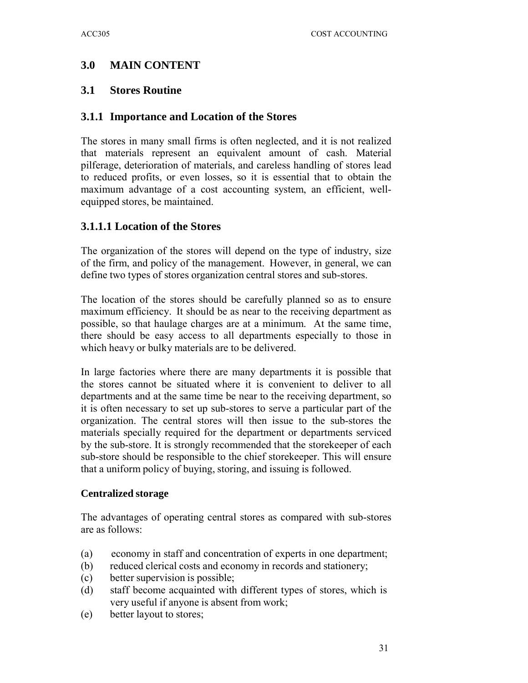# **3.0 MAIN CONTENT**

## **3.1 Stores Routine**

## **3.1.1 Importance and Location of the Stores**

The stores in many small firms is often neglected, and it is not realized that materials represent an equivalent amount of cash. Material pilferage, deterioration of materials, and careless handling of stores lead to reduced profits, or even losses, so it is essential that to obtain the maximum advantage of a cost accounting system, an efficient, wellequipped stores, be maintained.

# **3.1.1.1 Location of the Stores**

The organization of the stores will depend on the type of industry, size of the firm, and policy of the management. However, in general, we can define two types of stores organization central stores and sub-stores.

The location of the stores should be carefully planned so as to ensure maximum efficiency. It should be as near to the receiving department as possible, so that haulage charges are at a minimum. At the same time, there should be easy access to all departments especially to those in which heavy or bulky materials are to be delivered.

In large factories where there are many departments it is possible that the stores cannot be situated where it is convenient to deliver to all departments and at the same time be near to the receiving department, so it is often necessary to set up sub-stores to serve a particular part of the organization. The central stores will then issue to the sub-stores the materials specially required for the department or departments serviced by the sub-store. It is strongly recommended that the storekeeper of each sub-store should be responsible to the chief storekeeper. This will ensure that a uniform policy of buying, storing, and issuing is followed.

## **Centralized storage**

The advantages of operating central stores as compared with sub-stores are as follows:

- (a) economy in staff and concentration of experts in one department;
- (b) reduced clerical costs and economy in records and stationery;
- (c) better supervision is possible;
- (d) staff become acquainted with different types of stores, which is very useful if anyone is absent from work;
- (e) better layout to stores;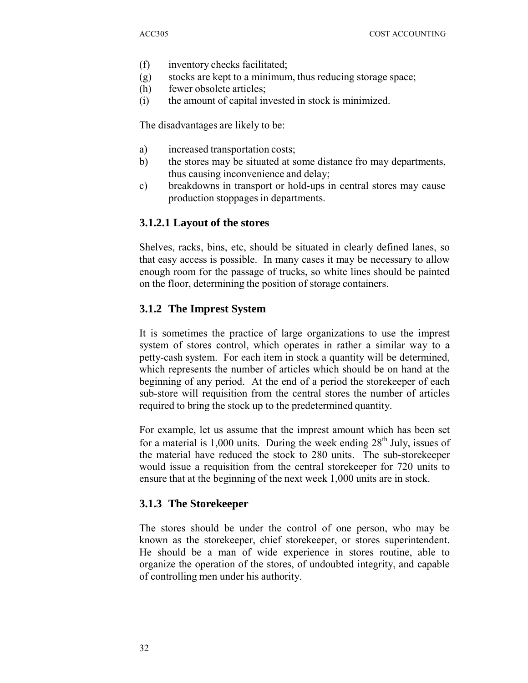- (f) inventory checks facilitated;
- (g) stocks are kept to a minimum, thus reducing storage space;
- (h) fewer obsolete articles;
- (i) the amount of capital invested in stock is minimized.

The disadvantages are likely to be:

- a) increased transportation costs;
- b) the stores may be situated at some distance fro may departments, thus causing inconvenience and delay;
- c) breakdowns in transport or hold-ups in central stores may cause production stoppages in departments.

## **3.1.2.1 Layout of the stores**

Shelves, racks, bins, etc, should be situated in clearly defined lanes, so that easy access is possible. In many cases it may be necessary to allow enough room for the passage of trucks, so white lines should be painted on the floor, determining the position of storage containers.

## **3.1.2 The Imprest System**

It is sometimes the practice of large organizations to use the imprest system of stores control, which operates in rather a similar way to a petty-cash system. For each item in stock a quantity will be determined, which represents the number of articles which should be on hand at the beginning of any period. At the end of a period the storekeeper of each sub-store will requisition from the central stores the number of articles required to bring the stock up to the predetermined quantity.

For example, let us assume that the imprest amount which has been set for a material is 1,000 units. During the week ending  $28<sup>th</sup>$  July, issues of the material have reduced the stock to 280 units. The sub-storekeeper would issue a requisition from the central storekeeper for 720 units to ensure that at the beginning of the next week 1,000 units are in stock.

## **3.1.3 The Storekeeper**

The stores should be under the control of one person, who may be known as the storekeeper, chief storekeeper, or stores superintendent. He should be a man of wide experience in stores routine, able to organize the operation of the stores, of undoubted integrity, and capable of controlling men under his authority.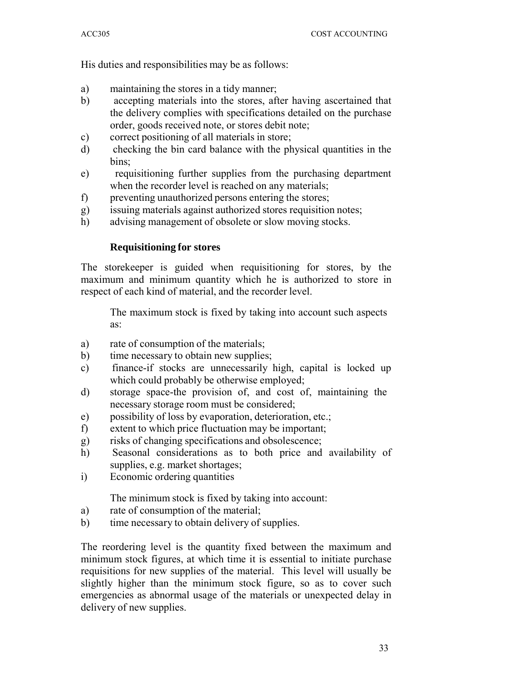His duties and responsibilities may be as follows:

- a) maintaining the stores in a tidy manner;
- b) accepting materials into the stores, after having ascertained that the delivery complies with specifications detailed on the purchase order, goods received note, or stores debit note;
- c) correct positioning of all materials in store;
- d) checking the bin card balance with the physical quantities in the bins;
- e) requisitioning further supplies from the purchasing department when the recorder level is reached on any materials;
- f) preventing unauthorized persons entering the stores;
- g) issuing materials against authorized stores requisition notes;
- h) advising management of obsolete or slow moving stocks.

### **Requisitioning for stores**

The storekeeper is guided when requisitioning for stores, by the maximum and minimum quantity which he is authorized to store in respect of each kind of material, and the recorder level.

The maximum stock is fixed by taking into account such aspects as:

- a) rate of consumption of the materials;
- b) time necessary to obtain new supplies;
- c) finance-if stocks are unnecessarily high, capital is locked up which could probably be otherwise employed;
- d) storage space-the provision of, and cost of, maintaining the necessary storage room must be considered;
- e) possibility of loss by evaporation, deterioration, etc.;
- f) extent to which price fluctuation may be important;
- g) risks of changing specifications and obsolescence;
- h) Seasonal considerations as to both price and availability of supplies, e.g. market shortages;
- i) Economic ordering quantities

The minimum stock is fixed by taking into account:

- a) rate of consumption of the material;
- b) time necessary to obtain delivery of supplies.

The reordering level is the quantity fixed between the maximum and minimum stock figures, at which time it is essential to initiate purchase requisitions for new supplies of the material. This level will usually be slightly higher than the minimum stock figure, so as to cover such emergencies as abnormal usage of the materials or unexpected delay in delivery of new supplies.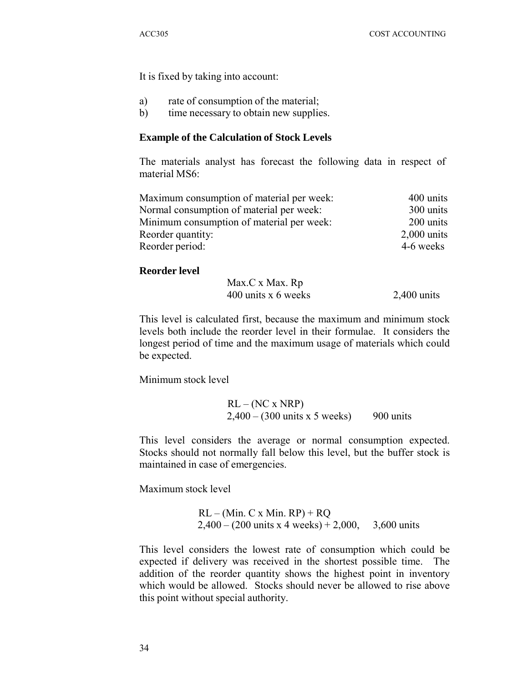It is fixed by taking into account:

- a) rate of consumption of the material;
- b) time necessary to obtain new supplies.

#### **Example of the Calculation of Stock Levels**

The materials analyst has forecast the following data in respect of material MS6:

| Maximum consumption of material per week: | 400 units     |
|-------------------------------------------|---------------|
| Normal consumption of material per week:  | 300 units     |
| Minimum consumption of material per week: | 200 units     |
| Reorder quantity:                         | $2,000$ units |
| Reorder period:                           | 4-6 weeks     |

#### **Reorder level**

| Max.C x Max. Rp     |               |
|---------------------|---------------|
| 400 units x 6 weeks | $2,400$ units |

This level is calculated first, because the maximum and minimum stock levels both include the reorder level in their formulae. It considers the longest period of time and the maximum usage of materials which could be expected.

Minimum stock level

$$
RL - (NC \times NRP)
$$
  
2,400 - (300 units x 5 weeks) 900 units

This level considers the average or normal consumption expected. Stocks should not normally fall below this level, but the buffer stock is maintained in case of emergencies.

Maximum stock level

RL – (Min. C x Min. RP) + RQ 2,400 – (200 units x 4 weeks) + 2,000, 3,600 units

This level considers the lowest rate of consumption which could be expected if delivery was received in the shortest possible time. The addition of the reorder quantity shows the highest point in inventory which would be allowed. Stocks should never be allowed to rise above this point without special authority.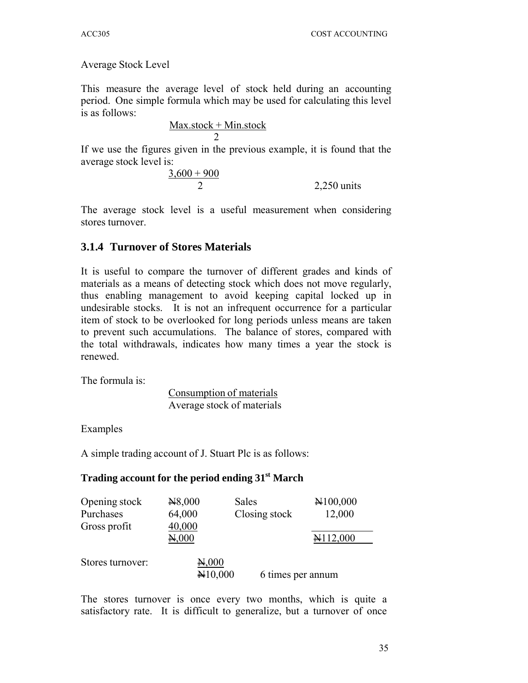Average Stock Level

This measure the average level of stock held during an accounting period. One simple formula which may be used for calculating this level is as follows:

> Max.stock + Min.stock 2

If we use the figures given in the previous example, it is found that the average stock level is:

 $\frac{3,600+900}{2}$ 2 2,250 units

The average stock level is a useful measurement when considering stores turnover.

## **3.1.4 Turnover of Stores Materials**

It is useful to compare the turnover of different grades and kinds of materials as a means of detecting stock which does not move regularly, thus enabling management to avoid keeping capital locked up in undesirable stocks. It is not an infrequent occurrence for a particular item of stock to be overlooked for long periods unless means are taken to prevent such accumulations. The balance of stores, compared with the total withdrawals, indicates how many times a year the stock is renewed.

The formula is:

Consumption of materials Average stock of materials

Examples

A simple trading account of J. Stuart Plc is as follows:

## **Trading account for the period ending 31st March**

| Opening stock    | H8,000           | Sales             | $\cancel{H}100,000$ |
|------------------|------------------|-------------------|---------------------|
| Purchases        | 64,000           | Closing stock     | 12,000              |
| Gross profit     | 40,000           |                   |                     |
|                  | H <sub>000</sub> |                   | H112,000            |
|                  |                  |                   |                     |
| Stores turnover: | H <sub>000</sub> |                   |                     |
|                  | H10,000          | 6 times per annum |                     |

The stores turnover is once every two months, which is quite a satisfactory rate. It is difficult to generalize, but a turnover of once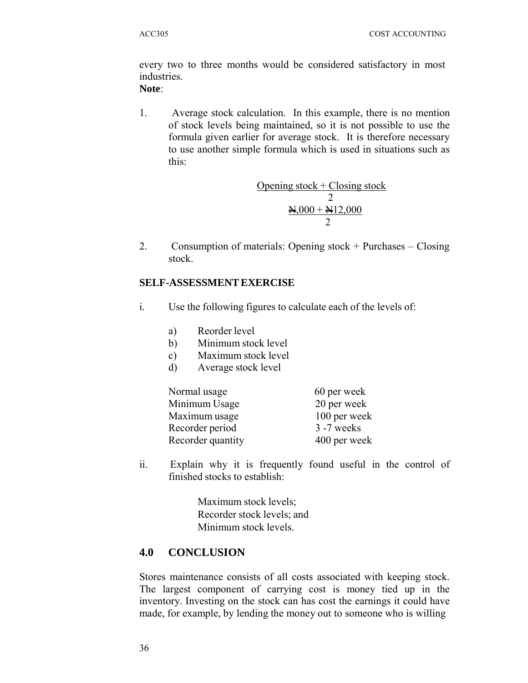every two to three months would be considered satisfactory in most industries.

**Note**:

1. Average stock calculation. In this example, there is no mention of stock levels being maintained, so it is not possible to use the formula given earlier for average stock. It is therefore necessary to use another simple formula which is used in situations such as this:

> Opening  $stock + Closing stock$ 2  $\frac{N,000 + N12,000}{N}$ 2

2. Consumption of materials: Opening stock + Purchases – Closing stock.

#### **SELF-ASSESSMENT EXERCISE**

- i. Use the following figures to calculate each of the levels of:
	- a) Reorder level
	- b) Minimum stock level
	- c) Maximum stock level
	- d) Average stock level

| Normal usage      | 60 per week  |
|-------------------|--------------|
| Minimum Usage     | 20 per week  |
| Maximum usage     | 100 per week |
| Recorder period   | 3 -7 weeks   |
| Recorder quantity | 400 per week |

ii. Explain why it is frequently found useful in the control of finished stocks to establish:

> Maximum stock levels; Recorder stock levels; and Minimum stock levels.

## **4.0 CONCLUSION**

Stores maintenance consists of all costs associated with keeping stock. The largest component of carrying cost is money tied up in the inventory. Investing on the stock can has cost the earnings it could have made, for example, by lending the money out to someone who is willing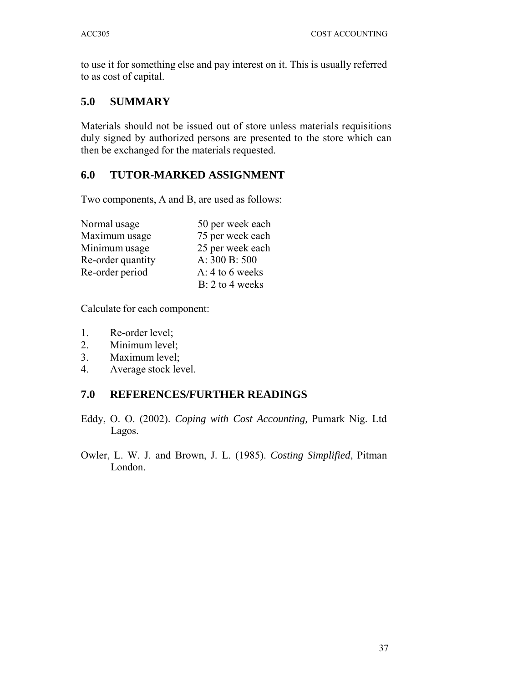to use it for something else and pay interest on it. This is usually referred to as cost of capital.

# **5.0 SUMMARY**

Materials should not be issued out of store unless materials requisitions duly signed by authorized persons are presented to the store which can then be exchanged for the materials requested.

# **6.0 TUTOR-MARKED ASSIGNMENT**

Two components, A and B, are used as follows:

| Normal usage      | 50 per week each    |
|-------------------|---------------------|
| Maximum usage     | 75 per week each    |
| Minimum usage     | 25 per week each    |
| Re-order quantity | A: 300 B: 500       |
| Re-order period   | A: $4$ to $6$ weeks |
|                   | B: 2 to 4 weeks     |

Calculate for each component:

- 1. Re-order level;
- 2. Minimum level;
- 3. Maximum level;
- 4. Average stock level.

# **7.0 REFERENCES/FURTHER READINGS**

- Eddy, O. O. (2002). *Coping with Cost Accounting,* Pumark Nig. Ltd Lagos.
- Owler, L. W. J. and Brown, J. L. (1985). *Costing Simplified*, Pitman London.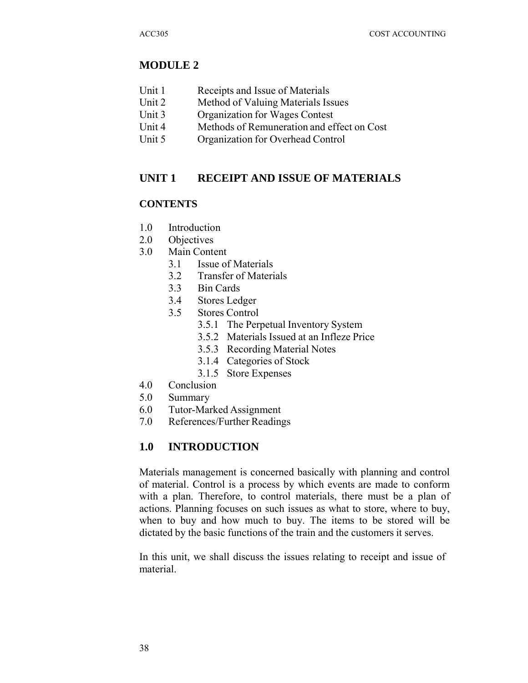## **MODULE 2**

- Unit 1 Receipts and Issue of Materials
- Unit 2 Method of Valuing Materials Issues
- Unit 3 Organization for Wages Contest
- Unit 4 Methods of Remuneration and effect on Cost
- Unit 5 Organization for Overhead Control

### **UNIT 1 RECEIPT AND ISSUE OF MATERIALS**

#### **CONTENTS**

- 1.0 Introduction
- 2.0 Objectives
- 3.0 Main Content
	- 3.1 Issue of Materials
	- 3.2 Transfer of Materials
	- 3.3 Bin Cards
	- 3.4 Stores Ledger
	- 3.5 Stores Control
		- 3.5.1 The Perpetual Inventory System
		- 3.5.2 Materials Issued at an Infleze Price
		- 3.5.3 Recording Material Notes
		- 3.1.4 Categories of Stock
		- 3.1.5 Store Expenses
- 4.0 Conclusion
- 5.0 Summary
- 6.0 Tutor-Marked Assignment
- 7.0 References/Further Readings

## **1.0 INTRODUCTION**

Materials management is concerned basically with planning and control of material. Control is a process by which events are made to conform with a plan. Therefore, to control materials, there must be a plan of actions. Planning focuses on such issues as what to store, where to buy, when to buy and how much to buy. The items to be stored will be dictated by the basic functions of the train and the customers it serves.

In this unit, we shall discuss the issues relating to receipt and issue of material.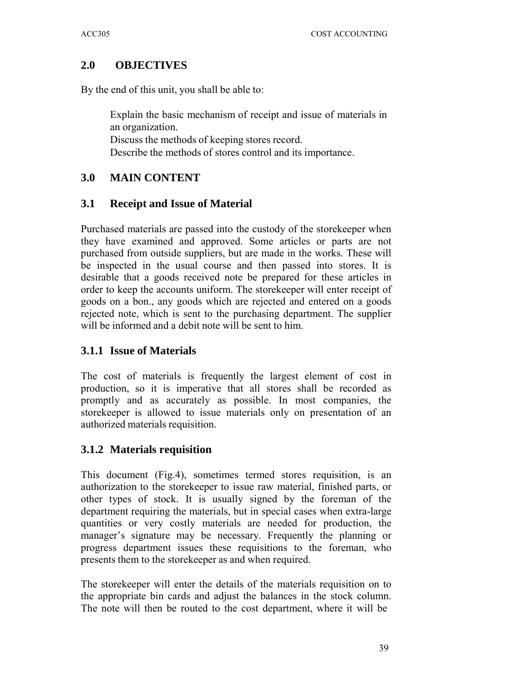## **2.0 OBJECTIVES**

By the end of this unit, you shall be able to:

Explain the basic mechanism of receipt and issue of materials in an organization. Discuss the methods of keeping stores record. Describe the methods of stores control and its importance.

## **3.0 MAIN CONTENT**

## **3.1 Receipt and Issue of Material**

Purchased materials are passed into the custody of the storekeeper when they have examined and approved. Some articles or parts are not purchased from outside suppliers, but are made in the works. These will be inspected in the usual course and then passed into stores. It is desirable that a goods received note be prepared for these articles in order to keep the accounts uniform. The storekeeper will enter receipt of goods on a bon., any goods which are rejected and entered on a goods rejected note, which is sent to the purchasing department. The supplier will be informed and a debit note will be sent to him.

# **3.1.1 Issue of Materials**

The cost of materials is frequently the largest element of cost in production, so it is imperative that all stores shall be recorded as promptly and as accurately as possible. In most companies, the storekeeper is allowed to issue materials only on presentation of an authorized materials requisition.

# **3.1.2 Materials requisition**

This document (Fig.4), sometimes termed stores requisition, is an authorization to the storekeeper to issue raw material, finished parts, or other types of stock. It is usually signed by the foreman of the department requiring the materials, but in special cases when extra-large quantities or very costly materials are needed for production, the manager's signature may be necessary. Frequently the planning or progress department issues these requisitions to the foreman, who presents them to the storekeeper as and when required.

The storekeeper will enter the details of the materials requisition on to the appropriate bin cards and adjust the balances in the stock column. The note will then be routed to the cost department, where it will be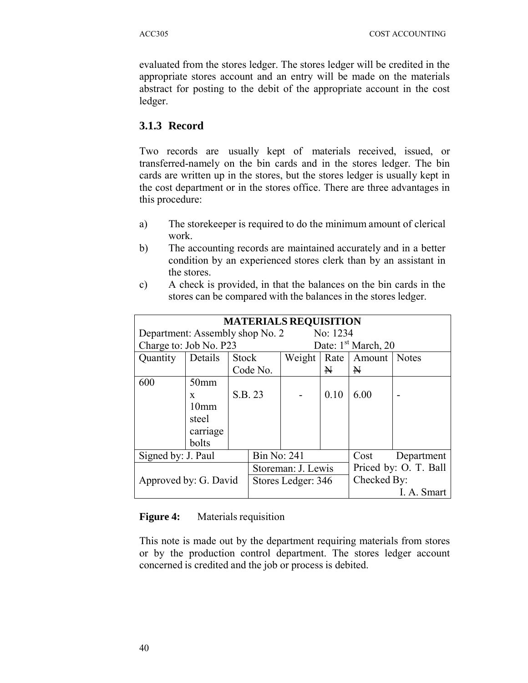evaluated from the stores ledger. The stores ledger will be credited in the appropriate stores account and an entry will be made on the materials abstract for posting to the debit of the appropriate account in the cost ledger.

## **3.1.3 Record**

Two records are usually kept of materials received, issued, or transferred-namely on the bin cards and in the stores ledger. The bin cards are written up in the stores, but the stores ledger is usually kept in the cost department or in the stores office. There are three advantages in this procedure:

- a) The storekeeper is required to do the minimum amount of clerical work.
- b) The accounting records are maintained accurately and in a better condition by an experienced stores clerk than by an assistant in the stores.
- c) A check is provided, in that the balances on the bin cards in the stores can be compared with the balances in the stores ledger.

| <b>MATERIALS REQUISITION</b>                |                  |              |                    |        |      |                                 |                       |  |
|---------------------------------------------|------------------|--------------|--------------------|--------|------|---------------------------------|-----------------------|--|
| No: 1234<br>Department: Assembly shop No. 2 |                  |              |                    |        |      |                                 |                       |  |
| Charge to: Job No. P23                      |                  |              |                    |        |      | Date: 1 <sup>st</sup> March, 20 |                       |  |
| Quantity                                    | Details          | <b>Stock</b> |                    | Weight | Rate | Amount                          | <b>Notes</b>          |  |
|                                             |                  |              | Code No.           |        | N    | N                               |                       |  |
| 600                                         | 50 <sub>mm</sub> |              |                    |        |      |                                 |                       |  |
|                                             | X                |              | S.B. 23            |        | 0.10 | 6.00                            |                       |  |
|                                             | 10 <sub>mm</sub> |              |                    |        |      |                                 |                       |  |
|                                             | steel            |              |                    |        |      |                                 |                       |  |
|                                             | carriage         |              |                    |        |      |                                 |                       |  |
|                                             | bolts            |              |                    |        |      |                                 |                       |  |
| <b>Bin No: 241</b><br>Signed by: J. Paul    |                  |              |                    |        | Cost | Department                      |                       |  |
|                                             |                  |              | Storeman: J. Lewis |        |      |                                 | Priced by: O. T. Ball |  |
| Approved by: G. David                       |                  |              | Stores Ledger: 346 |        |      | Checked By:                     |                       |  |
|                                             |                  |              |                    |        |      | I. A. Smart                     |                       |  |

### **Figure 4:** Materials requisition

This note is made out by the department requiring materials from stores or by the production control department. The stores ledger account concerned is credited and the job or process is debited.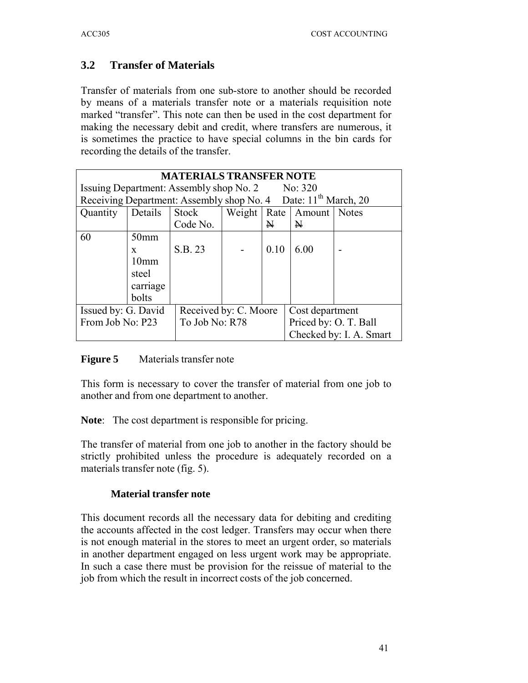## **3.2 Transfer of Materials**

Transfer of materials from one sub-store to another should be recorded by means of a materials transfer note or a materials requisition note marked "transfer". This note can then be used in the cost department for making the necessary debit and credit, where transfers are numerous, it is sometimes the practice to have special columns in the bin cards for recording the details of the transfer.

| <b>MATERIALS TRANSFER NOTE</b>                                  |                  |                                                                            |        |      |              |              |  |
|-----------------------------------------------------------------|------------------|----------------------------------------------------------------------------|--------|------|--------------|--------------|--|
|                                                                 |                  | Issuing Department: Assembly shop No. 2                                    |        |      | No: 320      |              |  |
|                                                                 |                  | Receiving Department: Assembly shop No. 4 Date: 11 <sup>th</sup> March, 20 |        |      |              |              |  |
| Quantity                                                        | Details          | Stock                                                                      | Weight | Rate | Amount       | <b>Notes</b> |  |
|                                                                 |                  | Code No.                                                                   |        | N    | $\mathbf{N}$ |              |  |
| 60                                                              | 50 <sub>mm</sub> |                                                                            |        |      |              |              |  |
|                                                                 | X                | S.B. 23                                                                    |        | 0.10 | 6.00         |              |  |
|                                                                 | 10 <sub>mm</sub> |                                                                            |        |      |              |              |  |
|                                                                 | steel            |                                                                            |        |      |              |              |  |
|                                                                 | carriage         |                                                                            |        |      |              |              |  |
|                                                                 | bolts            |                                                                            |        |      |              |              |  |
| Received by: C. Moore<br>Issued by: G. David<br>Cost department |                  |                                                                            |        |      |              |              |  |
| Priced by: O. T. Ball<br>From Job No: P23<br>To Job No: R78     |                  |                                                                            |        |      |              |              |  |
| Checked by: I. A. Smart                                         |                  |                                                                            |        |      |              |              |  |

### **Figure 5** Materials transfer note

This form is necessary to cover the transfer of material from one job to another and from one department to another.

**Note**: The cost department is responsible for pricing.

The transfer of material from one job to another in the factory should be strictly prohibited unless the procedure is adequately recorded on a materials transfer note (fig. 5).

### **Material transfer note**

This document records all the necessary data for debiting and crediting the accounts affected in the cost ledger. Transfers may occur when there is not enough material in the stores to meet an urgent order, so materials in another department engaged on less urgent work may be appropriate. In such a case there must be provision for the reissue of material to the job from which the result in incorrect costs of the job concerned.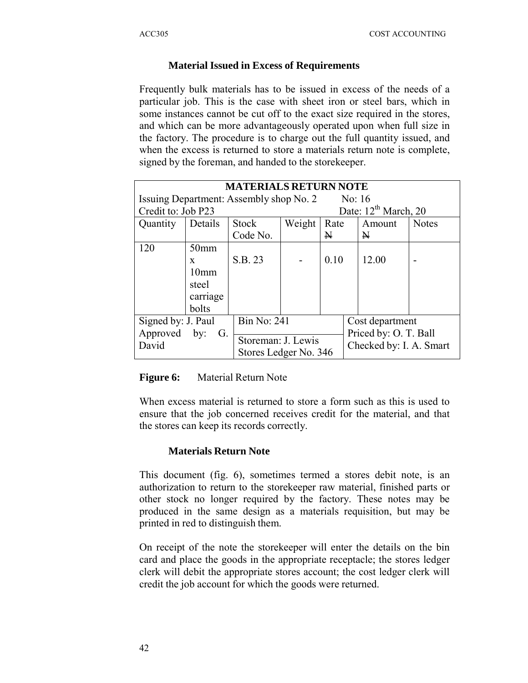### **Material Issued in Excess of Requirements**

Frequently bulk materials has to be issued in excess of the needs of a particular job. This is the case with sheet iron or steel bars, which in some instances cannot be cut off to the exact size required in the stores, and which can be more advantageously operated upon when full size in the factory. The procedure is to charge out the full quantity issued, and when the excess is returned to store a materials return note is complete, signed by the foreman, and handed to the storekeeper.

|                    | <b>MATERIALS RETURN NOTE</b>                        |                       |                    |      |  |                           |              |  |
|--------------------|-----------------------------------------------------|-----------------------|--------------------|------|--|---------------------------|--------------|--|
|                    | Issuing Department: Assembly shop No. 2<br>No: $16$ |                       |                    |      |  |                           |              |  |
| Credit to: Job P23 |                                                     |                       |                    |      |  | Date: $12^{th}$ March, 20 |              |  |
| Quantity           | Details                                             | <b>Stock</b>          | Weight             | Rate |  | Amount                    | <b>Notes</b> |  |
|                    |                                                     | Code No.              |                    | N    |  | Ħ                         |              |  |
| 120                | 50 <sub>mm</sub>                                    |                       |                    |      |  |                           |              |  |
|                    | X                                                   | S.B. 23               |                    | 0.10 |  | 12.00                     |              |  |
|                    | 10 <sub>mm</sub>                                    |                       |                    |      |  |                           |              |  |
|                    | steel                                               |                       |                    |      |  |                           |              |  |
|                    | carriage                                            |                       |                    |      |  |                           |              |  |
|                    | bolts                                               |                       |                    |      |  |                           |              |  |
| Signed by: J. Paul |                                                     |                       | <b>Bin No: 241</b> |      |  | Cost department           |              |  |
| Approved by:       | G.                                                  |                       |                    |      |  | Priced by: O. T. Ball     |              |  |
| David              |                                                     |                       | Storeman: J. Lewis |      |  | Checked by: I. A. Smart   |              |  |
|                    |                                                     | Stores Ledger No. 346 |                    |      |  |                           |              |  |

#### **Figure 6:** Material Return Note

When excess material is returned to store a form such as this is used to ensure that the job concerned receives credit for the material, and that the stores can keep its records correctly.

### **Materials Return Note**

This document (fig. 6), sometimes termed a stores debit note, is an authorization to return to the storekeeper raw material, finished parts or other stock no longer required by the factory. These notes may be produced in the same design as a materials requisition, but may be printed in red to distinguish them.

On receipt of the note the storekeeper will enter the details on the bin card and place the goods in the appropriate receptacle; the stores ledger clerk will debit the appropriate stores account; the cost ledger clerk will credit the job account for which the goods were returned.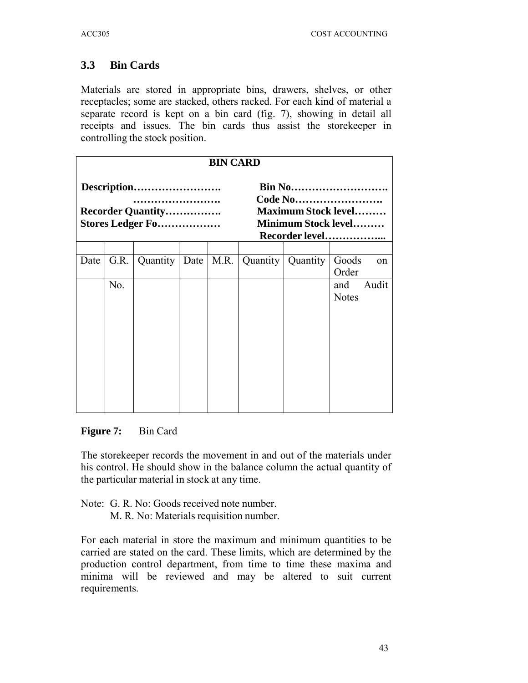# **3.3 Bin Cards**

Materials are stored in appropriate bins, drawers, shelves, or other receptacles; some are stacked, others racked. For each kind of material a separate record is kept on a bin card (fig. 7), showing in detail all receipts and issues. The bin cards thus assist the storekeeper in controlling the stock position.

|      | <b>BIN CARD</b> |                                                     |      |      |  |                     |                                                                                                 |  |
|------|-----------------|-----------------------------------------------------|------|------|--|---------------------|-------------------------------------------------------------------------------------------------|--|
|      |                 | <b>Recorder Quantity</b><br><b>Stores Ledger Fo</b> | .    |      |  |                     | <b>Bin No</b><br>Code No<br><b>Maximum Stock level</b><br>Minimum Stock level<br>Recorder level |  |
| Date | G.R.            | Quantity                                            | Date | M.R. |  | Quantity   Quantity | Goods<br>on<br>Order                                                                            |  |
|      | No.             |                                                     |      |      |  |                     | Audit<br>and<br><b>Notes</b>                                                                    |  |

### **Figure 7:** Bin Card

The storekeeper records the movement in and out of the materials under his control. He should show in the balance column the actual quantity of the particular material in stock at any time.

Note: G. R. No: Goods received note number.

M. R. No: Materials requisition number.

For each material in store the maximum and minimum quantities to be carried are stated on the card. These limits, which are determined by the production control department, from time to time these maxima and minima will be reviewed and may be altered to suit current requirements.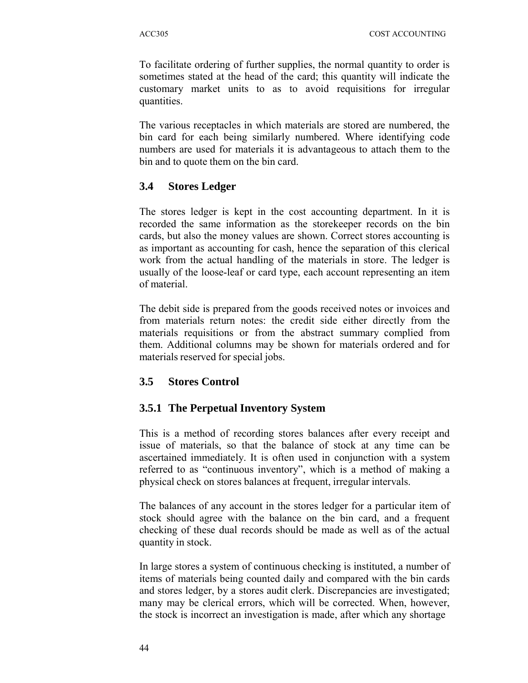To facilitate ordering of further supplies, the normal quantity to order is sometimes stated at the head of the card; this quantity will indicate the customary market units to as to avoid requisitions for irregular quantities.

The various receptacles in which materials are stored are numbered, the bin card for each being similarly numbered. Where identifying code numbers are used for materials it is advantageous to attach them to the bin and to quote them on the bin card.

## **3.4 Stores Ledger**

The stores ledger is kept in the cost accounting department. In it is recorded the same information as the storekeeper records on the bin cards, but also the money values are shown. Correct stores accounting is as important as accounting for cash, hence the separation of this clerical work from the actual handling of the materials in store. The ledger is usually of the loose-leaf or card type, each account representing an item of material.

The debit side is prepared from the goods received notes or invoices and from materials return notes: the credit side either directly from the materials requisitions or from the abstract summary complied from them. Additional columns may be shown for materials ordered and for materials reserved for special jobs.

## **3.5 Stores Control**

# **3.5.1 The Perpetual Inventory System**

This is a method of recording stores balances after every receipt and issue of materials, so that the balance of stock at any time can be ascertained immediately. It is often used in conjunction with a system referred to as "continuous inventory", which is a method of making a physical check on stores balances at frequent, irregular intervals.

The balances of any account in the stores ledger for a particular item of stock should agree with the balance on the bin card, and a frequent checking of these dual records should be made as well as of the actual quantity in stock.

In large stores a system of continuous checking is instituted, a number of items of materials being counted daily and compared with the bin cards and stores ledger, by a stores audit clerk. Discrepancies are investigated; many may be clerical errors, which will be corrected. When, however, the stock is incorrect an investigation is made, after which any shortage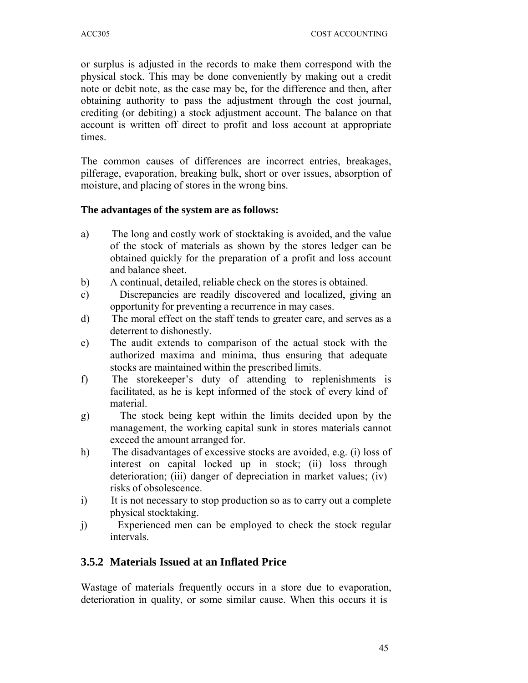or surplus is adjusted in the records to make them correspond with the physical stock. This may be done conveniently by making out a credit note or debit note, as the case may be, for the difference and then, after obtaining authority to pass the adjustment through the cost journal, crediting (or debiting) a stock adjustment account. The balance on that account is written off direct to profit and loss account at appropriate times.

The common causes of differences are incorrect entries, breakages, pilferage, evaporation, breaking bulk, short or over issues, absorption of moisture, and placing of stores in the wrong bins.

### **The advantages of the system are as follows:**

- a) The long and costly work of stocktaking is avoided, and the value of the stock of materials as shown by the stores ledger can be obtained quickly for the preparation of a profit and loss account and balance sheet.
- b) A continual, detailed, reliable check on the stores is obtained.
- c) Discrepancies are readily discovered and localized, giving an opportunity for preventing a recurrence in may cases.
- d) The moral effect on the staff tends to greater care, and serves as a deterrent to dishonestly.
- e) The audit extends to comparison of the actual stock with the authorized maxima and minima, thus ensuring that adequate stocks are maintained within the prescribed limits.
- f) The storekeeper's duty of attending to replenishments is facilitated, as he is kept informed of the stock of every kind of material.
- g) The stock being kept within the limits decided upon by the management, the working capital sunk in stores materials cannot exceed the amount arranged for.
- h) The disadvantages of excessive stocks are avoided, e.g. (i) loss of interest on capital locked up in stock; (ii) loss through deterioration; (iii) danger of depreciation in market values; (iv) risks of obsolescence.
- i) It is not necessary to stop production so as to carry out a complete physical stocktaking.
- j) Experienced men can be employed to check the stock regular intervals.

## **3.5.2 Materials Issued at an Inflated Price**

Wastage of materials frequently occurs in a store due to evaporation, deterioration in quality, or some similar cause. When this occurs it is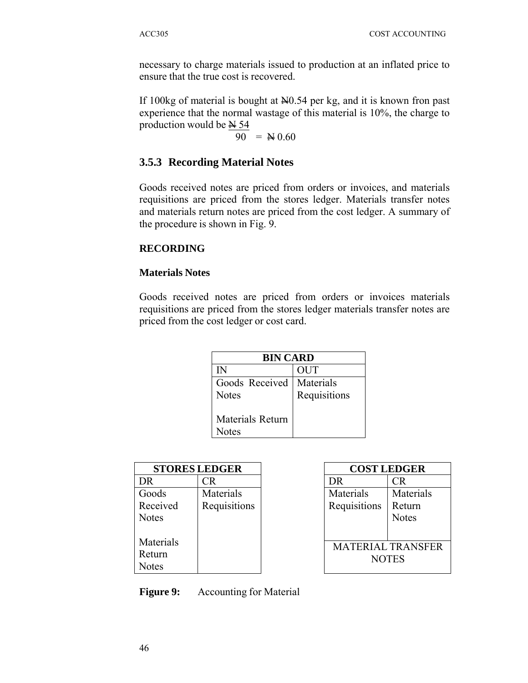necessary to charge materials issued to production at an inflated price to ensure that the true cost is recovered.

If 100kg of material is bought at  $N = 54$  per kg, and it is known fron past experience that the normal wastage of this material is 10%, the charge to production would be  $N_{54}$ 

 $90 = \mathbf{N} 0.60$ 

### **3.5.3 Recording Material Notes**

Goods received notes are priced from orders or invoices, and materials requisitions are priced from the stores ledger. Materials transfer notes and materials return notes are priced from the cost ledger. A summary of the procedure is shown in Fig. 9.

#### **RECORDING**

#### **Materials Notes**

Goods received notes are priced from orders or invoices materials requisitions are priced from the stores ledger materials transfer notes are priced from the cost ledger or cost card.

| <b>BIN CARD</b>  |              |  |  |  |  |
|------------------|--------------|--|--|--|--|
| IN               | OUT          |  |  |  |  |
| Goods Received   | Materials    |  |  |  |  |
| <b>Notes</b>     | Requisitions |  |  |  |  |
|                  |              |  |  |  |  |
| Materials Return |              |  |  |  |  |
| Notes            |              |  |  |  |  |

| <b>STORES LEDGER</b> |              |  |
|----------------------|--------------|--|
| DR.                  | CR.          |  |
| Goods                | Materials    |  |
| Received             | Requisitions |  |
| <b>Notes</b>         |              |  |
| Materials            |              |  |
| Return               |              |  |
| Notes                |              |  |

| <b>COST LEDGER</b>        |                                     |  |  |  |  |
|---------------------------|-------------------------------------|--|--|--|--|
| DR.                       | CR                                  |  |  |  |  |
| Materials<br>Requisitions | Materials<br>Return<br><b>Notes</b> |  |  |  |  |
| <b>NOTES</b>              | <b>MATERIAL TRANSFER</b>            |  |  |  |  |

**Figure 9:** Accounting for Material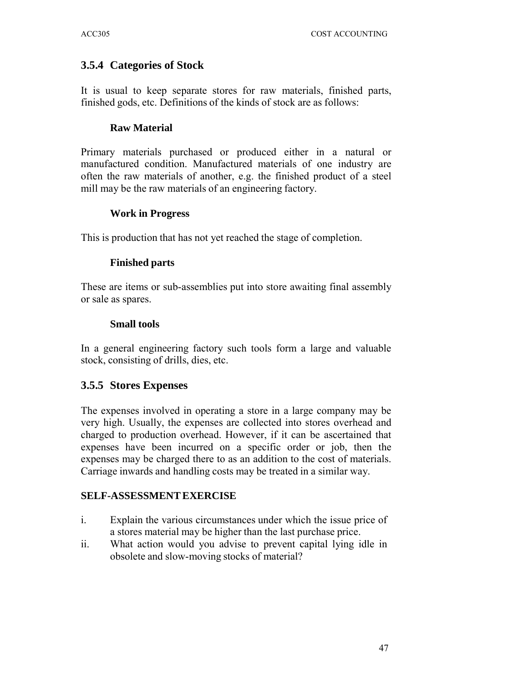## **3.5.4 Categories of Stock**

It is usual to keep separate stores for raw materials, finished parts, finished gods, etc. Definitions of the kinds of stock are as follows:

### **Raw Material**

Primary materials purchased or produced either in a natural or manufactured condition. Manufactured materials of one industry are often the raw materials of another, e.g. the finished product of a steel mill may be the raw materials of an engineering factory.

### **Work in Progress**

This is production that has not yet reached the stage of completion.

### **Finished parts**

These are items or sub-assemblies put into store awaiting final assembly or sale as spares.

### **Small tools**

In a general engineering factory such tools form a large and valuable stock, consisting of drills, dies, etc.

## **3.5.5 Stores Expenses**

The expenses involved in operating a store in a large company may be very high. Usually, the expenses are collected into stores overhead and charged to production overhead. However, if it can be ascertained that expenses have been incurred on a specific order or job, then the expenses may be charged there to as an addition to the cost of materials. Carriage inwards and handling costs may be treated in a similar way.

### **SELF-ASSESSMENT EXERCISE**

- i. Explain the various circumstances under which the issue price of a stores material may be higher than the last purchase price.
- ii. What action would you advise to prevent capital lying idle in obsolete and slow-moving stocks of material?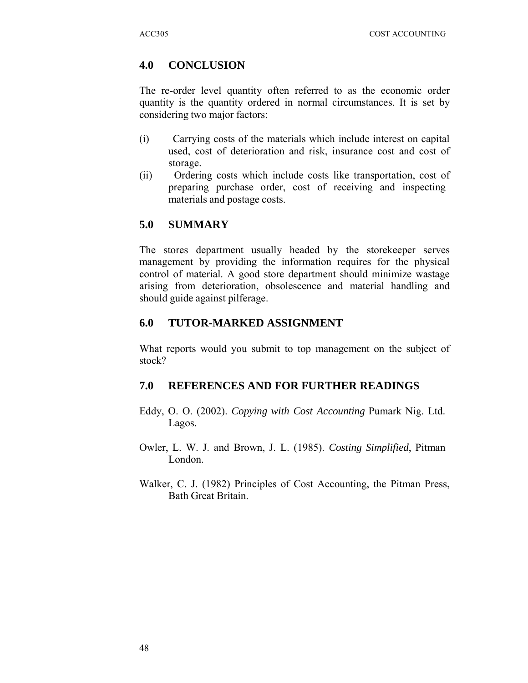## **4.0 CONCLUSION**

The re-order level quantity often referred to as the economic order quantity is the quantity ordered in normal circumstances. It is set by considering two major factors:

- (i) Carrying costs of the materials which include interest on capital used, cost of deterioration and risk, insurance cost and cost of storage.
- (ii) Ordering costs which include costs like transportation, cost of preparing purchase order, cost of receiving and inspecting materials and postage costs.

## **5.0 SUMMARY**

The stores department usually headed by the storekeeper serves management by providing the information requires for the physical control of material. A good store department should minimize wastage arising from deterioration, obsolescence and material handling and should guide against pilferage.

### **6.0 TUTOR-MARKED ASSIGNMENT**

What reports would you submit to top management on the subject of stock?

## **7.0 REFERENCES AND FOR FURTHER READINGS**

- Eddy, O. O. (2002). *Copying with Cost Accounting* Pumark Nig. Ltd. Lagos.
- Owler, L. W. J. and Brown, J. L. (1985). *Costing Simplified*, Pitman London.
- Walker, C. J. (1982) Principles of Cost Accounting, the Pitman Press, Bath Great Britain.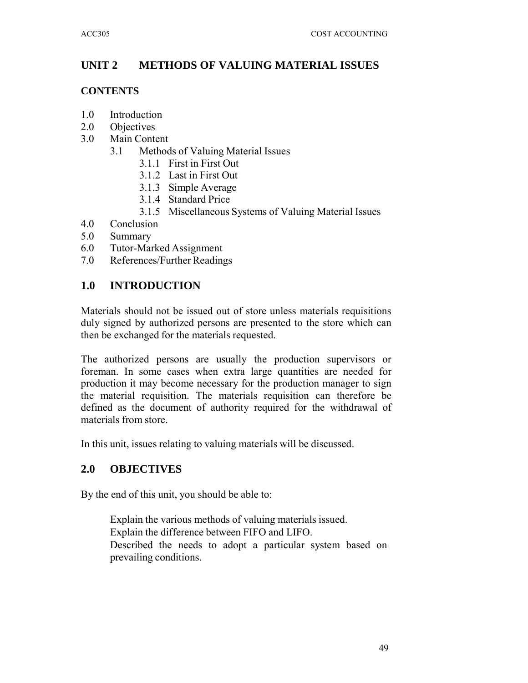# **UNIT 2 METHODS OF VALUING MATERIAL ISSUES**

### **CONTENTS**

- 1.0 Introduction
- 2.0 Objectives
- 3.0 Main Content
	- 3.1 Methods of Valuing Material Issues
		- 3.1.1 First in First Out
		- 3.1.2 Last in First Out
		- 3.1.3 Simple Average
		- 3.1.4 Standard Price
		- 3.1.5 Miscellaneous Systems of Valuing Material Issues
- 4.0 Conclusion
- 5.0 Summary
- 6.0 Tutor-Marked Assignment
- 7.0 References/Further Readings

## **1.0 INTRODUCTION**

Materials should not be issued out of store unless materials requisitions duly signed by authorized persons are presented to the store which can then be exchanged for the materials requested.

The authorized persons are usually the production supervisors or foreman. In some cases when extra large quantities are needed for production it may become necessary for the production manager to sign the material requisition. The materials requisition can therefore be defined as the document of authority required for the withdrawal of materials from store.

In this unit, issues relating to valuing materials will be discussed.

## **2.0 OBJECTIVES**

By the end of this unit, you should be able to:

Explain the various methods of valuing materials issued. Explain the difference between FIFO and LIFO. Described the needs to adopt a particular system based on prevailing conditions.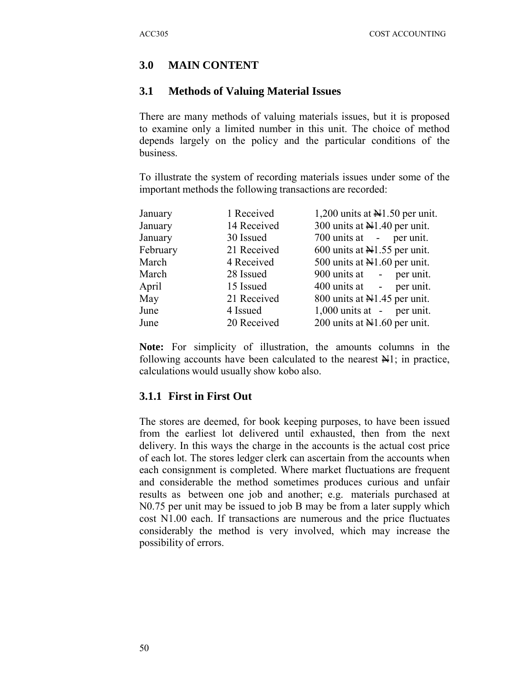## **3.0 MAIN CONTENT**

### **3.1 Methods of Valuing Material Issues**

There are many methods of valuing materials issues, but it is proposed to examine only a limited number in this unit. The choice of method depends largely on the policy and the particular conditions of the business.

To illustrate the system of recording materials issues under some of the important methods the following transactions are recorded:

| January  | 1 Received  | 1,200 units at $\mathbb{H}1.50$ per unit. |
|----------|-------------|-------------------------------------------|
| January  | 14 Received | 300 units at $\mathbb{H}1.40$ per unit.   |
| January  | 30 Issued   | 700 units at - per unit.                  |
| February | 21 Received | 600 units at $\mathbb{H}1.55$ per unit.   |
| March    | 4 Received  | 500 units at $\mathbb{H}1.60$ per unit.   |
| March    | 28 Issued   | 900 units at - per unit.                  |
| April    | 15 Issued   | 400 units at - per unit.                  |
| May      | 21 Received | 800 units at $\mathbb{N}1.45$ per unit.   |
| June     | 4 Issued    | $1,000$ units at - per unit.              |
| June     | 20 Received | 200 units at $\mathbb{H}1.60$ per unit.   |

**Note:** For simplicity of illustration, the amounts columns in the following accounts have been calculated to the nearest  $\mathbb{H}$ 1; in practice, calculations would usually show kobo also.

### **3.1.1 First in First Out**

The stores are deemed, for book keeping purposes, to have been issued from the earliest lot delivered until exhausted, then from the next delivery. In this ways the charge in the accounts is the actual cost price of each lot. The stores ledger clerk can ascertain from the accounts when each consignment is completed. Where market fluctuations are frequent and considerable the method sometimes produces curious and unfair results as between one job and another; e.g. materials purchased at N0.75 per unit may be issued to job B may be from a later supply which cost N1.00 each. If transactions are numerous and the price fluctuates considerably the method is very involved, which may increase the possibility of errors.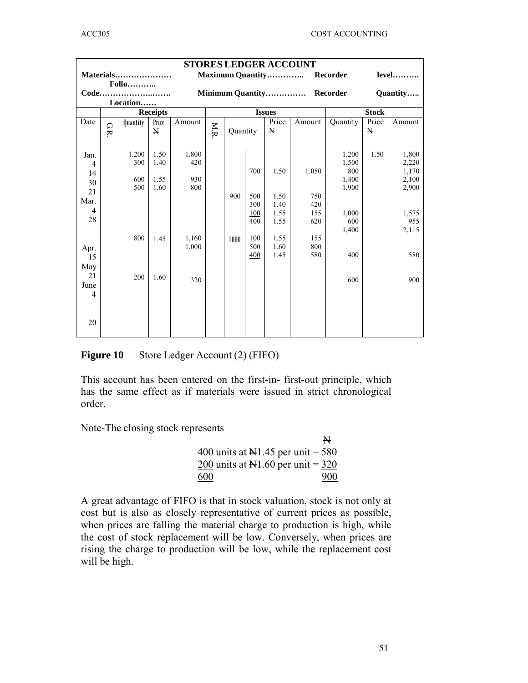|                |                                   |              |                 |        |     |          |            |               | <b>STORES LEDGER ACCOUNT</b>     |          |              |         |
|----------------|-----------------------------------|--------------|-----------------|--------|-----|----------|------------|---------------|----------------------------------|----------|--------------|---------|
|                |                                   | Materials    |                 |        |     |          |            |               | <b>Maximum Quantity Recorder</b> |          |              | $level$ |
|                |                                   | <b>Follo</b> |                 |        |     |          |            |               |                                  |          |              |         |
|                | Code<br>Minimum Quantity Recorder |              |                 |        |     |          |            | Quantity      |                                  |          |              |         |
|                |                                   | Location     |                 |        |     |          |            |               |                                  |          |              |         |
|                |                                   |              | <b>Receipts</b> |        |     |          |            | <b>Issues</b> |                                  |          | <b>Stock</b> |         |
| Date           | GR                                | Quantity     | Price           | Amount |     |          |            | Price         | Amount                           | Quantity | Price        | Amount  |
|                |                                   |              | N               |        | N.R | Quantity |            | N             |                                  |          | N            |         |
|                |                                   |              |                 |        |     |          |            |               |                                  |          |              |         |
| Jan.           |                                   | 1.200        | 1.50            | 1.800  |     |          |            |               |                                  | 1,200    | 1.50         | 1,800   |
| $\overline{4}$ |                                   | 300          | 1.40            | 420    |     |          |            |               |                                  | 1,500    |              | 2,220   |
| 14             |                                   |              |                 |        |     |          | 700        | 1.50          | 1.050                            | 800      |              | 1,170   |
| 30             |                                   | 600          | 1.55            | 930    |     |          |            |               |                                  | 1,400    |              | 2,100   |
| 21             |                                   | 500          | 1.60            | 800    |     |          |            |               |                                  | 1,900    |              | 2,900   |
| Mar.           |                                   |              |                 |        |     | 900      | 500<br>300 | 1.50<br>1.40  | 750<br>420                       |          |              |         |
| 4              |                                   |              |                 |        |     |          | <u>100</u> | 1.55          | 155                              | 1,000    |              | 1,575   |
| 28             |                                   |              |                 |        |     |          | 400        | 1.55          | 620                              | 600      |              | 955     |
|                |                                   |              |                 |        |     |          |            |               |                                  | 1,400    |              | 2,115   |
|                |                                   | 800          | 1.45            | 1,160  |     | 1000     | 100        | 1.55          | 155                              |          |              |         |
| Apr.           |                                   |              |                 | 1,000  |     |          | 500        | 1.60          | 800                              |          |              |         |
| 15             |                                   |              |                 |        |     |          | 400        | 1.45          | 580                              | 400      |              | 580     |
| May            |                                   |              |                 |        |     |          |            |               |                                  |          |              |         |
| 21             |                                   | 200          | 1.60            |        |     |          |            |               |                                  |          |              |         |
| June           |                                   |              |                 | 320    |     |          |            |               |                                  | 600      |              | 900     |
| 4              |                                   |              |                 |        |     |          |            |               |                                  |          |              |         |
|                |                                   |              |                 |        |     |          |            |               |                                  |          |              |         |
|                |                                   |              |                 |        |     |          |            |               |                                  |          |              |         |
| 20             |                                   |              |                 |        |     |          |            |               |                                  |          |              |         |
|                |                                   |              |                 |        |     |          |            |               |                                  |          |              |         |

### **Figure 10** Store Ledger Account (2) (FIFO)

This account has been entered on the first-in- first-out principle, which has the same effect as if materials were issued in strict chronological order.

Note-The closing stock represents

|                                              | N   |
|----------------------------------------------|-----|
| 400 units at $\mathbb{N}1.45$ per unit = 580 |     |
| 200 units at $H1.60$ per unit = 320          |     |
| 600                                          | 900 |

A great advantage of FIFO is that in stock valuation, stock is not only at cost but is also as closely representative of current prices as possible, when prices are falling the material charge to production is high, while the cost of stock replacement will be low. Conversely, when prices are rising the charge to production will be low, while the replacement cost will be high.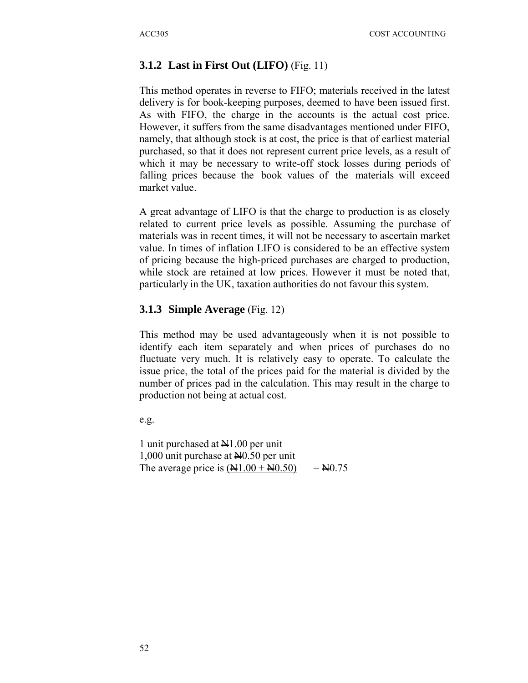## **3.1.2 Last in First Out (LIFO)** (Fig. 11)

This method operates in reverse to FIFO; materials received in the latest delivery is for book-keeping purposes, deemed to have been issued first. As with FIFO, the charge in the accounts is the actual cost price. However, it suffers from the same disadvantages mentioned under FIFO, namely, that although stock is at cost, the price is that of earliest material purchased, so that it does not represent current price levels, as a result of which it may be necessary to write-off stock losses during periods of falling prices because the book values of the materials will exceed market value.

A great advantage of LIFO is that the charge to production is as closely related to current price levels as possible. Assuming the purchase of materials was in recent times, it will not be necessary to ascertain market value. In times of inflation LIFO is considered to be an effective system of pricing because the high-priced purchases are charged to production, while stock are retained at low prices. However it must be noted that, particularly in the UK, taxation authorities do not favour this system.

### **3.1.3 Simple Average** (Fig. 12)

This method may be used advantageously when it is not possible to identify each item separately and when prices of purchases do no fluctuate very much. It is relatively easy to operate. To calculate the issue price, the total of the prices paid for the material is divided by the number of prices pad in the calculation. This may result in the charge to production not being at actual cost.

e.g.

1 unit purchased at N1.00 per unit 1,000 unit purchase at  $\text{H}0.50$  per unit The average price is  $(\frac{1}{2}41.00 + \frac{1}{2}0.50) = \frac{1}{2}0.75$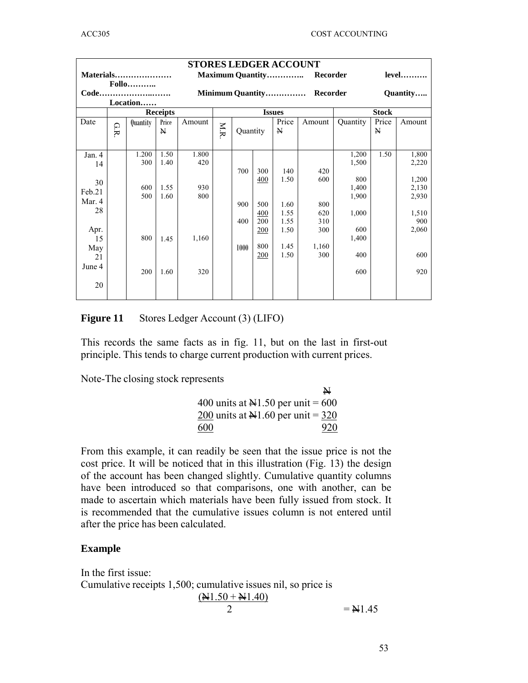|            |       |          |                 | <b>STORES LEDGER ACCOUNT</b> |                           |          |     |               |                                  |          |              |          |
|------------|-------|----------|-----------------|------------------------------|---------------------------|----------|-----|---------------|----------------------------------|----------|--------------|----------|
| Materials  |       |          |                 |                              |                           |          |     |               | <b>Maximum Quantity Recorder</b> |          |              | $level$  |
|            | Follo |          |                 |                              |                           |          |     |               |                                  |          |              |          |
|            |       | Code     |                 |                              | Minimum Quantity Recorder |          |     |               |                                  |          |              | Quantity |
|            |       | Location |                 |                              |                           |          |     |               |                                  |          |              |          |
|            |       |          | <b>Receipts</b> |                              |                           |          |     | <b>Issues</b> |                                  |          | <b>Stock</b> |          |
| Date       |       | Quantity | Price           | Amount                       |                           |          |     | Price         | Amount                           | Quantity | Price        | Amount   |
|            | G.R   |          | N               |                              | N.R                       | Quantity |     | N             |                                  |          | N            |          |
|            |       |          |                 |                              |                           |          |     |               |                                  |          |              |          |
| Jan. 4     |       | 1.200    | 1.50            | 1.800                        |                           |          |     |               |                                  | 1,200    | 1.50         | 1,800    |
| 14         |       | 300      | 1.40            | 420                          |                           |          |     |               |                                  | 1,500    |              | 2,220    |
|            |       |          |                 |                              |                           | 700      | 300 | 140           | 420                              |          |              |          |
| 30         |       |          |                 |                              |                           |          | 400 | 1.50          | 600                              | 800      |              | 1,200    |
| Feb.21     |       | 600      | 1.55            | 930                          |                           |          |     |               |                                  | 1,400    |              | 2,130    |
| Mar. 4     |       | 500      | 1.60            | 800                          |                           |          |     |               |                                  | 1,900    |              | 2,930    |
| 28         |       |          |                 |                              |                           | 900      | 500 | 1.60          | 800                              |          |              |          |
|            |       |          |                 |                              |                           |          | 400 | 1.55          | 620                              | 1,000    |              | 1,510    |
|            |       |          |                 |                              |                           | 400      | 200 | 1.55<br>1.50  | 310<br>300                       | 600      |              | 900      |
| Apr.<br>15 |       | 800      | 1.45            | 1,160                        |                           |          | 200 |               |                                  | 1,400    |              | 2,060    |
|            |       |          |                 |                              |                           | 1000     | 800 | 1.45          | 1,160                            |          |              |          |
| May        |       |          |                 |                              |                           |          | 200 | 1.50          | 300                              | 400      |              | 600      |
| 21         |       |          |                 |                              |                           |          |     |               |                                  |          |              |          |
| June 4     |       | 200      | 1.60            | 320                          |                           |          |     |               |                                  | 600      |              | 920      |
| 20         |       |          |                 |                              |                           |          |     |               |                                  |          |              |          |
|            |       |          |                 |                              |                           |          |     |               |                                  |          |              |          |

### **Figure 11** Stores Ledger Account (3) (LIFO)

This records the same facts as in fig. 11, but on the last in first-out principle. This tends to charge current production with current prices.

Note-The closing stock represents

|                                              | N   |
|----------------------------------------------|-----|
| 400 units at $\mathbb{H}1.50$ per unit = 600 |     |
| 200 units at $H1.60$ per unit = 320          |     |
| 600                                          | 920 |

From this example, it can readily be seen that the issue price is not the cost price. It will be noticed that in this illustration (Fig. 13) the design of the account has been changed slightly. Cumulative quantity columns have been introduced so that comparisons, one with another, can be made to ascertain which materials have been fully issued from stock. It is recommended that the cumulative issues column is not entered until after the price has been calculated.

### **Example**

In the first issue: Cumulative receipts 1,500; cumulative issues nil, so price is  $(H1.50 + H1.40)$ 2  $= N1.45$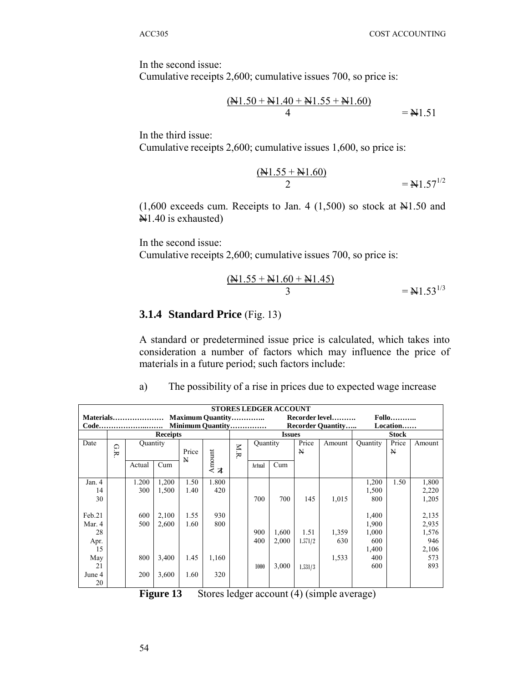In the second issue:

Cumulative receipts 2,600; cumulative issues 700, so price is:

$$
\frac{(\mathbf{H}1.50 + \mathbf{H}1.40 + \mathbf{H}1.55 + \mathbf{H}1.60)}{4} = \mathbf{H}1.51
$$

In the third issue:

Cumulative receipts 2,600; cumulative issues 1,600, so price is:

$$
\frac{(\mathbf{H}1.55 + \mathbf{H}1.60)}{2} = \mathbf{H}1.57^{1/2}
$$

 $(1,600$  exceeds cum. Receipts to Jan. 4  $(1,500)$  so stock at  $\mathbb{N}1.50$  and N1.40 is exhausted)

In the second issue:

Cumulative receipts 2,600; cumulative issues 700, so price is:

$$
\frac{(\cancel{11.55} + \cancel{11.60} + \cancel{11.45})}{3} = \cancel{11.53}^{1/3}
$$

#### **3.1.4 Standard Price** (Fig. 13)

A standard or predetermined issue price is calculated, which takes into consideration a number of factors which may influence the price of materials in a future period; such factors include:

|                                      | <b>STORES LEDGER ACCOUNT</b> |          |                 |            |             |            |          |               |              |                          |                 |              |        |  |
|--------------------------------------|------------------------------|----------|-----------------|------------|-------------|------------|----------|---------------|--------------|--------------------------|-----------------|--------------|--------|--|
| Materials<br><b>Maximum Quantity</b> |                              |          |                 |            |             |            |          |               |              | Recorder level           |                 | $Follo$      |        |  |
| Minimum Quantity<br>Code             |                              |          |                 |            |             |            |          |               |              | <b>Recorder Quantity</b> |                 | Location     |        |  |
|                                      |                              |          | <b>Receipts</b> |            |             |            |          | <b>Issues</b> |              |                          |                 | <b>Stock</b> |        |  |
| Date                                 |                              | Quantity |                 |            |             |            | Quantity |               | Price        | Amount                   | <b>Quantity</b> | Price        | Amount |  |
|                                      | G.R                          |          |                 | Price<br>N |             | <b>N.R</b> |          |               | $\mathbf{N}$ |                          |                 | N            |        |  |
|                                      |                              | Actual   | Cum             |            | Amount<br>本 |            | Actual   | Cum           |              |                          |                 |              |        |  |
| Jan. $4$                             |                              | 1.200    | 1,200           | 1.50       | 1.800       |            |          |               |              |                          | 1,200           | 1.50         | 1,800  |  |
| 14                                   |                              | 300      | 1,500           | 1.40       | 420         |            |          |               |              |                          | 1,500           |              | 2,220  |  |
| 30                                   |                              |          |                 |            |             |            | 700      | 700           | 145          | 1,015                    | 800             |              | 1,205  |  |
|                                      |                              |          |                 |            |             |            |          |               |              |                          |                 |              |        |  |
| Feb.21                               |                              | 600      | 2,100           | 1.55       | 930         |            |          |               |              |                          | 1,400           |              | 2,135  |  |
| Mar. 4                               |                              | 500      | 2,600           | 1.60       | 800         |            |          |               |              |                          | 1,900           |              | 2,935  |  |
| 28                                   |                              |          |                 |            |             |            | 900      | 1,600         | 1.51         | 1,359                    | 1,000           |              | 1,576  |  |
| Apr.                                 |                              |          |                 |            |             |            | 400      | 2,000         | 1.571/2      | 630                      | 600             |              | 946    |  |
| 15                                   |                              |          |                 |            |             |            |          |               |              |                          | 1,400           |              | 2,106  |  |
| May                                  |                              | 800      | 3,400           | 1.45       | 1,160       |            |          |               |              | 1,533                    | 400             |              | 573    |  |
| 21                                   |                              |          |                 |            |             |            | 1000     | 3,000         | 1.531/3      |                          | 600             |              | 893    |  |
| June 4                               |                              | 200      | 3,600           | 1.60       | 320         |            |          |               |              |                          |                 |              |        |  |
| 20                                   |                              |          |                 |            |             |            |          |               |              |                          |                 |              |        |  |

a) The possibility of a rise in prices due to expected wage increase

**Figure 13** Stores ledger account (4) (simple average)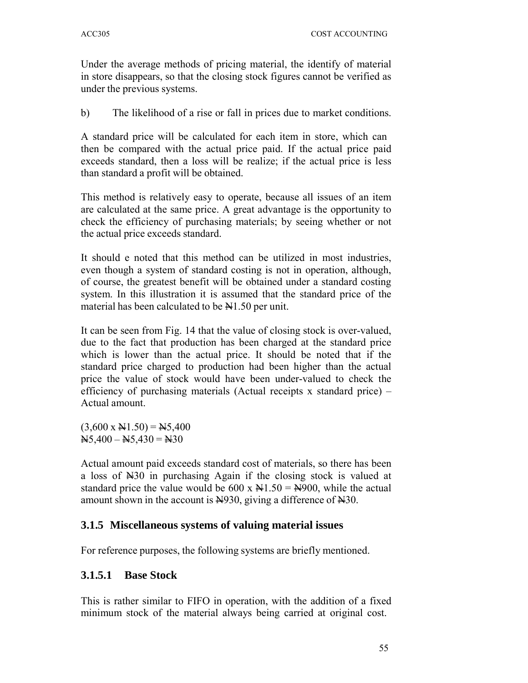Under the average methods of pricing material, the identify of material in store disappears, so that the closing stock figures cannot be verified as under the previous systems.

b) The likelihood of a rise or fall in prices due to market conditions.

A standard price will be calculated for each item in store, which can then be compared with the actual price paid. If the actual price paid exceeds standard, then a loss will be realize; if the actual price is less than standard a profit will be obtained.

This method is relatively easy to operate, because all issues of an item are calculated at the same price. A great advantage is the opportunity to check the efficiency of purchasing materials; by seeing whether or not the actual price exceeds standard.

It should e noted that this method can be utilized in most industries, even though a system of standard costing is not in operation, although, of course, the greatest benefit will be obtained under a standard costing system. In this illustration it is assumed that the standard price of the material has been calculated to be  $\overline{N}$ 1.50 per unit.

It can be seen from Fig. 14 that the value of closing stock is over-valued, due to the fact that production has been charged at the standard price which is lower than the actual price. It should be noted that if the standard price charged to production had been higher than the actual price the value of stock would have been under-valued to check the efficiency of purchasing materials (Actual receipts x standard price) – Actual amount.

 $(3,600 \text{ x } \triangle 1.50) = \triangle 5,400$  $N5,400 - N5,430 = N30$ 

Actual amount paid exceeds standard cost of materials, so there has been a loss of N30 in purchasing Again if the closing stock is valued at standard price the value would be 600 x  $\frac{N}{1.50} = \frac{N}{900}$ , while the actual amount shown in the account is  $\frac{N}{30}$ , giving a difference of  $\frac{N}{30}$ .

### **3.1.5 Miscellaneous systems of valuing material issues**

For reference purposes, the following systems are briefly mentioned.

## **3.1.5.1 Base Stock**

This is rather similar to FIFO in operation, with the addition of a fixed minimum stock of the material always being carried at original cost.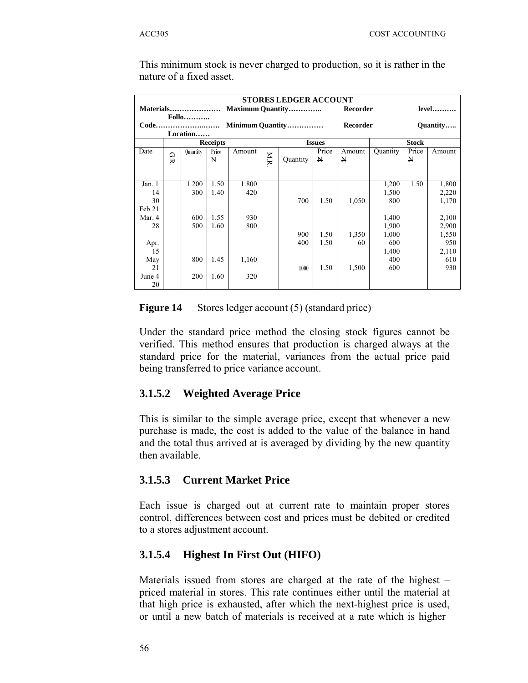| <b>STORES LEDGER ACCOUNT</b><br>Recorder<br>$Follo$<br>Code<br>Minimum Quantity<br>Recorder<br>Location<br><b>Receipts</b><br><b>Issues</b><br><b>Stock</b><br>Price<br>Date<br>Price<br>Quantity<br>Amount<br>Quantity<br>Price<br>Amount<br><b>N.R</b><br>GR<br>$\mathbb N$<br>$\mathbf{N}$<br>Quantity<br>N<br>N<br>1.200<br>1.50<br>1.800<br>1.50<br>1,200<br>Jan. 1<br>14<br>300<br>1.40<br>420<br>1,500<br>1.50<br>700<br>1,050<br>30<br>800<br>Feb.21<br>1,400<br>Mar. 4<br>1.55<br>600<br>930<br>800<br>1,900<br>28<br>500<br>1.60<br>1,000<br>900<br>1.50<br>1,350<br>600<br>400<br>60<br>Apr.<br>1.50 |          |       |  |  |  |  |    |
|-----------------------------------------------------------------------------------------------------------------------------------------------------------------------------------------------------------------------------------------------------------------------------------------------------------------------------------------------------------------------------------------------------------------------------------------------------------------------------------------------------------------------------------------------------------------------------------------------------------------|----------|-------|--|--|--|--|----|
|                                                                                                                                                                                                                                                                                                                                                                                                                                                                                                                                                                                                                 |          |       |  |  |  |  |    |
|                                                                                                                                                                                                                                                                                                                                                                                                                                                                                                                                                                                                                 | $level$  |       |  |  |  |  |    |
|                                                                                                                                                                                                                                                                                                                                                                                                                                                                                                                                                                                                                 |          |       |  |  |  |  |    |
|                                                                                                                                                                                                                                                                                                                                                                                                                                                                                                                                                                                                                 | Quantity |       |  |  |  |  |    |
|                                                                                                                                                                                                                                                                                                                                                                                                                                                                                                                                                                                                                 |          |       |  |  |  |  |    |
|                                                                                                                                                                                                                                                                                                                                                                                                                                                                                                                                                                                                                 |          |       |  |  |  |  |    |
|                                                                                                                                                                                                                                                                                                                                                                                                                                                                                                                                                                                                                 | Amount   |       |  |  |  |  |    |
|                                                                                                                                                                                                                                                                                                                                                                                                                                                                                                                                                                                                                 |          |       |  |  |  |  |    |
|                                                                                                                                                                                                                                                                                                                                                                                                                                                                                                                                                                                                                 |          |       |  |  |  |  |    |
|                                                                                                                                                                                                                                                                                                                                                                                                                                                                                                                                                                                                                 |          |       |  |  |  |  |    |
|                                                                                                                                                                                                                                                                                                                                                                                                                                                                                                                                                                                                                 | 1,800    |       |  |  |  |  |    |
|                                                                                                                                                                                                                                                                                                                                                                                                                                                                                                                                                                                                                 | 2,220    |       |  |  |  |  |    |
|                                                                                                                                                                                                                                                                                                                                                                                                                                                                                                                                                                                                                 | 1,170    |       |  |  |  |  |    |
|                                                                                                                                                                                                                                                                                                                                                                                                                                                                                                                                                                                                                 |          |       |  |  |  |  |    |
|                                                                                                                                                                                                                                                                                                                                                                                                                                                                                                                                                                                                                 | 2,100    |       |  |  |  |  |    |
|                                                                                                                                                                                                                                                                                                                                                                                                                                                                                                                                                                                                                 | 2,900    |       |  |  |  |  |    |
|                                                                                                                                                                                                                                                                                                                                                                                                                                                                                                                                                                                                                 | 1,550    |       |  |  |  |  |    |
|                                                                                                                                                                                                                                                                                                                                                                                                                                                                                                                                                                                                                 | 950      |       |  |  |  |  |    |
|                                                                                                                                                                                                                                                                                                                                                                                                                                                                                                                                                                                                                 | 2,110    | 1,400 |  |  |  |  | 15 |
| 1.45<br>800<br>1,160<br>400<br>May                                                                                                                                                                                                                                                                                                                                                                                                                                                                                                                                                                              | 610      |       |  |  |  |  |    |
| 21<br>1.50<br>1,500<br>600<br>1000                                                                                                                                                                                                                                                                                                                                                                                                                                                                                                                                                                              | 930      |       |  |  |  |  |    |
| 200<br>1.60<br>320<br>June 4                                                                                                                                                                                                                                                                                                                                                                                                                                                                                                                                                                                    |          |       |  |  |  |  |    |
| 20                                                                                                                                                                                                                                                                                                                                                                                                                                                                                                                                                                                                              |          |       |  |  |  |  |    |

This minimum stock is never charged to production, so it is rather in the nature of a fixed asset.

**Figure 14** Stores ledger account (5) (standard price)

Under the standard price method the closing stock figures cannot be verified. This method ensures that production is charged always at the standard price for the material, variances from the actual price paid being transferred to price variance account.

# **3.1.5.2 Weighted Average Price**

This is similar to the simple average price, except that whenever a new purchase is made, the cost is added to the value of the balance in hand and the total thus arrived at is averaged by dividing by the new quantity then available.

# **3.1.5.3 Current Market Price**

Each issue is charged out at current rate to maintain proper stores control, differences between cost and prices must be debited or credited to a stores adjustment account.

# **3.1.5.4 Highest In First Out (HIFO)**

Materials issued from stores are charged at the rate of the highest – priced material in stores. This rate continues either until the material at that high price is exhausted, after which the next-highest price is used, or until a new batch of materials is received at a rate which is higher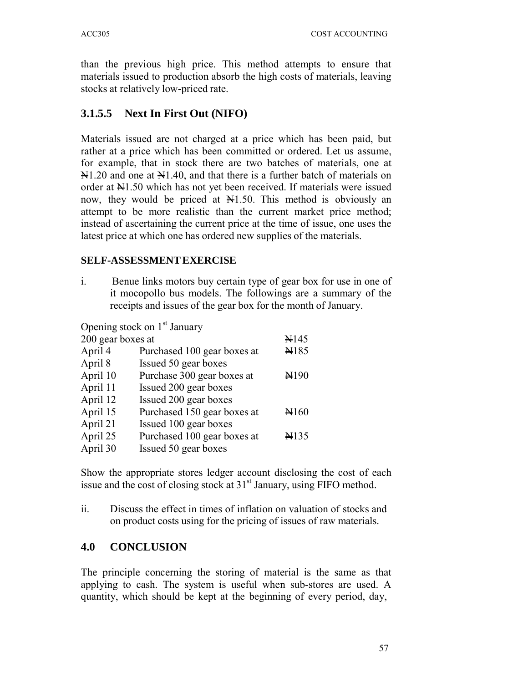than the previous high price. This method attempts to ensure that materials issued to production absorb the high costs of materials, leaving stocks at relatively low-priced rate.

## **3.1.5.5 Next In First Out (NIFO)**

Materials issued are not charged at a price which has been paid, but rather at a price which has been committed or ordered. Let us assume, for example, that in stock there are two batches of materials, one at  $\mathbb{H}1.20$  and one at  $\mathbb{H}1.40$ , and that there is a further batch of materials on order at  $H1.50$  which has not yet been received. If materials were issued now, they would be priced at  $\mathbb{H}1.50$ . This method is obviously an attempt to be more realistic than the current market price method; instead of ascertaining the current price at the time of issue, one uses the latest price at which one has ordered new supplies of the materials.

### **SELF-ASSESSMENT EXERCISE**

i. Benue links motors buy certain type of gear box for use in one of it mocopollo bus models. The followings are a summary of the receipts and issues of the gear box for the month of January.

| Opening stock on 1 <sup>st</sup> January |                             |                  |  |  |  |  |
|------------------------------------------|-----------------------------|------------------|--|--|--|--|
| 200 gear boxes at                        |                             | $\mathbb{H}145$  |  |  |  |  |
| April 4                                  | Purchased 100 gear boxes at | ¥185             |  |  |  |  |
| April 8                                  | Issued 50 gear boxes        |                  |  |  |  |  |
| April 10                                 | Purchase 300 gear boxes at  | H <sub>190</sub> |  |  |  |  |
| April 11                                 | Issued 200 gear boxes       |                  |  |  |  |  |
| April 12                                 | Issued 200 gear boxes       |                  |  |  |  |  |
| April 15                                 | Purchased 150 gear boxes at | H160             |  |  |  |  |
| April 21                                 | Issued 100 gear boxes       |                  |  |  |  |  |
| April 25                                 | Purchased 100 gear boxes at | $\mathbb{H}135$  |  |  |  |  |
| April 30                                 | Issued 50 gear boxes        |                  |  |  |  |  |

Show the appropriate stores ledger account disclosing the cost of each issue and the cost of closing stock at  $31<sup>st</sup>$  January, using FIFO method.

ii. Discuss the effect in times of inflation on valuation of stocks and on product costs using for the pricing of issues of raw materials.

## **4.0 CONCLUSION**

The principle concerning the storing of material is the same as that applying to cash. The system is useful when sub-stores are used. A quantity, which should be kept at the beginning of every period, day,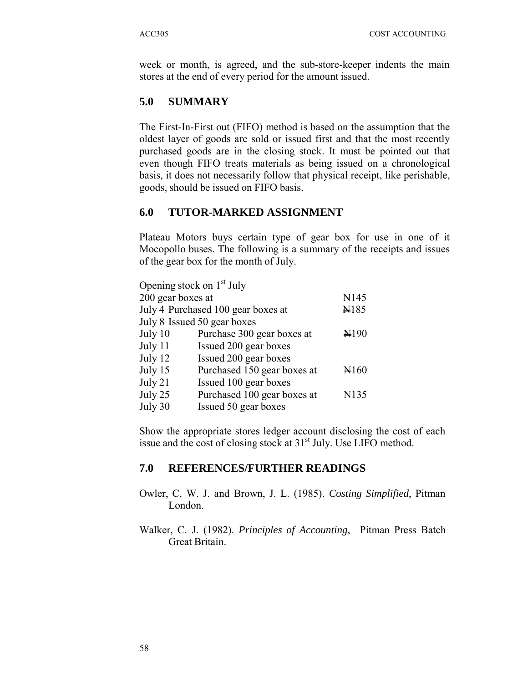week or month, is agreed, and the sub-store-keeper indents the main stores at the end of every period for the amount issued.

### **5.0 SUMMARY**

The First-In-First out (FIFO) method is based on the assumption that the oldest layer of goods are sold or issued first and that the most recently purchased goods are in the closing stock. It must be pointed out that even though FIFO treats materials as being issued on a chronological basis, it does not necessarily follow that physical receipt, like perishable, goods, should be issued on FIFO basis.

### **6.0 TUTOR-MARKED ASSIGNMENT**

Plateau Motors buys certain type of gear box for use in one of it Mocopollo buses. The following is a summary of the receipts and issues of the gear box for the month of July.

| Opening stock on 1 <sup>st</sup> July |                                    |                  |
|---------------------------------------|------------------------------------|------------------|
| 200 gear boxes at                     |                                    | $\mathbb{H}145$  |
|                                       | July 4 Purchased 100 gear boxes at | ¥185             |
|                                       | July 8 Issued 50 gear boxes        |                  |
| July 10                               | Purchase 300 gear boxes at         | H <sub>190</sub> |
| July 11                               | Issued 200 gear boxes              |                  |
| July 12                               | Issued 200 gear boxes              |                  |
| July 15                               | Purchased 150 gear boxes at        | H160             |
| July 21                               | Issued 100 gear boxes              |                  |
| July 25                               | Purchased 100 gear boxes at        | H <sub>135</sub> |
| July 30                               | Issued 50 gear boxes               |                  |

Show the appropriate stores ledger account disclosing the cost of each issue and the cost of closing stock at  $31<sup>st</sup>$  July. Use LIFO method.

### **7.0 REFERENCES/FURTHER READINGS**

- Owler, C. W. J. and Brown, J. L. (1985). *Costing Simplified*, Pitman London.
- Walker, C. J. (1982). *Principles of Accounting*, Pitman Press Batch Great Britain.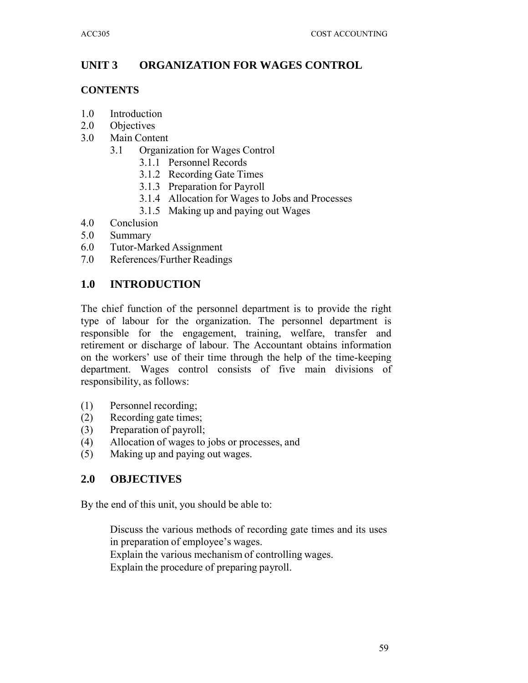## **UNIT 3 ORGANIZATION FOR WAGES CONTROL**

#### **CONTENTS**

- 1.0 Introduction
- 2.0 Objectives
- 3.0 Main Content
	- 3.1 Organization for Wages Control
		- 3.1.1 Personnel Records
		- 3.1.2 Recording Gate Times
		- 3.1.3 Preparation for Payroll
		- 3.1.4 Allocation for Wages to Jobs and Processes
		- 3.1.5 Making up and paying out Wages
- 4.0 Conclusion
- 5.0 Summary
- 6.0 Tutor-Marked Assignment
- 7.0 References/Further Readings

## **1.0 INTRODUCTION**

The chief function of the personnel department is to provide the right type of labour for the organization. The personnel department is responsible for the engagement, training, welfare, transfer and retirement or discharge of labour. The Accountant obtains information on the workers' use of their time through the help of the time-keeping department. Wages control consists of five main divisions of responsibility, as follows:

- (1) Personnel recording;
- (2) Recording gate times;
- (3) Preparation of payroll;
- (4) Allocation of wages to jobs or processes, and
- (5) Making up and paying out wages.

## **2.0 OBJECTIVES**

By the end of this unit, you should be able to:

Discuss the various methods of recording gate times and its uses in preparation of employee's wages. Explain the various mechanism of controlling wages. Explain the procedure of preparing payroll.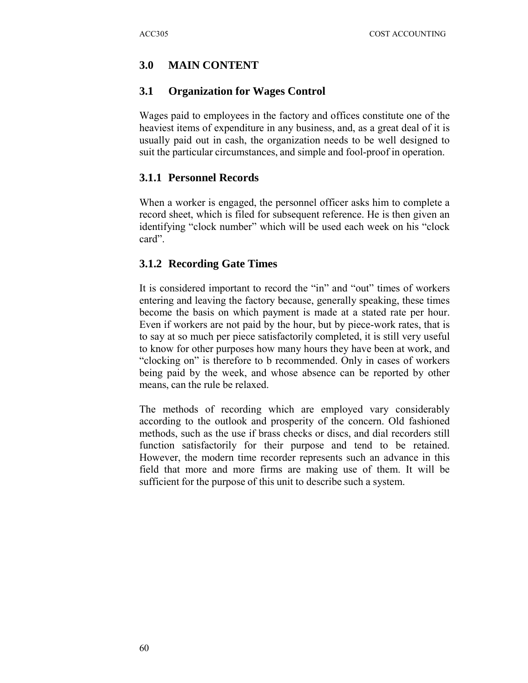## **3.0 MAIN CONTENT**

### **3.1 Organization for Wages Control**

Wages paid to employees in the factory and offices constitute one of the heaviest items of expenditure in any business, and, as a great deal of it is usually paid out in cash, the organization needs to be well designed to suit the particular circumstances, and simple and fool-proof in operation.

### **3.1.1 Personnel Records**

When a worker is engaged, the personnel officer asks him to complete a record sheet, which is filed for subsequent reference. He is then given an identifying "clock number" which will be used each week on his "clock card".

### **3.1.2 Recording Gate Times**

It is considered important to record the "in" and "out" times of workers entering and leaving the factory because, generally speaking, these times become the basis on which payment is made at a stated rate per hour. Even if workers are not paid by the hour, but by piece-work rates, that is to say at so much per piece satisfactorily completed, it is still very useful to know for other purposes how many hours they have been at work, and "clocking on" is therefore to b recommended. Only in cases of workers being paid by the week, and whose absence can be reported by other means, can the rule be relaxed.

The methods of recording which are employed vary considerably according to the outlook and prosperity of the concern. Old fashioned methods, such as the use if brass checks or discs, and dial recorders still function satisfactorily for their purpose and tend to be retained. However, the modern time recorder represents such an advance in this field that more and more firms are making use of them. It will be sufficient for the purpose of this unit to describe such a system.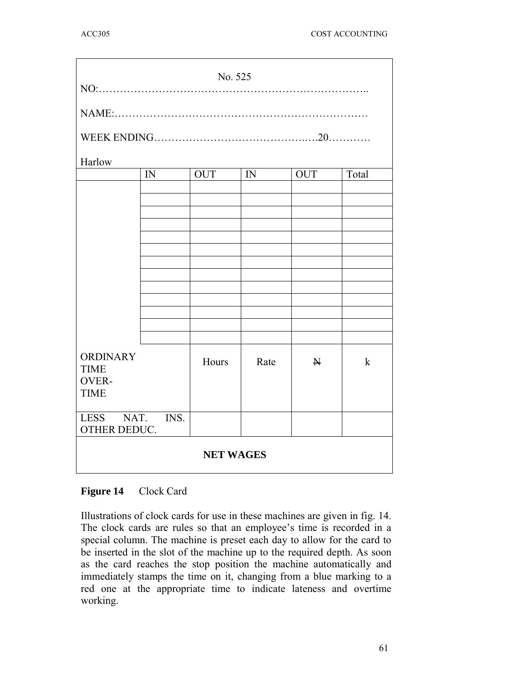| No. 525                        |                  |            |      |             |             |  |  |  |
|--------------------------------|------------------|------------|------|-------------|-------------|--|--|--|
|                                |                  |            |      |             |             |  |  |  |
|                                |                  |            |      |             |             |  |  |  |
| Harlow                         |                  |            |      |             |             |  |  |  |
|                                | IN               | <b>OUT</b> | IN   | <b>OUT</b>  | Total       |  |  |  |
|                                |                  |            |      |             |             |  |  |  |
|                                |                  |            |      |             |             |  |  |  |
|                                |                  |            |      |             |             |  |  |  |
|                                |                  |            |      |             |             |  |  |  |
|                                |                  |            |      |             |             |  |  |  |
|                                |                  |            |      |             |             |  |  |  |
|                                |                  |            |      |             |             |  |  |  |
|                                |                  |            |      |             |             |  |  |  |
|                                |                  |            |      |             |             |  |  |  |
|                                |                  |            |      |             |             |  |  |  |
|                                |                  |            |      |             |             |  |  |  |
|                                |                  |            |      |             |             |  |  |  |
| <b>ORDINARY</b><br><b>TIME</b> |                  | Hours      | Rate | $\mathbb N$ | $\mathbf k$ |  |  |  |
| OVER-                          |                  |            |      |             |             |  |  |  |
| <b>TIME</b>                    |                  |            |      |             |             |  |  |  |
| <b>LESS</b>                    | NAT. INS.        |            |      |             |             |  |  |  |
| OTHER DEDUC.                   |                  |            |      |             |             |  |  |  |
|                                | <b>NET WAGES</b> |            |      |             |             |  |  |  |

## **Figure 14** Clock Card

Illustrations of clock cards for use in these machines are given in fig. 14. The clock cards are rules so that an employee's time is recorded in a special column. The machine is preset each day to allow for the card to be inserted in the slot of the machine up to the required depth. As soon as the card reaches the stop position the machine automatically and immediately stamps the time on it, changing from a blue marking to a red one at the appropriate time to indicate lateness and overtime working.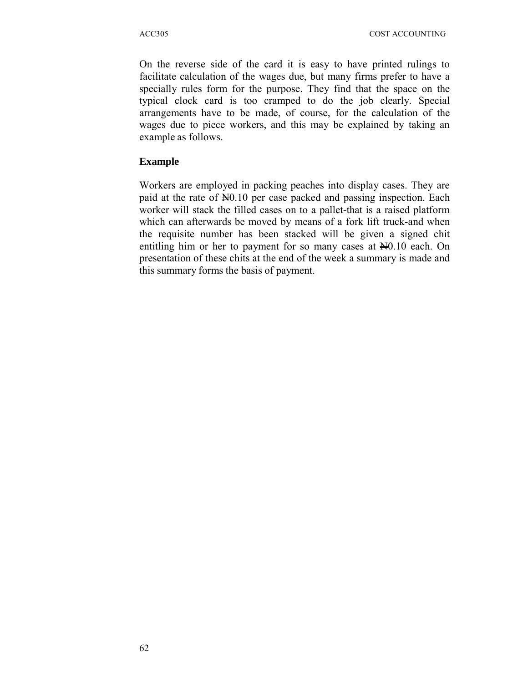On the reverse side of the card it is easy to have printed rulings to facilitate calculation of the wages due, but many firms prefer to have a specially rules form for the purpose. They find that the space on the typical clock card is too cramped to do the job clearly. Special arrangements have to be made, of course, for the calculation of the wages due to piece workers, and this may be explained by taking an example as follows.

#### **Example**

Workers are employed in packing peaches into display cases. They are paid at the rate of NO.10 per case packed and passing inspection. Each worker will stack the filled cases on to a pallet-that is a raised platform which can afterwards be moved by means of a fork lift truck-and when the requisite number has been stacked will be given a signed chit entitling him or her to payment for so many cases at  $\text{\textsterling}0.10$  each. On presentation of these chits at the end of the week a summary is made and this summary forms the basis of payment.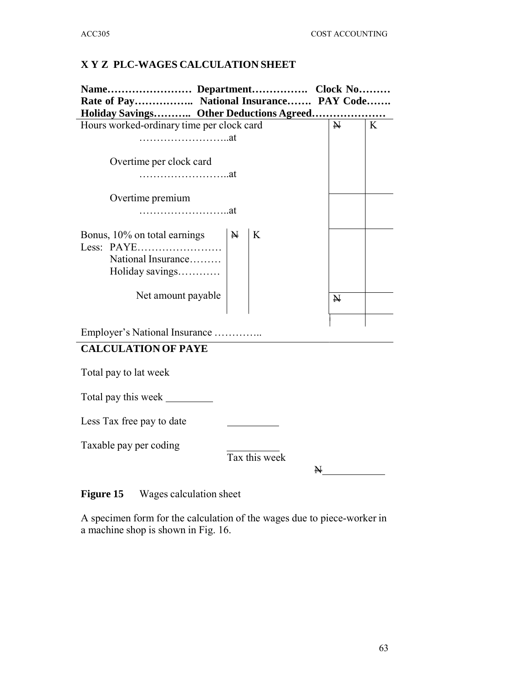## **X Y Z PLC-WAGES CALCULATION SHEET**

| Rate of Pay National Insurance PAY Code   |             |               |   |              |   |
|-------------------------------------------|-------------|---------------|---|--------------|---|
| Holiday Savings Other Deductions Agreed   |             |               |   |              |   |
| Hours worked-ordinary time per clock card |             |               |   | $\mathbf{N}$ | K |
|                                           |             |               |   |              |   |
|                                           |             |               |   |              |   |
| Overtime per clock card                   |             |               |   |              |   |
|                                           |             |               |   |              |   |
|                                           |             |               |   |              |   |
| Overtime premium                          |             |               |   |              |   |
|                                           |             |               |   |              |   |
|                                           |             |               |   |              |   |
| Bonus, 10% on total earnings              | $\mathbb N$ | K             |   |              |   |
|                                           |             |               |   |              |   |
| National Insurance                        |             |               |   |              |   |
| Holiday savings                           |             |               |   |              |   |
|                                           |             |               |   |              |   |
| Net amount payable                        |             |               |   | $\mathbf{A}$ |   |
|                                           |             |               |   |              |   |
|                                           |             |               |   |              |   |
| Employer's National Insurance             |             |               |   |              |   |
| <b>CALCULATION OF PAYE</b>                |             |               |   |              |   |
|                                           |             |               |   |              |   |
| Total pay to lat week                     |             |               |   |              |   |
|                                           |             |               |   |              |   |
| Total pay this week                       |             |               |   |              |   |
|                                           |             |               |   |              |   |
| Less Tax free pay to date                 |             |               |   |              |   |
|                                           |             |               |   |              |   |
| Taxable pay per coding                    |             |               |   |              |   |
|                                           |             | Tax this week |   |              |   |
|                                           |             |               | N |              |   |

**Figure 15** Wages calculation sheet

A specimen form for the calculation of the wages due to piece-worker in a machine shop is shown in Fig. 16.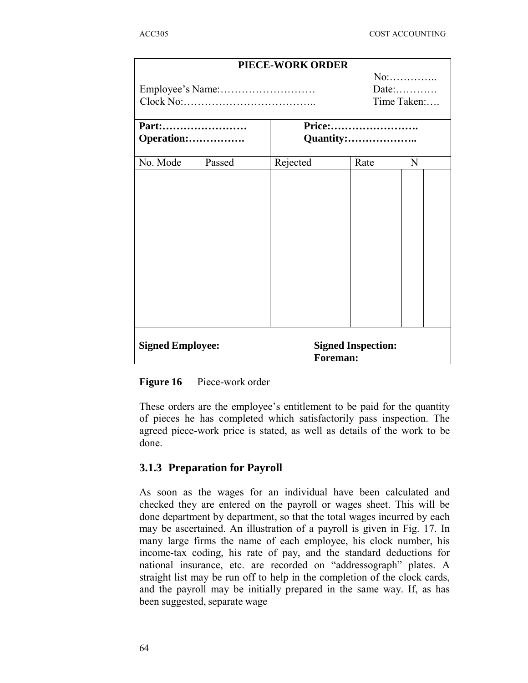| PIECE-WORK ORDER        |                           |                             |      |   |  |  |  |  |
|-------------------------|---------------------------|-----------------------------|------|---|--|--|--|--|
|                         |                           | No:<br>Date:<br>Time Taken: |      |   |  |  |  |  |
| Operation:              | Part:                     | Price:<br>Quantity:         |      |   |  |  |  |  |
| No. Mode                | Passed                    | Rejected                    | Rate | N |  |  |  |  |
|                         |                           |                             |      |   |  |  |  |  |
| <b>Signed Employee:</b> | <b>Signed Inspection:</b> |                             |      |   |  |  |  |  |

**Figure 16** Piece-work order

These orders are the employee's entitlement to be paid for the quantity of pieces he has completed which satisfactorily pass inspection. The agreed piece-work price is stated, as well as details of the work to be done.

### **3.1.3 Preparation for Payroll**

As soon as the wages for an individual have been calculated and checked they are entered on the payroll or wages sheet. This will be done department by department, so that the total wages incurred by each may be ascertained. An illustration of a payroll is given in Fig. 17. In many large firms the name of each employee, his clock number, his income-tax coding, his rate of pay, and the standard deductions for national insurance, etc. are recorded on "addressograph" plates. A straight list may be run off to help in the completion of the clock cards, and the payroll may be initially prepared in the same way. If, as has been suggested, separate wage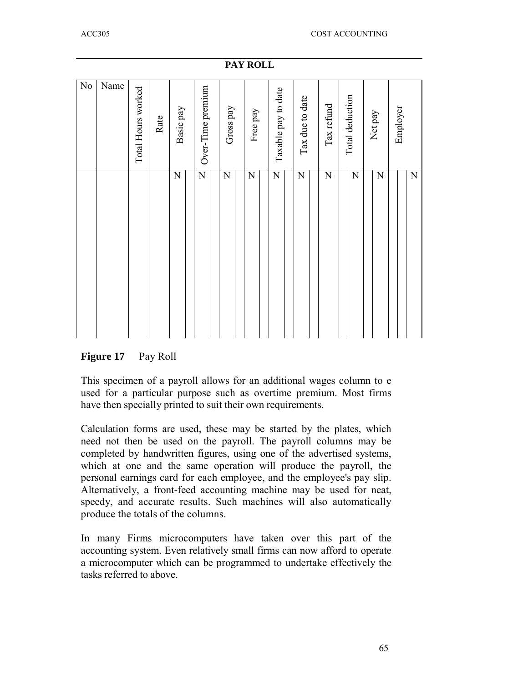| No | Name | Total Hours worked | Rate | Basic pay |  | Over-Time premium<br>$\overline{\mathbf{H}}$ | Gross pay |  | Free pay    |  | Taxable pay to date |  | Tax due to date |  | Tax refund  | Total deduction |             | Net pay |              | Employer |  |             |
|----|------|--------------------|------|-----------|--|----------------------------------------------|-----------|--|-------------|--|---------------------|--|-----------------|--|-------------|-----------------|-------------|---------|--------------|----------|--|-------------|
|    |      |                    |      | ${\bf N}$ |  |                                              | ${\bf N}$ |  | $\mathbb N$ |  | $\mathbf N$         |  | $\mathbf N$     |  | $\mathbb N$ |                 | $\mathbf N$ |         | $\mathbf{N}$ |          |  | $\mathbb N$ |

**PAY ROLL**

**Figure 17** Pay Roll

This specimen of a payroll allows for an additional wages column to e used for a particular purpose such as overtime premium. Most firms have then specially printed to suit their own requirements.

Calculation forms are used, these may be started by the plates, which need not then be used on the payroll. The payroll columns may be completed by handwritten figures, using one of the advertised systems, which at one and the same operation will produce the payroll, the personal earnings card for each employee, and the employee's pay slip. Alternatively, a front-feed accounting machine may be used for neat, speedy, and accurate results. Such machines will also automatically produce the totals of the columns.

In many Firms microcomputers have taken over this part of the accounting system. Even relatively small firms can now afford to operate a microcomputer which can be programmed to undertake effectively the tasks referred to above.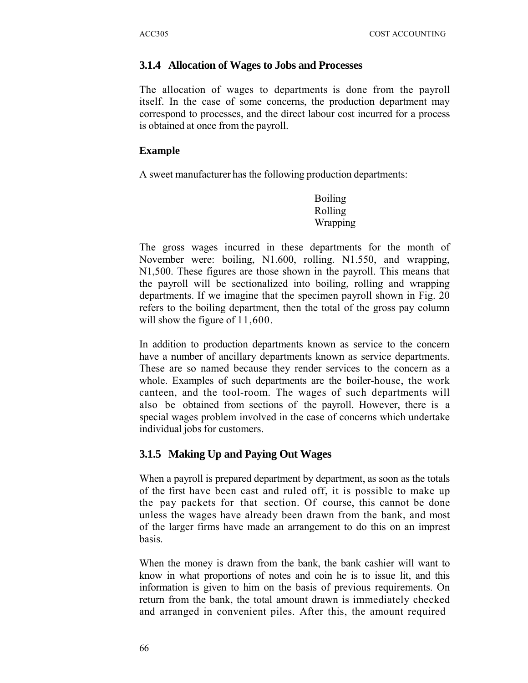#### **3.1.4 Allocation of Wages to Jobs and Processes**

The allocation of wages to departments is done from the payroll itself. In the case of some concerns, the production department may correspond to processes, and the direct labour cost incurred for a process is obtained at once from the payroll.

#### **Example**

A sweet manufacturer has the following production departments:

Boiling Rolling Wrapping

The gross wages incurred in these departments for the month of November were: boiling, N1.600, rolling. N1.550, and wrapping, N1,500. These figures are those shown in the payroll. This means that the payroll will be sectionalized into boiling, rolling and wrapping departments. If we imagine that the specimen payroll shown in Fig. 20 refers to the boiling department, then the total of the gross pay column will show the figure of 11,600.

In addition to production departments known as service to the concern have a number of ancillary departments known as service departments. These are so named because they render services to the concern as a whole. Examples of such departments are the boiler-house, the work canteen, and the tool-room. The wages of such departments will also be obtained from sections of the payroll. However, there is a special wages problem involved in the case of concerns which undertake individual jobs for customers.

### **3.1.5 Making Up and Paying Out Wages**

When a payroll is prepared department by department, as soon as the totals of the first have been cast and ruled off, it is possible to make up the pay packets for that section. Of course, this cannot be done unless the wages have already been drawn from the bank, and most of the larger firms have made an arrangement to do this on an imprest basis.

When the money is drawn from the bank, the bank cashier will want to know in what proportions of notes and coin he is to issue lit, and this information is given to him on the basis of previous requirements. On return from the bank, the total amount drawn is immediately checked and arranged in convenient piles. After this, the amount required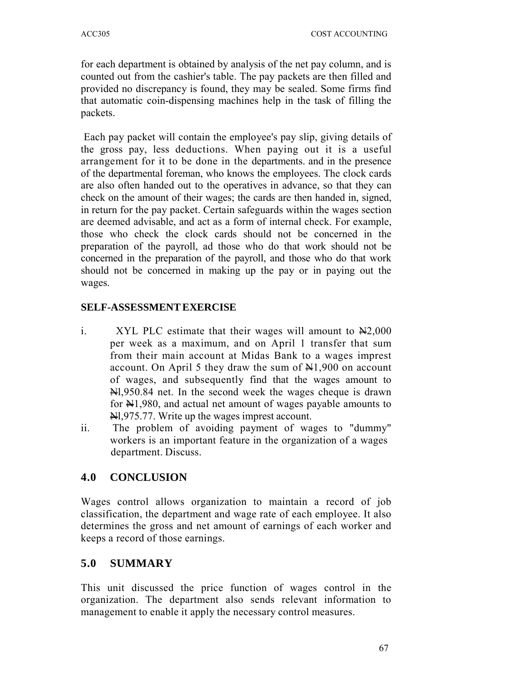for each department is obtained by analysis of the net pay column, and is counted out from the cashier's table. The pay packets are then filled and provided no discrepancy is found, they may be sealed. Some firms find that automatic coin-dispensing machines help in the task of filling the packets.

Each pay packet will contain the employee's pay slip, giving details of the gross pay, less deductions. When paying out it is a useful arrangement for it to be done in the departments. and in the presence of the departmental foreman, who knows the employees. The clock cards are also often handed out to the operatives in advance, so that they can check on the amount of their wages; the cards are then handed in, signed, in return for the pay packet. Certain safeguards within the wages section are deemed advisable, and act as a form of internal check. For example, those who check the clock cards should not be concerned in the preparation of the payroll, ad those who do that work should not be concerned in the preparation of the payroll, and those who do that work should not be concerned in making up the pay or in paying out the wages.

### **SELF-ASSESSMENT EXERCISE**

- i. XYL PLC estimate that their wages will amount to  $\frac{N}{2,000}$ per week as a maximum, and on April 1 transfer that sum from their main account at Midas Bank to a wages imprest account. On April 5 they draw the sum of  $\mathbb{H}1,900$  on account of wages, and subsequently find that the wages amount to Nl,950.84 net. In the second week the wages cheque is drawn for  $\text{H1,980}$ , and actual net amount of wages payable amounts to Nl,975.77. Write up the wages imprest account.
- ii. The problem of avoiding payment of wages to "dummy" workers is an important feature in the organization of a wages department. Discuss.

# **4.0 CONCLUSION**

Wages control allows organization to maintain a record of job classification, the department and wage rate of each employee. It also determines the gross and net amount of earnings of each worker and keeps a record of those earnings.

# **5.0 SUMMARY**

This unit discussed the price function of wages control in the organization. The department also sends relevant information to management to enable it apply the necessary control measures.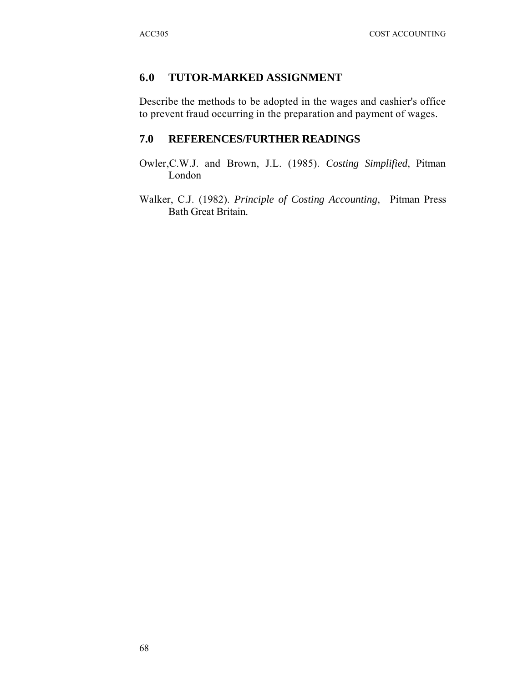# **6.0 TUTOR-MARKED ASSIGNMENT**

Describe the methods to be adopted in the wages and cashier's office to prevent fraud occurring in the preparation and payment of wages.

## **7.0 REFERENCES/FURTHER READINGS**

- Owler,C.W.J. and Brown, J.L. (1985). *Costing Simplified*, Pitman London
- Walker, C.J. (1982). *Principle of Costing Accounting*, Pitman Press Bath Great Britain.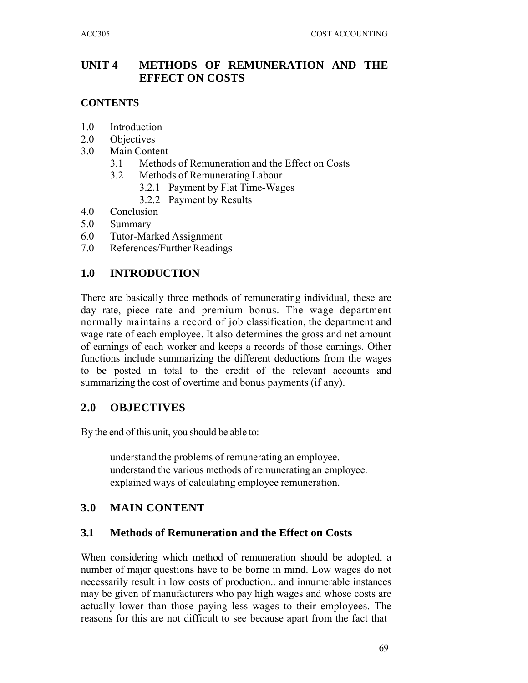# **UNIT 4 METHODS OF REMUNERATION AND THE EFFECT ON COSTS**

### **CONTENTS**

- 1.0 Introduction
- 2.0 Objectives
- 3.0 Main Content
	- 3.1 Methods of Remuneration and the Effect on Costs
	- 3.2 Methods of Remunerating Labour
		- 3.2.1 Payment by Flat Time-Wages
		- 3.2.2 Payment by Results
- 4.0 Conclusion
- 5.0 Summary
- 6.0 Tutor-Marked Assignment
- 7.0 References/Further Readings

### **1.0 INTRODUCTION**

There are basically three methods of remunerating individual, these are day rate, piece rate and premium bonus. The wage department normally maintains a record of job classification, the department and wage rate of each employee. It also determines the gross and net amount of earnings of each worker and keeps a records of those earnings. Other functions include summarizing the different deductions from the wages to be posted in total to the credit of the relevant accounts and summarizing the cost of overtime and bonus payments (if any).

### **2.0 OBJECTIVES**

By the end of this unit, you should be able to:

understand the problems of remunerating an employee. understand the various methods of remunerating an employee. explained ways of calculating employee remuneration.

### **3.0 MAIN CONTENT**

#### **3.1 Methods of Remuneration and the Effect on Costs**

When considering which method of remuneration should be adopted, a number of major questions have to be borne in mind. Low wages do not necessarily result in low costs of production.. and innumerable instances may be given of manufacturers who pay high wages and whose costs are actually lower than those paying less wages to their employees. The reasons for this are not difficult to see because apart from the fact that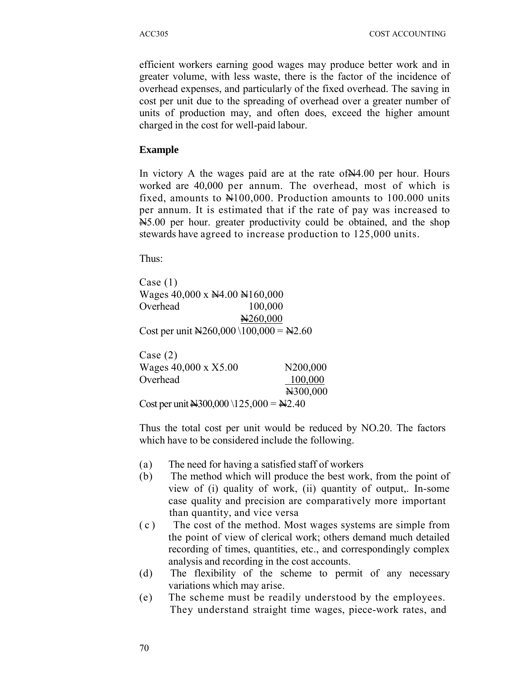efficient workers earning good wages may produce better work and in greater volume, with less waste, there is the factor of the incidence of overhead expenses, and particularly of the fixed overhead. The saving in cost per unit due to the spreading of overhead over a greater number of units of production may, and often does, exceed the higher amount charged in the cost for well-paid labour.

#### **Example**

In victory A the wages paid are at the rate of  $\mathbb{N}4.00$  per hour. Hours worked are 40,000 per annum. The overhead, most of which is fixed, amounts to  $\text{\textsterling}100,000$ . Production amounts to 100.000 units per annum. It is estimated that if the rate of pay was increased to N5.00 per hour. greater productivity could be obtained, and the shop stewards have agreed to increase production to 125,000 units.

Thus:

Case (1) Wages 40,000 x  $\text{N4.00}$  N160,000 Overhead 100,000 N260,000 Cost per unit  $N260,000 \setminus 100,000 = N2.60$ 

Case (2) Wages 40,000 x X5.00 N200,000 Overhead 100,000 N300,000 Cost per unit  $\text{N}300,000 \backslash 125,000 = \text{N}2.40$ 

Thus the total cost per unit would be reduced by NO.20. The factors which have to be considered include the following.

- (a ) The need for having a satisfied staff of workers
- (b) The method which will produce the best work, from the point of view of (i) quality of work, (ii) quantity of output,. In-some case quality and precision are comparatively more important than quantity, and vice versa
- ( c ) The cost of the method. Most wages systems are simple from the point of view of clerical work; others demand much detailed recording of times, quantities, etc., and correspondingly complex analysis and recording in the cost accounts.
- (d) The flexibility of the scheme to permit of any necessary variations which may arise.
- (e) The scheme must be readily understood by the employees. They understand straight time wages, piece-work rates, and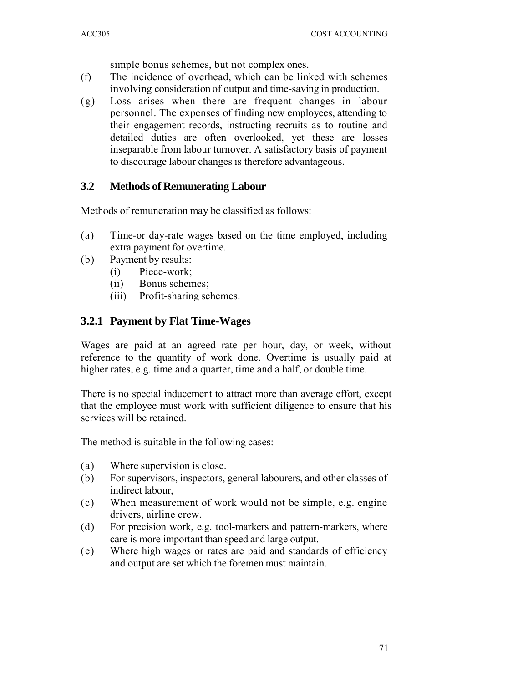simple bonus schemes, but not complex ones.

- (f) The incidence of overhead, which can be linked with schemes involving consideration of output and time-saving in production.
- $(g)$  Loss arises when there are frequent changes in labour personnel. The expenses of finding new employees, attending to their engagement records, instructing recruits as to routine and detailed duties are often overlooked, yet these are losses inseparable from labour turnover. A satisfactory basis of payment to discourage labour changes is therefore advantageous.

### **3.2 Methods of Remunerating Labour**

Methods of remuneration may be classified as follows:

- (a) Time-or day-rate wages based on the time employed, including extra payment for overtime.
- (b) Payment by results:
	- (i) Piece-work;
	- (ii) Bonus schemes;
	- (iii) Profit-sharing schemes.

# **3.2.1 Payment by Flat Time-Wages**

Wages are paid at an agreed rate per hour, day, or week, without reference to the quantity of work done. Overtime is usually paid at higher rates, e.g. time and a quarter, time and a half, or double time.

There is no special inducement to attract more than average effort, except that the employee must work with sufficient diligence to ensure that his services will be retained.

The method is suitable in the following cases:

- $(a)$  Where supervision is close.
- (b) For supervisors, inspectors, general labourers, and other classes of indirect labour,
- (c ) When measurement of work would not be simple, e.g. engine drivers, airline crew.
- (d) For precision work, e.g. tool-markers and pattern-markers, where care is more important than speed and large output.
- (e ) Where high wages or rates are paid and standards of efficiency and output are set which the foremen must maintain.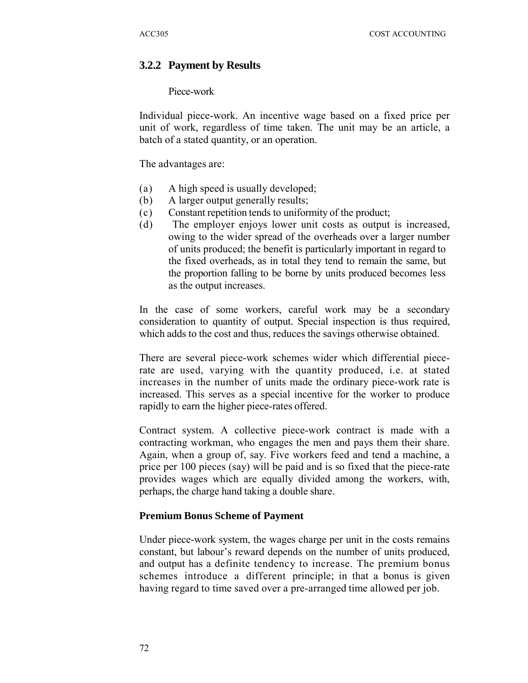### **3.2.2 Payment by Results**

Piece-work

Individual piece-work. An incentive wage based on a fixed price per unit of work, regardless of time taken. The unit may be an article, a batch of a stated quantity, or an operation.

The advantages are:

- (a) A high speed is usually developed;
- (b) A larger output generally results;
- (c ) Constant repetition tends to uniformity of the product;
- (d) The employer enjoys lower unit costs as output is increased, owing to the wider spread of the overheads over a larger number of units produced; the benefit is particularly important in regard to the fixed overheads, as in total they tend to remain the same, but the proportion falling to be borne by units produced becomes less as the output increases.

In the case of some workers, careful work may be a secondary consideration to quantity of output. Special inspection is thus required, which adds to the cost and thus, reduces the savings otherwise obtained.

There are several piece-work schemes wider which differential piecerate are used, varying with the quantity produced, i.e. at stated increases in the number of units made the ordinary piece-work rate is increased. This serves as a special incentive for the worker to produce rapidly to earn the higher piece-rates offered.

Contract system. A collective piece-work contract is made with a contracting workman, who engages the men and pays them their share. Again, when a group of, say. Five workers feed and tend a machine, a price per 100 pieces (say) will be paid and is so fixed that the piece-rate provides wages which are equally divided among the workers, with, perhaps, the charge hand taking a double share.

#### **Premium Bonus Scheme of Payment**

Under piece-work system, the wages charge per unit in the costs remains constant, but labour's reward depends on the number of units produced, and output has a definite tendency to increase. The premium bonus schemes introduce a different principle; in that a bonus is given having regard to time saved over a pre-arranged time allowed per job.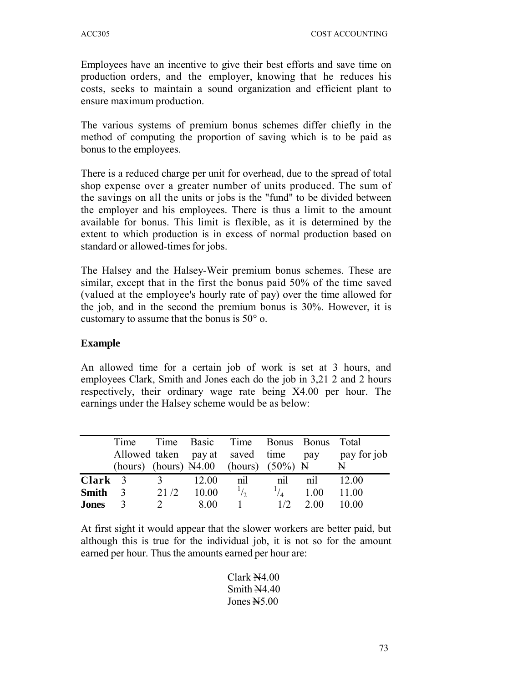Employees have an incentive to give their best efforts and save time on production orders, and the employer, knowing that he reduces his costs, seeks to maintain a sound organization and efficient plant to ensure maximum production.

The various systems of premium bonus schemes differ chiefly in the method of computing the proportion of saving which is to be paid as bonus to the employees.

There is a reduced charge per unit for overhead, due to the spread of total shop expense over a greater number of units produced. The sum of the savings on all the units or jobs is the "fund" to be divided between the employer and his employees. There is thus a limit to the amount available for bonus. This limit is flexible, as it is determined by the extent to which production is in excess of normal production based on standard or allowed-times for jobs.

The Halsey and the Halsey-Weir premium bonus schemes. These are similar, except that in the first the bonus paid 50% of the time saved (valued at the employee's hourly rate of pay) over the time allowed for the job, and in the second the premium bonus is 30%. However, it is customary to assume that the bonus is 50° o.

#### **Example**

An allowed time for a certain job of work is set at 3 hours, and employees Clark, Smith and Jones each do the job in 3,21 2 and 2 hours respectively, their ordinary wage rate being X4.00 per hour. The earnings under the Halsey scheme would be as below:

|                                       | Time<br>Allowed taken pay at saved time |      |                        | Time Basic Time Bonus Bonus<br>(hours) (hours) $\mathbb{H}4.00$ (hours) (50%) $\mathbb{H}$ |           | pay                 | - Total<br>pay for job<br>Ħ |
|---------------------------------------|-----------------------------------------|------|------------------------|--------------------------------------------------------------------------------------------|-----------|---------------------|-----------------------------|
| Clark<br><b>Smith</b><br><b>Jones</b> | $\mathcal{E}$<br>3<br>$\mathbf{R}$      | 21/2 | 12.00<br>10.00<br>8.00 | nil<br>$\frac{1}{2}$                                                                       | n1<br>1/2 | nil<br>1.00<br>2.00 | 12.00<br>11.00<br>10.00     |

At first sight it would appear that the slower workers are better paid, but although this is true for the individual job, it is not so for the amount earned per hour. Thus the amounts earned per hour are:

> $Clark$   $N4.00$ Smith  $N4.40$ Jones  $N$ 5.00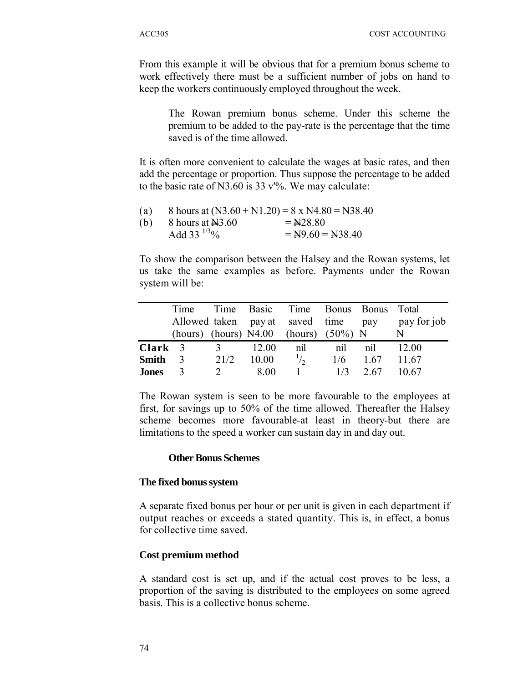From this example it will be obvious that for a premium bonus scheme to work effectively there must be a sufficient number of jobs on hand to keep the workers continuously employed throughout the week.

The Rowan premium bonus scheme. Under this scheme the premium to be added to the pay-rate is the percentage that the time saved is of the time allowed.

It is often more convenient to calculate the wages at basic rates, and then add the percentage or proportion. Thus suppose the percentage to be added to the basic rate of N3.60 is 33  $v\%$ . We may calculate:

| (a) |                           | 8 hours at $(\overline{N3.60 + N1.20}) = 8 \times \overline{N4.80} = \overline{N38.40}$ |
|-----|---------------------------|-----------------------------------------------------------------------------------------|
| (b) | 8 hours at $\text{H}3.60$ | $=$ N28.80                                                                              |
|     | Add 33 $\frac{1}{3}$ %    | $=$ N9.60 = N38.40                                                                      |

To show the comparison between the Halsey and the Rowan systems, let us take the same examples as before. Payments under the Rowan system will be:

|              | Time                            |      |       | Time Basic Time Bonus Bonus                                 |     |      | - Total     |
|--------------|---------------------------------|------|-------|-------------------------------------------------------------|-----|------|-------------|
|              | Allowed taken pay at saved time |      |       |                                                             |     | pay  | pay for job |
|              |                                 |      |       | (hours) (hours) $\cancel{N}4.00$ (hours) (50%) $\cancel{N}$ |     |      | N           |
| Clark        | $\mathcal{R}$                   |      | 12.00 | nil                                                         | n1  | nil  | 12.00       |
| <b>Smith</b> | $\overline{\mathbf{3}}$         | 21/2 | 10.00 |                                                             | 1/6 | 1.67 | 11.67       |
| <b>Jones</b> | $\mathbf 3$                     |      | 8.00  |                                                             | 1/3 | 2.67 | 10.67       |

The Rowan system is seen to be more favourable to the employees at first, for savings up to 50% of the time allowed. Thereafter the Halsey scheme becomes more favourable-at least in theory-but there are limitations to the speed a worker can sustain day in and day out.

#### **Other Bonus Schemes**

#### **The fixed bonus system**

A separate fixed bonus per hour or per unit is given in each department if output reaches or exceeds a stated quantity. This is, in effect, a bonus for collective time saved.

#### **Cost premium method**

A standard cost is set up, and if the actual cost proves to be less, a proportion of the saving is distributed to the employees on some agreed basis. This is a collective bonus scheme.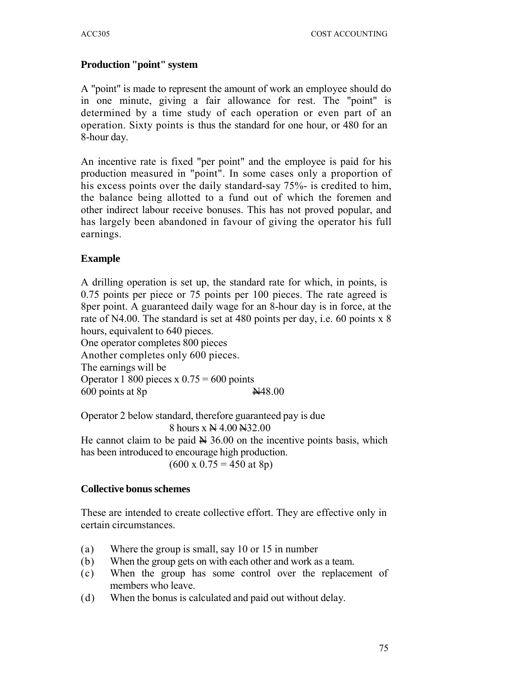### **Production "point" system**

A "point" is made to represent the amount of work an employee should do in one minute, giving a fair allowance for rest. The "point" is determined by a time study of each operation or even part of an operation. Sixty points is thus the standard for one hour, or 480 for an 8-hour day.

An incentive rate is fixed "per point" and the employee is paid for his production measured in "point". In some cases only a proportion of his excess points over the daily standard-say 75%- is credited to him, the balance being allotted to a fund out of which the foremen and other indirect labour receive bonuses. This has not proved popular, and has largely been abandoned in favour of giving the operator his full earnings.

### **Example**

A drilling operation is set up, the standard rate for which, in points, is 0.75 points per piece or 75 points per 100 pieces. The rate agreed is 8per point. A guaranteed daily wage for an 8-hour day is in force, at the rate of N4.00. The standard is set at 480 points per day, i.e. 60 points x 8 hours, equivalent to 640 pieces.

One operator completes 800 pieces Another completes only 600 pieces. The earnings will be Operator 1 800 pieces x  $0.75 = 600$  points  $600$  points at 8p  $\cancel{N48.00}$ 

Operator 2 below standard, therefore guaranteed pay is due 8 hours x  $\cancel{\text{N}}$  4.00  $\cancel{\text{N}}$ 32.00 He cannot claim to be paid  $\cancel{\text{N}}$  36.00 on the incentive points basis, which has been introduced to encourage high production.

 $(600 \times 0.75 = 450 \text{ at } 8p)$ 

#### **Collective bonus schemes**

These are intended to create collective effort. They are effective only in certain circumstances.

- (a) Where the group is small, say 10 or 15 in number
- (b) When the group gets on with each other and work as a team.
- (c ) When the group has some control over the replacement of members who leave.
- (d) When the bonus is calculated and paid out without delay.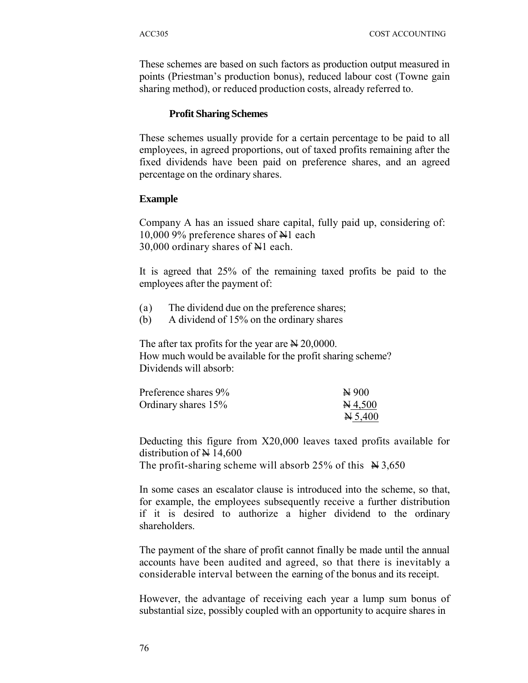These schemes are based on such factors as production output measured in points (Priestman's production bonus), reduced labour cost (Towne gain sharing method), or reduced production costs, already referred to.

#### **Profit Sharing Schemes**

These schemes usually provide for a certain percentage to be paid to all employees, in agreed proportions, out of taxed profits remaining after the fixed dividends have been paid on preference shares, and an agreed percentage on the ordinary shares.

#### **Example**

Company A has an issued share capital, fully paid up, considering of: 10,000 9% preference shares of  $H1$  each  $30,000$  ordinary shares of  $\mathbb{H}1$  each.

It is agreed that 25% of the remaining taxed profits be paid to the employees after the payment of:

- (a) The dividend due on the preference shares;
- (b) A dividend of 15% on the ordinary shares

The after tax profits for the year are  $\ge 20,0000$ . How much would be available for the profit sharing scheme? Dividends will absorb:

| Preference shares 9% | $\geq 900$         |
|----------------------|--------------------|
| Ordinary shares 15%  | $\cancel{H}$ 4,500 |
|                      | $\cancel{H}$ 5,400 |

Deducting this figure from X20,000 leaves taxed profits available for distribution of  $\cancel{\text{N}}$  14,600

The profit-sharing scheme will absorb 25% of this  $\cancel{\text{N}}\cdot3,650$ 

In some cases an escalator clause is introduced into the scheme, so that, for example, the employees subsequently receive a further distribution if it is desired to authorize a higher dividend to the ordinary shareholders.

The payment of the share of profit cannot finally be made until the annual accounts have been audited and agreed, so that there is inevitably a considerable interval between the earning of the bonus and its receipt.

However, the advantage of receiving each year a lump sum bonus of substantial size, possibly coupled with an opportunity to acquire shares in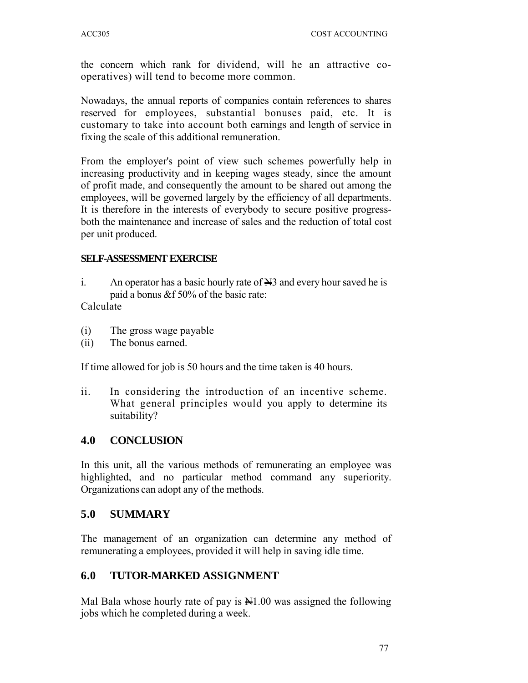the concern which rank for dividend, will he an attractive cooperatives) will tend to become more common.

Nowadays, the annual reports of companies contain references to shares reserved for employees, substantial bonuses paid, etc. It is customary to take into account both earnings and length of service in fixing the scale of this additional remuneration.

From the employer's point of view such schemes powerfully help in increasing productivity and in keeping wages steady, since the amount of profit made, and consequently the amount to be shared out among the employees, will be governed largely by the efficiency of all departments. It is therefore in the interests of everybody to secure positive progressboth the maintenance and increase of sales and the reduction of total cost per unit produced.

### **SELF-ASSESSMENT EXERCISE**

i. An operator has a basic hourly rate of  $\overline{N}3$  and every hour saved he is paid a bonus &f 50% of the basic rate:

Calculate

- (i) The gross wage payable
- (ii) The bonus earned.

If time allowed for job is 50 hours and the time taken is 40 hours.

ii. In considering the introduction of an incentive scheme. What general principles would you apply to determine its suitability?

### **4.0 CONCLUSION**

In this unit, all the various methods of remunerating an employee was highlighted, and no particular method command any superiority. Organizations can adopt any of the methods.

### **5.0 SUMMARY**

The management of an organization can determine any method of remunerating a employees, provided it will help in saving idle time.

### **6.0 TUTOR-MARKED ASSIGNMENT**

Mal Bala whose hourly rate of pay is  $\mathbb{N}1.00$  was assigned the following jobs which he completed during a week.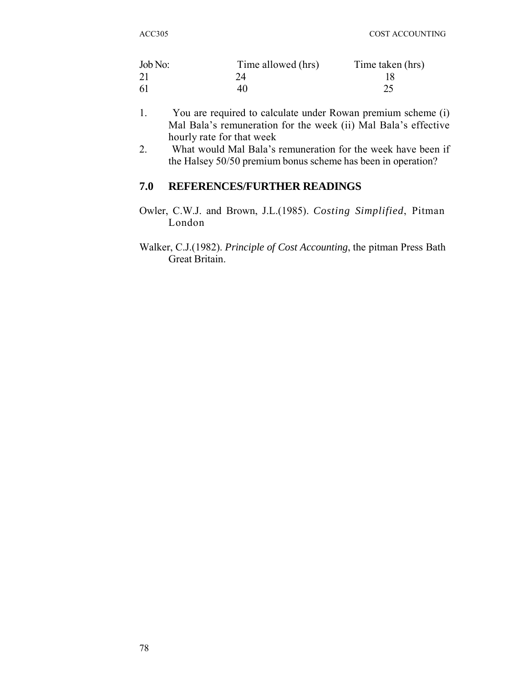| Job No: | Time allowed (hrs) | Time taken (hrs) |
|---------|--------------------|------------------|
|         | 24                 |                  |
| -61     | 40                 |                  |

- 1. You are required to calculate under Rowan premium scheme (i) Mal Bala's remuneration for the week (ii) Mal Bala's effective hourly rate for that week
- 2. What would Mal Bala's remuneration for the week have been if the Halsey 50/50 premium bonus scheme has been in operation?

# **7.0 REFERENCES/FURTHER READINGS**

- Owler, C.W.J. and Brown, J.L.(1985). *Costing Simplified*, Pitman London
- Walker, C.J.(1982). *Principle of Cost Accounting*, the pitman Press Bath Great Britain.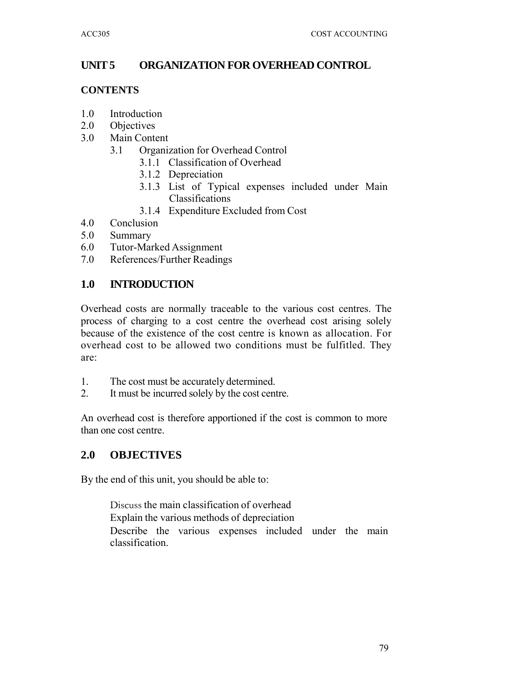### **UNIT 5 ORGANIZATION FOR OVERHEAD CONTROL**

#### **CONTENTS**

- 1.0 Introduction
- 2.0 Objectives
- 3.0 Main Content
	- 3.1 Organization for Overhead Control
		- 3.1.1 Classification of Overhead
		- 3.1.2 Depreciation
		- 3.1.3 List of Typical expenses included under Main Classifications
		- 3.1.4 Expenditure Excluded from Cost
- 4.0 Conclusion
- 5.0 Summary
- 6.0 Tutor-Marked Assignment
- 7.0 References/Further Readings

### **1.0 INTRODUCTION**

Overhead costs are normally traceable to the various cost centres. The process of charging to a cost centre the overhead cost arising solely because of the existence of the cost centre is known as allocation. For overhead cost to be allowed two conditions must be fulfitled. They are:

- 1. The cost must be accurately determined.
- 2. It must be incurred solely by the cost centre.

An overhead cost is therefore apportioned if the cost is common to more than one cost centre.

### **2.0 OBJECTIVES**

By the end of this unit, you should be able to:

Discuss the main classification of overhead Explain the various methods of depreciation Describe the various expenses included under the main classification.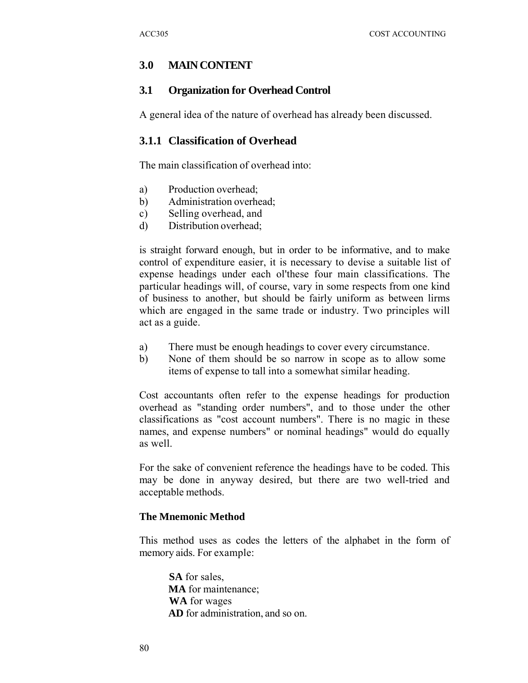### **3.0 MAIN CONTENT**

#### **3.1 Organization for Overhead Control**

A general idea of the nature of overhead has already been discussed.

### **3.1.1 Classification of Overhead**

The main classification of overhead into:

- a) Production overhead;
- b) Administration overhead;
- c) Selling overhead, and
- d) Distribution overhead;

is straight forward enough, but in order to be informative, and to make control of expenditure easier, it is necessary to devise a suitable list of expense headings under each ol'these four main classifications. The particular headings will, of course, vary in some respects from one kind of business to another, but should be fairly uniform as between lirms which are engaged in the same trade or industry. Two principles will act as a guide.

- a) There must be enough headings to cover every circumstance.
- b) None of them should be so narrow in scope as to allow some items of expense to tall into a somewhat similar heading.

Cost accountants often refer to the expense headings for production overhead as "standing order numbers", and to those under the other classifications as "cost account numbers". There is no magic in these names, and expense numbers" or nominal headings" would do equally as well.

For the sake of convenient reference the headings have to be coded. This may be done in anyway desired, but there are two well-tried and acceptable methods.

#### **The Mnemonic Method**

This method uses as codes the letters of the alphabet in the form of memory aids. For example:

**SA** for sales, **MA** for maintenance; **WA** for wages **AD** for administration, and so on.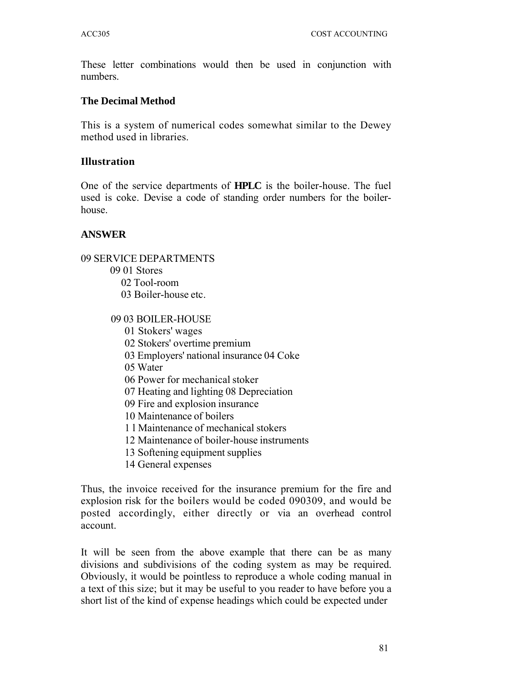These letter combinations would then be used in conjunction with numbers.

#### **The Decimal Method**

This is a system of numerical codes somewhat similar to the Dewey method used in libraries.

#### **Illustration**

One of the service departments of **HPLC** is the boiler-house. The fuel used is coke. Devise a code of standing order numbers for the boilerhouse.

### **ANSWER**

#### 09 SERVICE DEPARTMENTS

09 01 Stores 02 Tool-room 03 Boiler-house etc.

- 09 03 BOILER-HOUSE
	- 01 Stokers' wages
	- 02 Stokers' overtime premium
	- 03 Employers' national insurance 04 Coke
	- 05 Water
	- 06 Power for mechanical stoker
	- 07 Heating and lighting 08 Depreciation
	- 09 Fire and explosion insurance
	- 10 Maintenance of boilers
	- 1 l Maintenance of mechanical stokers
	- 12 Maintenance of boiler-house instruments
	- 13 Softening equipment supplies
	- 14 General expenses

Thus, the invoice received for the insurance premium for the fire and explosion risk for the boilers would be coded 090309, and would be posted accordingly, either directly or via an overhead control account.

It will be seen from the above example that there can be as many divisions and subdivisions of the coding system as may be required. Obviously, it would be pointless to reproduce a whole coding manual in a text of this size; but it may be useful to you reader to have before you a short list of the kind of expense headings which could be expected under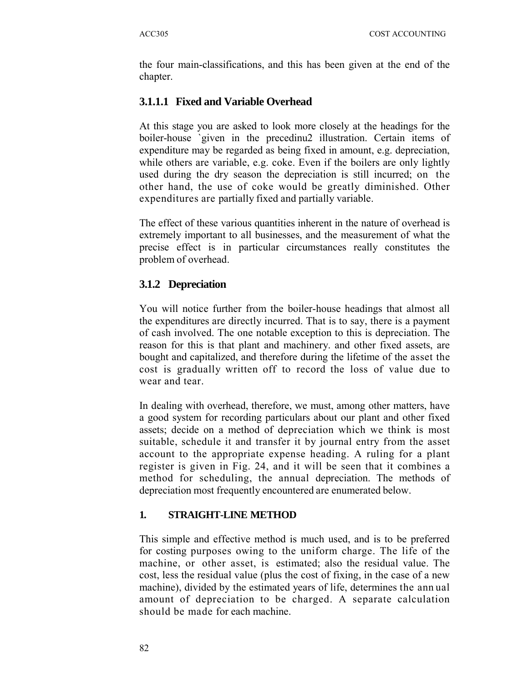the four main-classifications, and this has been given at the end of the chapter.

# **3.1.1.1 Fixed and Variable Overhead**

At this stage you are asked to look more closely at the headings for the boiler-house `given in the precedinu2 illustration. Certain items of expenditure may be regarded as being fixed in amount, e.g. depreciation, while others are variable, e.g. coke. Even if the boilers are only lightly used during the dry season the depreciation is still incurred; on the other hand, the use of coke would be greatly diminished. Other expenditures are partially fixed and partially variable.

The effect of these various quantities inherent in the nature of overhead is extremely important to all businesses, and the measurement of what the precise effect is in particular circumstances really constitutes the problem of overhead.

# **3.1.2 Depreciation**

You will notice further from the boiler-house headings that almost all the expenditures are directly incurred. That is to say, there is a payment of cash involved. The one notable exception to this is depreciation. The reason for this is that plant and machinery. and other fixed assets, are bought and capitalized, and therefore during the lifetime of the asset the cost is gradually written off to record the loss of value due to wear and tear.

In dealing with overhead, therefore, we must, among other matters, have a good system for recording particulars about our plant and other fixed assets; decide on a method of depreciation which we think is most suitable, schedule it and transfer it by journal entry from the asset account to the appropriate expense heading. A ruling for a plant register is given in Fig. 24, and it will be seen that it combines a method for scheduling, the annual depreciation. The methods of depreciation most frequently encountered are enumerated below.

### **1. STRAIGHT-LINE METHOD**

This simple and effective method is much used, and is to be preferred for costing purposes owing to the uniform charge. The life of the machine, or other asset, is estimated; also the residual value. The cost, less the residual value (plus the cost of fixing, in the case of a new machine), divided by the estimated years of life, determines the ann ual amount of depreciation to be charged. A separate calculation should be made for each machine.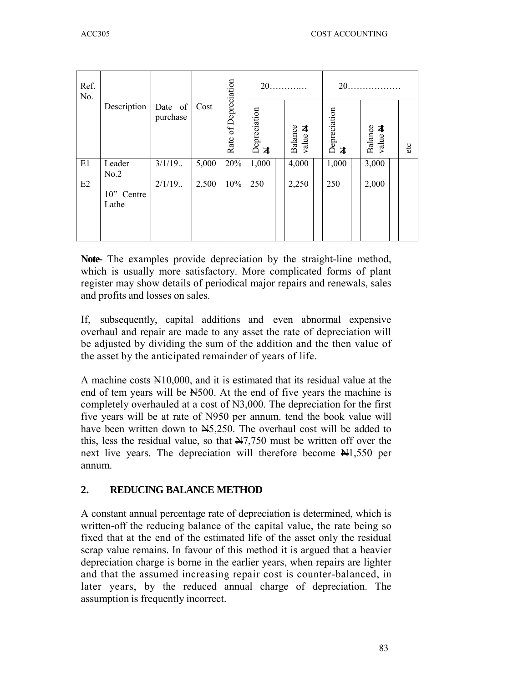| Ref.<br>No. |             |                     |       |                      | $20$              |  |                               | $20$              |  |                    |  |     |
|-------------|-------------|---------------------|-------|----------------------|-------------------|--|-------------------------------|-------------------|--|--------------------|--|-----|
|             | Description | Date of<br>purchase | Cost  | Rate of Depreciation | Depreciation<br>≭ |  | Balance<br>value <del>M</del> | Depreciation<br>本 |  | Balance<br>value N |  | etc |
| E1          | Leader      | $3/1/19$ .          | 5,000 | 20%                  | 1,000             |  | 4,000                         | 1,000             |  | 3,000              |  |     |
|             | No.2        |                     |       |                      |                   |  |                               |                   |  |                    |  |     |
| E2          |             | $2/1/19$ .          | 2,500 | 10%                  | 250               |  | 2,250                         | 250               |  | 2,000              |  |     |
|             | 10" Centre  |                     |       |                      |                   |  |                               |                   |  |                    |  |     |
|             | Lathe       |                     |       |                      |                   |  |                               |                   |  |                    |  |     |
|             |             |                     |       |                      |                   |  |                               |                   |  |                    |  |     |
|             |             |                     |       |                      |                   |  |                               |                   |  |                    |  |     |
|             |             |                     |       |                      |                   |  |                               |                   |  |                    |  |     |

**Note-** The examples provide depreciation by the straight-line method, which is usually more satisfactory. More complicated forms of plant register may show details of periodical major repairs and renewals, sales and profits and losses on sales.

If, subsequently, capital additions and even abnormal expensive overhaul and repair are made to any asset the rate of depreciation will be adjusted by dividing the sum of the addition and the then value of the asset by the anticipated remainder of years of life.

A machine costs  $\mathbb{H}10,000$ , and it is estimated that its residual value at the end of tem years will be  $\frac{N500}{N}$ . At the end of five years the machine is completely overhauled at a cost of  $\frac{13,000}{1}$ . The depreciation for the first five years will be at rate of N950 per annum. tend the book value will have been written down to  $\frac{N5}{250}$ . The overhaul cost will be added to this, less the residual value, so that  $\frac{N}{27,750}$  must be written off over the next live years. The depreciation will therefore become  $\mathbb{H}1,550$  per annum.

#### **2. REDUCING BALANCE METHOD**

A constant annual percentage rate of depreciation is determined, which is written-off the reducing balance of the capital value, the rate being so fixed that at the end of the estimated life of the asset only the residual scrap value remains. In favour of this method it is argued that a heavier depreciation charge is borne in the earlier years, when repairs are lighter and that the assumed increasing repair cost is counter-balanced, in later years, by the reduced annual charge of depreciation. The assumption is frequently incorrect.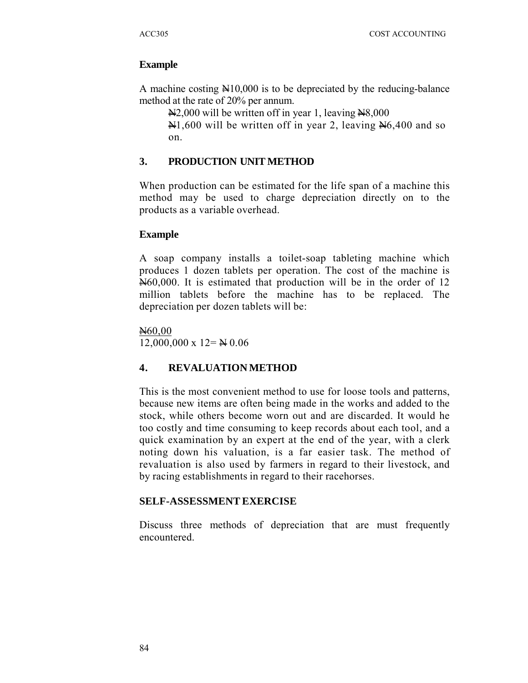#### **Example**

A machine costing  $\mathbb{N}10,000$  is to be depreciated by the reducing-balance method at the rate of 20% per annum.

 $\text{N2,000}$  will be written off in year 1, leaving  $\text{N8,000}$ 

 $\text{N1},600$  will be written off in year 2, leaving  $\text{N6},400$  and so on.

### **3. PRODUCTION UNIT METHOD**

When production can be estimated for the life span of a machine this method may be used to charge depreciation directly on to the products as a variable overhead.

#### **Example**

A soap company installs a toilet-soap tableting machine which produces 1 dozen tablets per operation. The cost of the machine is N<sub>60</sub>,000. It is estimated that production will be in the order of 12 million tablets before the machine has to be replaced. The depreciation per dozen tablets will be:

N60,00  $12,000,000 \times 12 =$  N 0.06

### **4. REVALUATION METHOD**

This is the most convenient method to use for loose tools and patterns, because new items are often being made in the works and added to the stock, while others become worn out and are discarded. It would he too costly and time consuming to keep records about each tool, and a quick examination by an expert at the end of the year, with a clerk noting down his valuation, is a far easier task. The method of revaluation is also used by farmers in regard to their livestock, and by racing establishments in regard to their racehorses.

#### **SELF-ASSESSMENT EXERCISE**

Discuss three methods of depreciation that are must frequently encountered.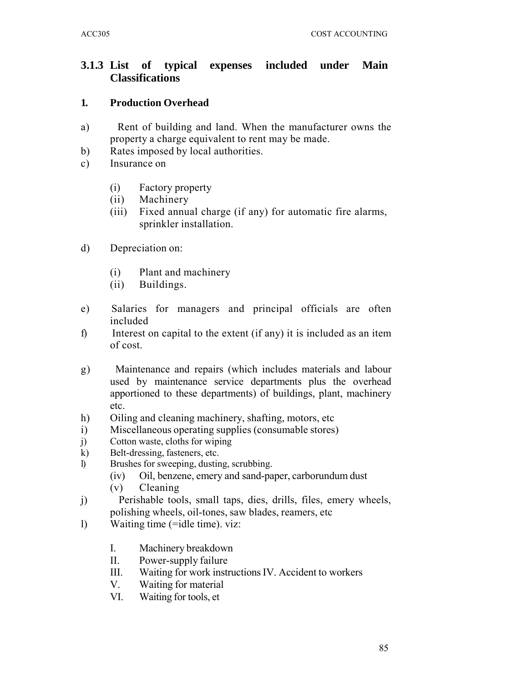# **3.1.3 List of typical expenses included under Main Classifications**

#### **1. Production Overhead**

- a) Rent of building and land. When the manufacturer owns the property a charge equivalent to rent may be made.
- b) Rates imposed by local authorities.
- c) Insurance on
	- (i) Factory property
	- (ii) Machinery
	- (iii) Fixed annual charge (if any) for automatic fire alarms, sprinkler installation.
- d) Depreciation on:
	- (i) Plant and machinery
	- (ii) Buildings.
- e) Salaries for managers and principal officials are often included
- f) Interest on capital to the extent (if any) it is included as an item of cost.
- g) Maintenance and repairs (which includes materials and labour used by maintenance service departments plus the overhead apportioned to these departments) of buildings, plant, machinery etc.
- h) Oiling and cleaning machinery, shafting, motors, etc
- i) Miscellaneous operating supplies (consumable stores)
- j) Cotton waste, cloths for wiping
- k) Belt-dressing, fasteners, etc.
- l) Brushes for sweeping, dusting, scrubbing.
	- (iv) Oil, benzene, emery and sand-paper, carborundum dust
	- (v) Cleaning
- j) Perishable tools, small taps, dies, drills, files, emery wheels, polishing wheels, oil-tones, saw blades, reamers, etc
- l) Waiting time (=idle time). viz:
	- I. Machinery breakdown
	- II. Power-supply failure
	- III. Waiting for work instructions IV. Accident to workers
	- V. Waiting for material
	- VI. Waiting for tools, et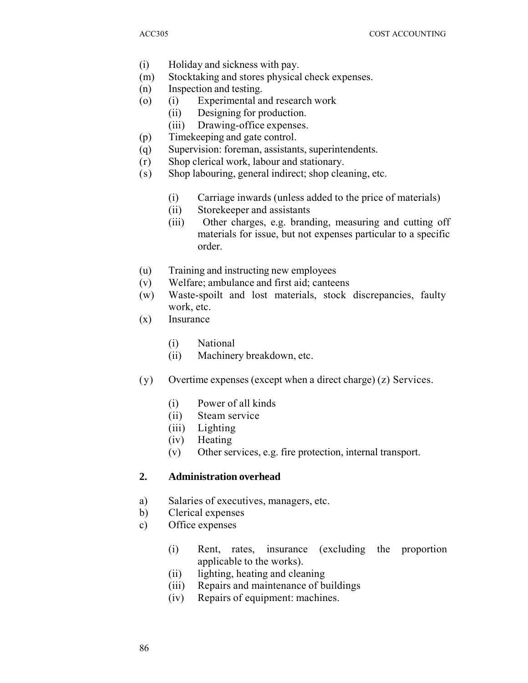- (i) Holiday and sickness with pay.
- (m) Stocktaking and stores physical check expenses.
- (n) Inspection and testing.
- (o) (i) Experimental and research work
	- (ii) Designing for production.
	- (iii) Drawing-office expenses.
- (p) Timekeeping and gate control.
- (q) Supervision: foreman, assistants, superintendents.
- (r) Shop clerical work, labour and stationary.
- (s ) Shop labouring, general indirect; shop cleaning, etc.
	- (i) Carriage inwards (unless added to the price of materials)
	- (ii) Storekeeper and assistants
	- (iii) Other charges, e.g. branding, measuring and cutting off materials for issue, but not expenses particular to a specific order.
- (u) Training and instructing new employees
- (v) Welfare; ambulance and first aid; canteens
- (w) Waste-spoilt and lost materials, stock discrepancies, faulty work, etc.
- (x) Insurance
	- (i) National
	- (ii) Machinery breakdown, etc.
- (y ) Overtime expenses (except when a direct charge) (z) Services.
	- (i) Power of all kinds
	- (ii) Steam service
	- (iii) Lighting
	- (iv) Heating
	- (v) Other services, e.g. fire protection, internal transport.

#### **2. Administration overhead**

- a) Salaries of executives, managers, etc.
- b) Clerical expenses
- c) Office expenses
	- (i) Rent, rates, insurance (excluding the proportion applicable to the works).
	- (ii) lighting, heating and cleaning
	- (iii) Repairs and maintenance of buildings
	- (iv) Repairs of equipment: machines.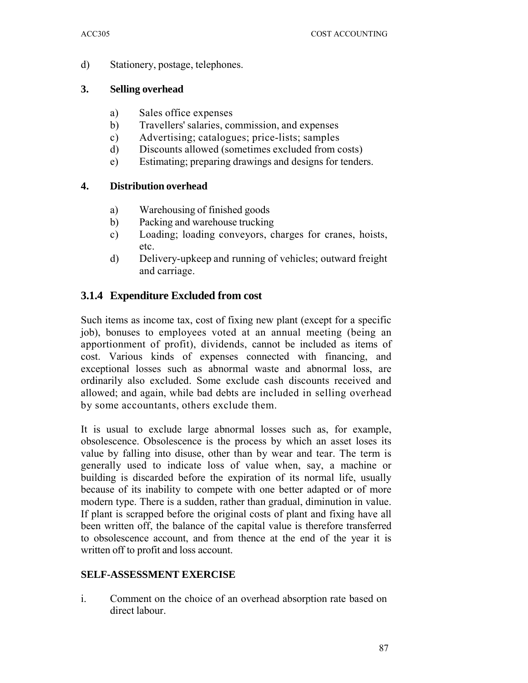d) Stationery, postage, telephones.

### **3. Selling overhead**

- a) Sales office expenses
- b) Travellers' salaries, commission, and expenses
- c) Advertising; catalogues; price-lists; samples
- d) Discounts allowed (sometimes excluded from costs)
- e) Estimating; preparing drawings and designs for tenders.

### **4. Distribution overhead**

- a) Warehousing of finished goods
- b) Packing and warehouse trucking
- c) Loading; loading conveyors, charges for cranes, hoists, etc.
- d) Delivery-upkeep and running of vehicles; outward freight and carriage.

# **3.1.4 Expenditure Excluded from cost**

Such items as income tax, cost of fixing new plant (except for a specific job), bonuses to employees voted at an annual meeting (being an apportionment of profit), dividends, cannot be included as items of cost. Various kinds of expenses connected with financing, and exceptional losses such as abnormal waste and abnormal loss, are ordinarily also excluded. Some exclude cash discounts received and allowed; and again, while bad debts are included in selling overhead by some accountants, others exclude them.

It is usual to exclude large abnormal losses such as, for example, obsolescence. Obsolescence is the process by which an asset loses its value by falling into disuse, other than by wear and tear. The term is generally used to indicate loss of value when, say, a machine or building is discarded before the expiration of its normal life, usually because of its inability to compete with one better adapted or of more modern type. There is a sudden, rather than gradual, diminution in value. If plant is scrapped before the original costs of plant and fixing have all been written off, the balance of the capital value is therefore transferred to obsolescence account, and from thence at the end of the year it is written off to profit and loss account.

#### **SELF-ASSESSMENT EXERCISE**

i. Comment on the choice of an overhead absorption rate based on direct labour.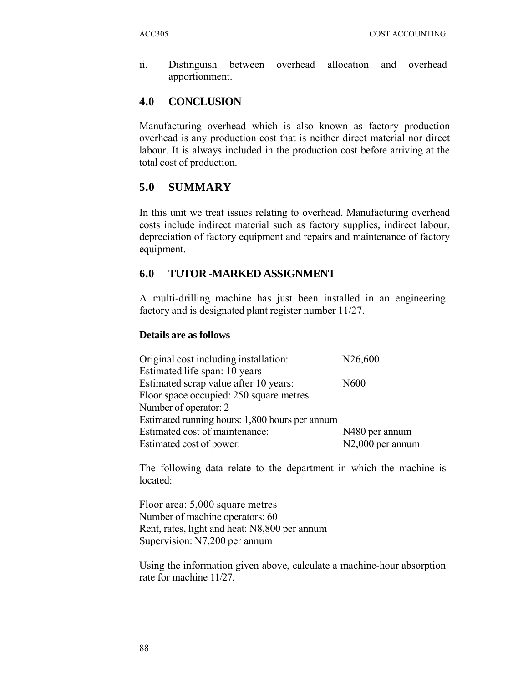ii. Distinguish between overhead allocation and overhead apportionment.

### **4.0 CONCLUSION**

Manufacturing overhead which is also known as factory production overhead is any production cost that is neither direct material nor direct labour. It is always included in the production cost before arriving at the total cost of production.

### **5.0 SUMMARY**

In this unit we treat issues relating to overhead. Manufacturing overhead costs include indirect material such as factory supplies, indirect labour, depreciation of factory equipment and repairs and maintenance of factory equipment.

### **6.0 TUTOR -MARKED ASSIGNMENT**

A multi-drilling machine has just been installed in an engineering factory and is designated plant register number 11/27.

#### **Details are as follows**

| Original cost including installation:          | N <sub>26</sub> ,600          |
|------------------------------------------------|-------------------------------|
| Estimated life span: 10 years                  |                               |
| Estimated scrap value after 10 years:          | N <sub>600</sub>              |
| Floor space occupied: 250 square metres        |                               |
| Number of operator: 2                          |                               |
| Estimated running hours: 1,800 hours per annum |                               |
| Estimated cost of maintenance:                 | N480 per annum                |
| Estimated cost of power:                       | N <sub>2</sub> ,000 per annum |

The following data relate to the department in which the machine is located:

Floor area: 5,000 square metres Number of machine operators: 60 Rent, rates, light and heat: N8,800 per annum Supervision: N7,200 per annum

Using the information given above, calculate a machine-hour absorption rate for machine 11/27.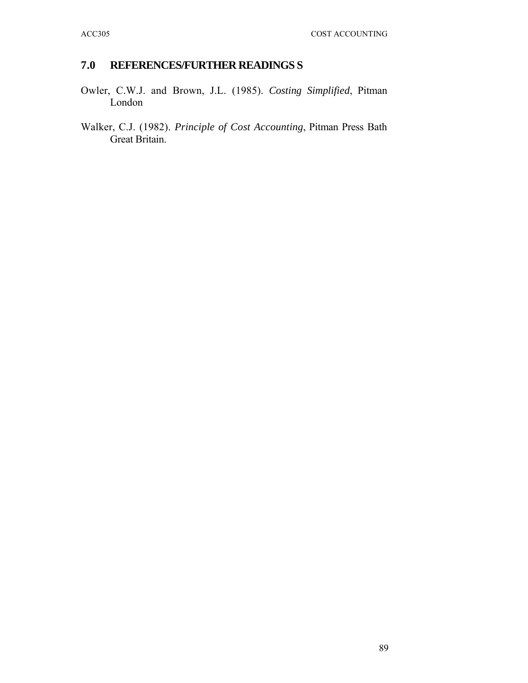# **7.0 REFERENCES/FURTHER READINGS S**

- Owler, C.W.J. and Brown, J.L. (1985). *Costing Simplified*, Pitman London
- Walker, C.J. (1982). *Principle of Cost Accounting*, Pitman Press Bath Great Britain.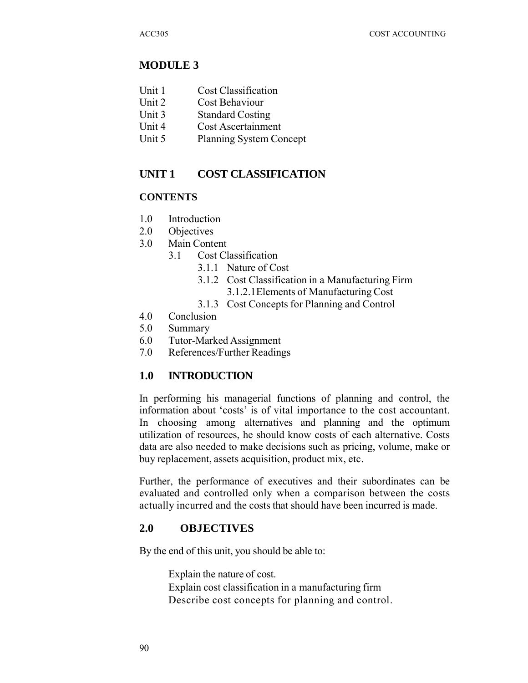### **MODULE 3**

- Unit 1 Cost Classification
- Unit 2 Cost Behaviour
- Unit 3 Standard Costing
- Unit 4 Cost Ascertainment
- Unit 5 Planning System Concept

# **UNIT 1 COST CLASSIFICATION**

### **CONTENTS**

- 1.0 Introduction
- 2.0 Objectives
- 3.0 Main Content
	- 3.1 Cost Classification
		- 3.1.1 Nature of Cost
			- 3.1.2 Cost Classification in a Manufacturing Firm
				- 3.1.2.1Elements of Manufacturing Cost
			- 3.1.3 Cost Concepts for Planning and Control
- 4.0 Conclusion
- 5.0 Summary
- 6.0 Tutor-Marked Assignment
- 7.0 References/Further Readings

### **1.0 INTRODUCTION**

In performing his managerial functions of planning and control, the information about 'costs' is of vital importance to the cost accountant. In choosing among alternatives and planning and the optimum utilization of resources, he should know costs of each alternative. Costs data are also needed to make decisions such as pricing, volume, make or buy replacement, assets acquisition, product mix, etc.

Further, the performance of executives and their subordinates can be evaluated and controlled only when a comparison between the costs actually incurred and the costs that should have been incurred is made.

### **2.0 OBJECTIVES**

By the end of this unit, you should be able to:

Explain the nature of cost.

Explain cost classification in a manufacturing firm Describe cost concepts for planning and control.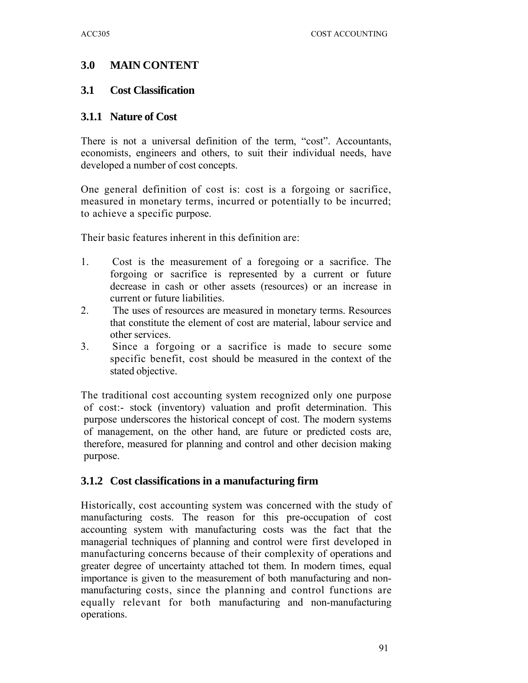### **3.0 MAIN CONTENT**

#### **3.1 Cost Classification**

#### **3.1.1 Nature of Cost**

There is not a universal definition of the term, "cost". Accountants, economists, engineers and others, to suit their individual needs, have developed a number of cost concepts.

One general definition of cost is: cost is a forgoing or sacrifice, measured in monetary terms, incurred or potentially to be incurred; to achieve a specific purpose.

Their basic features inherent in this definition are:

- 1. Cost is the measurement of a foregoing or a sacrifice. The forgoing or sacrifice is represented by a current or future decrease in cash or other assets (resources) or an increase in current or future liabilities.
- 2. The uses of resources are measured in monetary terms. Resources that constitute the element of cost are material, labour service and other services.
- 3. Since a forgoing or a sacrifice is made to secure some specific benefit, cost should be measured in the context of the stated objective.

The traditional cost accounting system recognized only one purpose of cost:- stock (inventory) valuation and profit determination. This purpose underscores the historical concept of cost. The modern systems of management, on the other hand, are future or predicted costs are, therefore, measured for planning and control and other decision making purpose.

#### **3.1.2 Cost classifications in a manufacturing firm**

Historically, cost accounting system was concerned with the study of manufacturing costs. The reason for this pre-occupation of cost accounting system with manufacturing costs was the fact that the managerial techniques of planning and control were first developed in manufacturing concerns because of their complexity of operations and greater degree of uncertainty attached tot them. In modern times, equal importance is given to the measurement of both manufacturing and nonmanufacturing costs, since the planning and control functions are equally relevant for both manufacturing and non-manufacturing operations.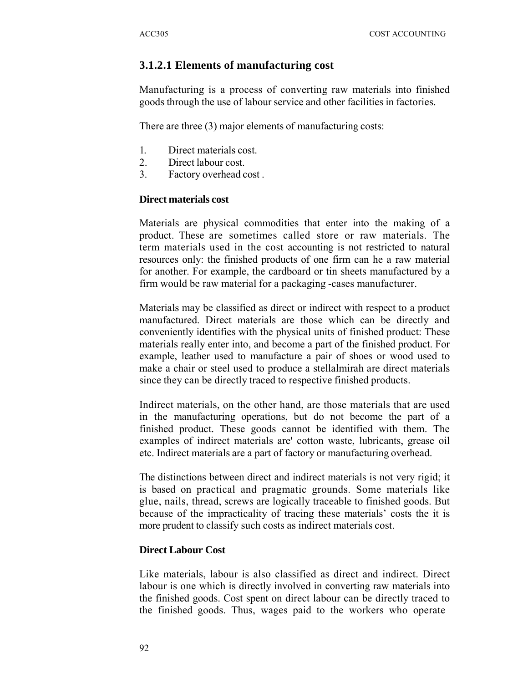### **3.1.2.1 Elements of manufacturing cost**

Manufacturing is a process of converting raw materials into finished goods through the use of labour service and other facilities in factories.

There are three (3) major elements of manufacturing costs:

- 1. Direct materials cost.
- 2. Direct labour cost.
- 3. Factory overhead cost .

#### **Direct materials cost**

Materials are physical commodities that enter into the making of a product. These are sometimes called store or raw materials. The term materials used in the cost accounting is not restricted to natural resources only: the finished products of one firm can he a raw material for another. For example, the cardboard or tin sheets manufactured by a firm would be raw material for a packaging -cases manufacturer.

Materials may be classified as direct or indirect with respect to a product manufactured. Direct materials are those which can be directly and conveniently identifies with the physical units of finished product: These materials really enter into, and become a part of the finished product. For example, leather used to manufacture a pair of shoes or wood used to make a chair or steel used to produce a stellalmirah are direct materials since they can be directly traced to respective finished products.

Indirect materials, on the other hand, are those materials that are used in the manufacturing operations, but do not become the part of a finished product. These goods cannot be identified with them. The examples of indirect materials are' cotton waste, lubricants, grease oil etc. Indirect materials are a part of factory or manufacturing overhead.

The distinctions between direct and indirect materials is not very rigid; it is based on practical and pragmatic grounds. Some materials like glue, nails, thread, screws are logically traceable to finished goods. But because of the impracticality of tracing these materials' costs the it is more prudent to classify such costs as indirect materials cost.

#### **Direct Labour Cost**

Like materials, labour is also classified as direct and indirect. Direct labour is one which is directly involved in converting raw materials into the finished goods. Cost spent on direct labour can be directly traced to the finished goods. Thus, wages paid to the workers who operate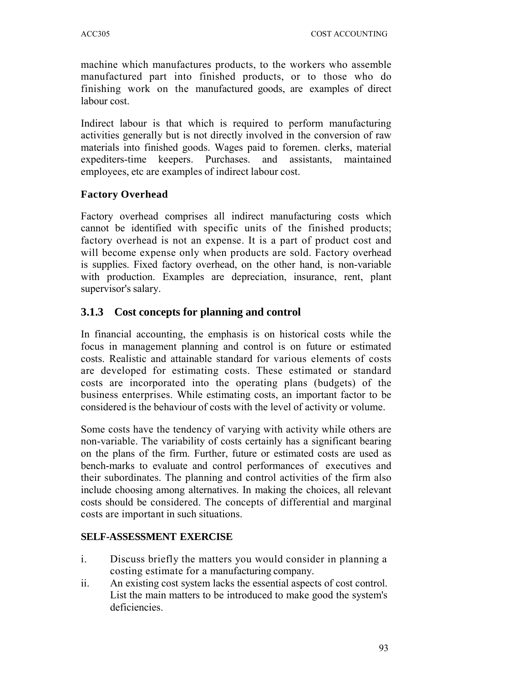machine which manufactures products, to the workers who assemble manufactured part into finished products, or to those who do finishing work on the manufactured goods, are examples of direct labour cost.

Indirect labour is that which is required to perform manufacturing activities generally but is not directly involved in the conversion of raw materials into finished goods. Wages paid to foremen. clerks, material expediters-time keepers. Purchases. and assistants, maintained employees, etc are examples of indirect labour cost.

### **Factory Overhead**

Factory overhead comprises all indirect manufacturing costs which cannot be identified with specific units of the finished products; factory overhead is not an expense. It is a part of product cost and will become expense only when products are sold. Factory overhead is supplies. Fixed factory overhead, on the other hand, is non-variable with production. Examples are depreciation, insurance, rent, plant supervisor's salary.

### **3.1.3 Cost concepts for planning and control**

In financial accounting, the emphasis is on historical costs while the focus in management planning and control is on future or estimated costs. Realistic and attainable standard for various elements of costs are developed for estimating costs. These estimated or standard costs are incorporated into the operating plans (budgets) of the business enterprises. While estimating costs, an important factor to be considered is the behaviour of costs with the level of activity or volume.

Some costs have the tendency of varying with activity while others are non-variable. The variability of costs certainly has a significant bearing on the plans of the firm. Further, future or estimated costs are used as bench-marks to evaluate and control performances of executives and their subordinates. The planning and control activities of the firm also include choosing among alternatives. In making the choices, all relevant costs should be considered. The concepts of differential and marginal costs are important in such situations.

#### **SELF-ASSESSMENT EXERCISE**

- i. Discuss briefly the matters you would consider in planning a costing estimate for a manufacturing company.
- ii. An existing cost system lacks the essential aspects of cost control. List the main matters to be introduced to make good the system's deficiencies.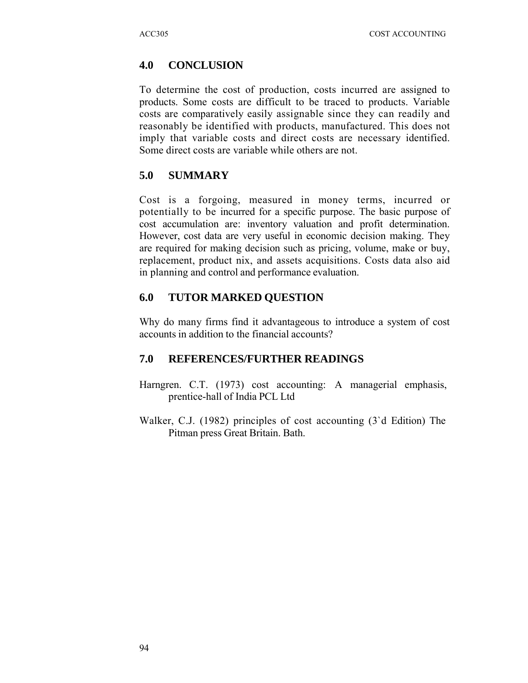### **4.0 CONCLUSION**

To determine the cost of production, costs incurred are assigned to products. Some costs are difficult to be traced to products. Variable costs are comparatively easily assignable since they can readily and reasonably be identified with products, manufactured. This does not imply that variable costs and direct costs are necessary identified. Some direct costs are variable while others are not.

### **5.0 SUMMARY**

Cost is a forgoing, measured in money terms, incurred or potentially to be incurred for a specific purpose. The basic purpose of cost accumulation are: inventory valuation and profit determination. However, cost data are very useful in economic decision making. They are required for making decision such as pricing, volume, make or buy, replacement, product nix, and assets acquisitions. Costs data also aid in planning and control and performance evaluation.

### **6.0 TUTOR MARKED QUESTION**

Why do many firms find it advantageous to introduce a system of cost accounts in addition to the financial accounts?

#### **7.0 REFERENCES/FURTHER READINGS**

- Harngren. C.T. (1973) cost accounting: A managerial emphasis, prentice-hall of India PCL Ltd
- Walker, C.J. (1982) principles of cost accounting (3`d Edition) The Pitman press Great Britain. Bath.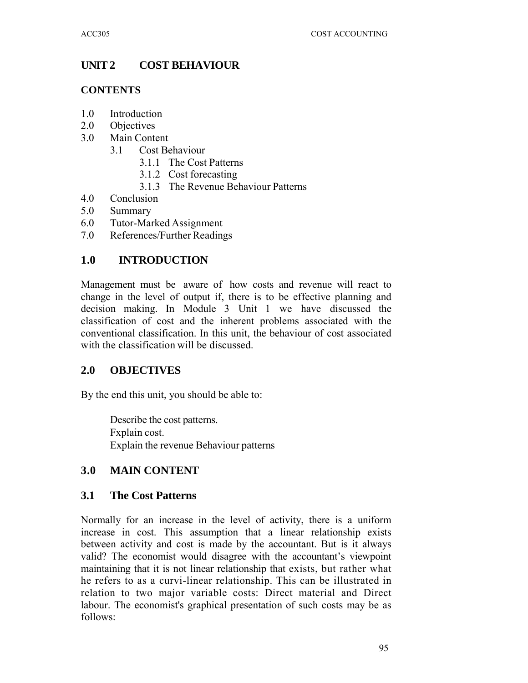# **UNIT 2 COST BEHAVIOUR**

#### **CONTENTS**

- 1.0 Introduction
- 2.0 Objectives
- 3.0 Main Content
	- 3.1 Cost Behaviour
		- 3.1.1 The Cost Patterns
		- 3.1.2 Cost forecasting
		- 3.1.3 The Revenue Behaviour Patterns
- 4.0 Conclusion
- 5.0 Summary
- 6.0 Tutor-Marked Assignment
- 7.0 References/Further Readings

# **1.0 INTRODUCTION**

Management must be aware of how costs and revenue will react to change in the level of output if, there is to be effective planning and decision making. In Module 3 Unit 1 we have discussed the classification of cost and the inherent problems associated with the conventional classification. In this unit, the behaviour of cost associated with the classification will be discussed.

### **2.0 OBJECTIVES**

By the end this unit, you should be able to:

Describe the cost patterns. Fxplain cost. Explain the revenue Behaviour patterns

# **3.0 MAIN CONTENT**

### **3.1 The Cost Patterns**

Normally for an increase in the level of activity, there is a uniform increase in cost. This assumption that a linear relationship exists between activity and cost is made by the accountant. But is it always valid? The economist would disagree with the accountant's viewpoint maintaining that it is not linear relationship that exists, but rather what he refers to as a curvi-linear relationship. This can be illustrated in relation to two major variable costs: Direct material and Direct labour. The economist's graphical presentation of such costs may be as follows: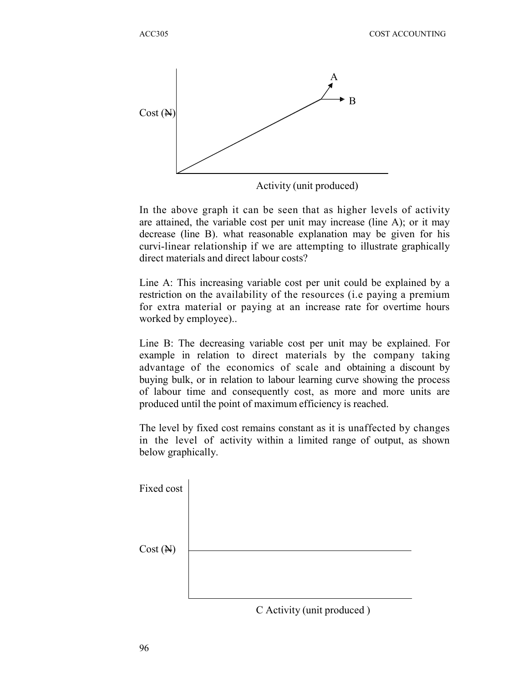

direct materials and direct labour costs?

In the above graph it can be seen that as higher levels of activity are attained, the variable cost per unit may increase (line A); or it may decrease (line B). what reasonable explanation may be given for his curvi-linear relationship if we are attempting to illustrate graphically

Line A: This increasing variable cost per unit could be explained by a restriction on the availability of the resources (i.e paying a premium for extra material or paying at an increase rate for overtime hours worked by employee)..

Line B: The decreasing variable cost per unit may be explained. For example in relation to direct materials by the company taking advantage of the economics of scale and obtaining a discount by buying bulk, or in relation to labour learning curve showing the process of labour time and consequently cost, as more and more units are produced until the point of maximum efficiency is reached.

The level by fixed cost remains constant as it is unaffected by changes in the level of activity within a limited range of output, as shown below graphically.



C Activity (unit produced )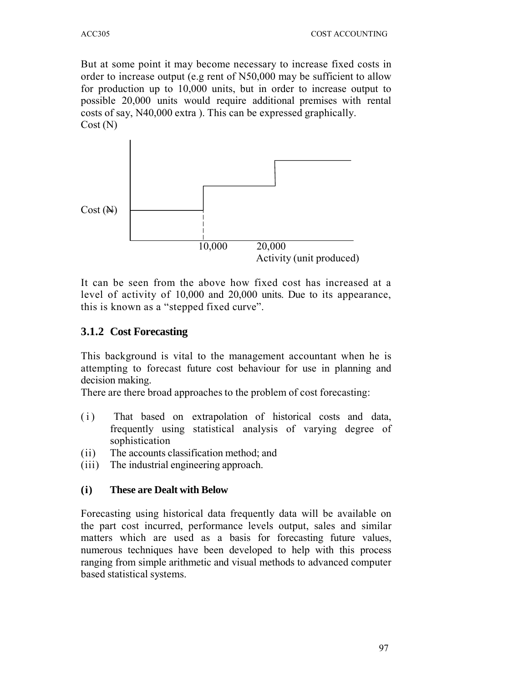But at some point it may become necessary to increase fixed costs in order to increase output (e.g rent of N50,000 may be sufficient to allow for production up to 10,000 units, but in order to increase output to possible 20,000 units would require additional premises with rental costs of say, N40,000 extra ). This can be expressed graphically. Cost (N)



It can be seen from the above how fixed cost has increased at a level of activity of 10,000 and 20,000 units. Due to its appearance, this is known as a "stepped fixed curve".

### **3.1.2 Cost Forecasting**

This background is vital to the management accountant when he is attempting to forecast future cost behaviour for use in planning and decision making.

There are there broad approaches to the problem of cost forecasting:

- (i) That based on extrapolation of historical costs and data, frequently using statistical analysis of varying degree of sophistication
- (ii) The accounts classification method; and
- (iii) The industrial engineering approach.

#### **(i ) These are Dealt with Below**

Forecasting using historical data frequently data will be available on the part cost incurred, performance levels output, sales and similar matters which are used as a basis for forecasting future values, numerous techniques have been developed to help with this process ranging from simple arithmetic and visual methods to advanced computer based statistical systems.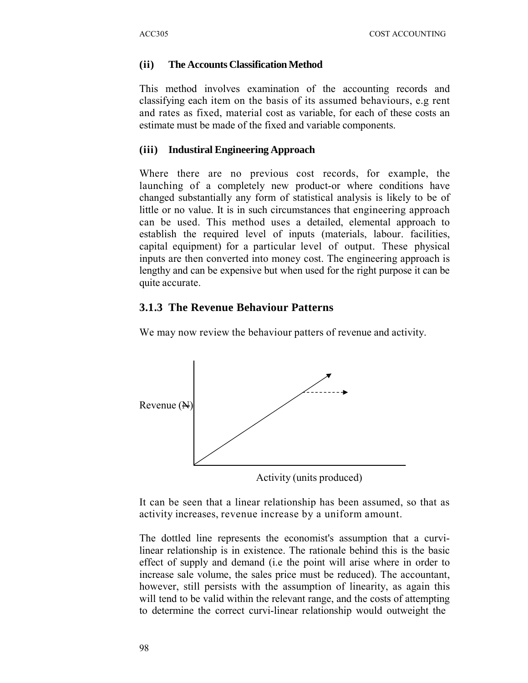#### **(ii) The Accounts Classification Method**

This method involves examination of the accounting records and classifying each item on the basis of its assumed behaviours, e.g rent and rates as fixed, material cost as variable, for each of these costs an estimate must be made of the fixed and variable components.

#### **(iii ) Industiral Engineering Approach**

Where there are no previous cost records, for example, the launching of a completely new product-or where conditions have changed substantially any form of statistical analysis is likely to be of little or no value. It is in such circumstances that engineering approach can be used. This method uses a detailed, elemental approach to establish the required level of inputs (materials, labour. facilities, capital equipment) for a particular level of output. These physical inputs are then converted into money cost. The engineering approach is lengthy and can be expensive but when used for the right purpose it can be quite accurate.

#### **3.1.3 The Revenue Behaviour Patterns**

We may now review the behaviour patters of revenue and activity.



It can be seen that a linear relationship has been assumed, so that as activity increases, revenue increase by a uniform amount.

The dottled line represents the economist's assumption that a curvilinear relationship is in existence. The rationale behind this is the basic effect of supply and demand (i.e the point will arise where in order to increase sale volume, the sales price must be reduced). The accountant, however, still persists with the assumption of linearity, as again this will tend to be valid within the relevant range, and the costs of attempting to determine the correct curvi-linear relationship would outweight the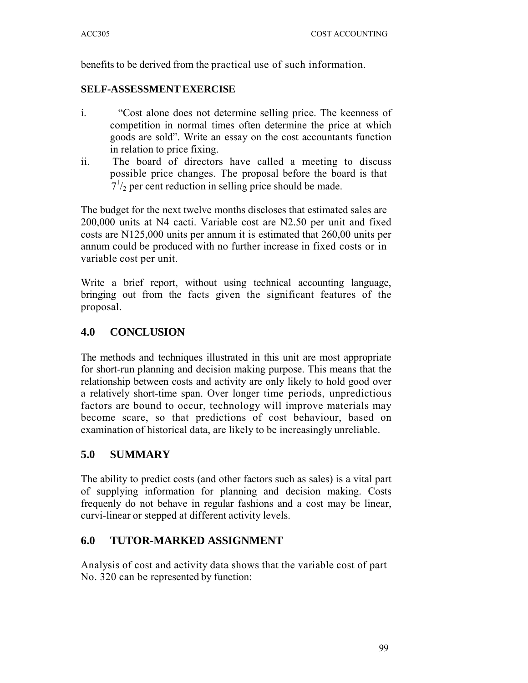benefits to be derived from the practical use of such information.

### **SELF-ASSESSMENT EXERCISE**

- i. "Cost alone does not determine selling price. The keenness of competition in normal times often determine the price at which goods are sold". Write an essay on the cost accountants function in relation to price fixing.
- ii. The board of directors have called a meeting to discuss possible price changes. The proposal before the board is that  $7^{1/2}$  per cent reduction in selling price should be made.

The budget for the next twelve months discloses that estimated sales are 200,000 units at N4 cacti. Variable cost are N2.50 per unit and fixed costs are N125,000 units per annum it is estimated that 260,00 units per annum could be produced with no further increase in fixed costs or in variable cost per unit.

Write a brief report, without using technical accounting language, bringing out from the facts given the significant features of the proposal.

# **4.0 CONCLUSION**

The methods and techniques illustrated in this unit are most appropriate for short-run planning and decision making purpose. This means that the relationship between costs and activity are only likely to hold good over a relatively short-time span. Over longer time periods, unpredictious factors are bound to occur, technology will improve materials may become scare, so that predictions of cost behaviour, based on examination of historical data, are likely to be increasingly unreliable.

# **5.0 SUMMARY**

The ability to predict costs (and other factors such as sales) is a vital part of supplying information for planning and decision making. Costs frequenly do not behave in regular fashions and a cost may be linear, curvi-linear or stepped at different activity levels.

# **6.0 TUTOR-MARKED ASSIGNMENT**

Analysis of cost and activity data shows that the variable cost of part No. 320 can be represented by function: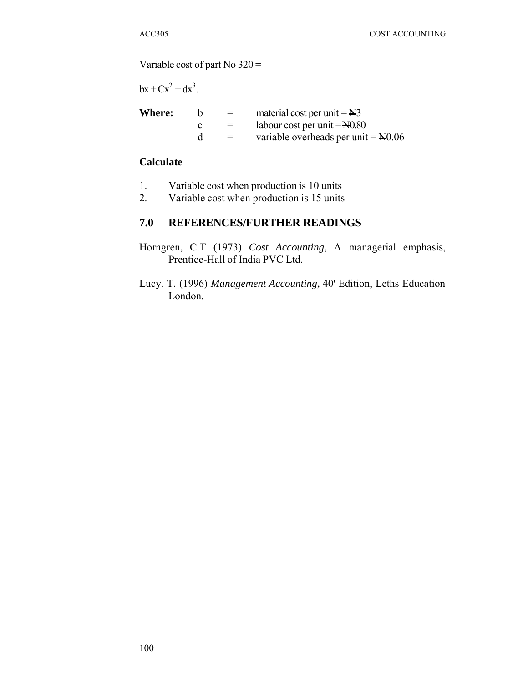Variable cost of part No 320 =

 $bx + Cx^2 + dx^3$ .

**Where:**  $\mathbf{b} = \text{material cost per unit} = \text{H3}$ c  $=$  labour cost per unit = $\frac{N}{0.80}$ d = variable overheads per unit =  $\text{N}0.06$ 

#### **Calculate**

- 1. Variable cost when production is 10 units
- 2. Variable cost when production is 15 units

#### **7.0 REFERENCES/FURTHER READINGS**

- Horngren, C.T (1973) *Cost Accounting*, A managerial emphasis, Prentice-Hall of India PVC Ltd.
- Lucy. T. (1996) *Management Accounting,* 40' Edition, Leths Education London.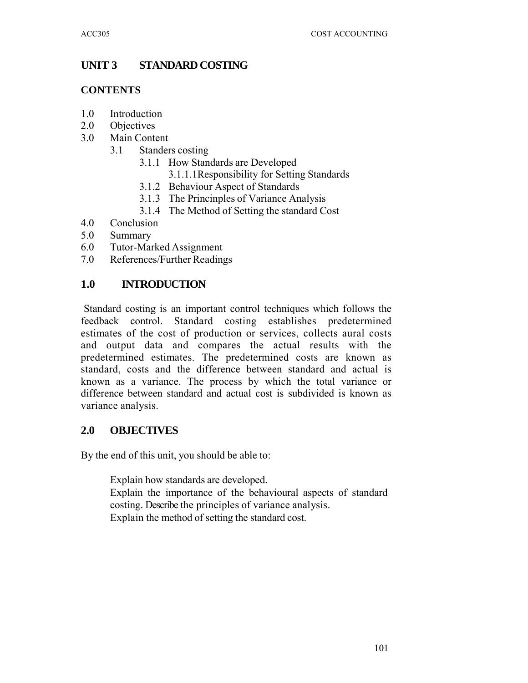### **UNIT 3 STANDARD COSTING**

#### **CONTENTS**

- 1.0 Introduction
- 2.0 Objectives
- 3.0 Main Content
	- 3.1 Standers costing
		- 3.1.1 How Standards are Developed
			- 3.1.1.1Responsibility for Setting Standards
		- 3.1.2 Behaviour Aspect of Standards
		- 3.1.3 The Princinples of Variance Analysis
		- 3.1.4 The Method of Setting the standard Cost
- 4.0 Conclusion
- 5.0 Summary
- 6.0 Tutor-Marked Assignment
- 7.0 References/Further Readings

# **1.0 INTRODUCTION**

Standard costing is an important control techniques which follows the feedback control. Standard costing establishes predetermined estimates of the cost of production or services, collects aural costs and output data and compares the actual results with the predetermined estimates. The predetermined costs are known as standard, costs and the difference between standard and actual is known as a variance. The process by which the total variance or difference between standard and actual cost is subdivided is known as variance analysis.

### **2.0 OBJECTIVES**

By the end of this unit, you should be able to:

Explain how standards are developed. Explain the importance of the behavioural aspects of standard costing. Describe the principles of variance analysis. Explain the method of setting the standard cost.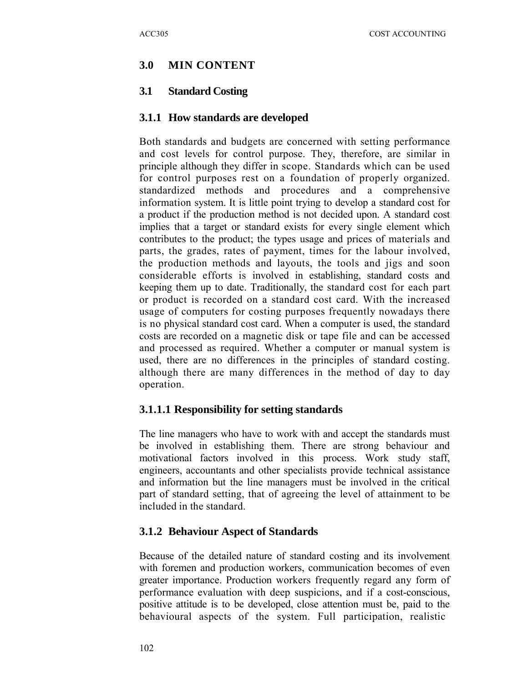#### **3.0 MIN CONTENT**

#### **3.1 Standard Costing**

#### **3.1.1 How standards are developed**

Both standards and budgets are concerned with setting performance and cost levels for control purpose. They, therefore, are similar in principle although they differ in scope. Standards which can be used for control purposes rest on a foundation of properly organized. standardized methods and procedures and a comprehensive information system. It is little point trying to develop a standard cost for a product if the production method is not decided upon. A standard cost implies that a target or standard exists for every single element which contributes to the product; the types usage and prices of materials and parts, the grades, rates of payment, times for the labour involved, the production methods and layouts, the tools and jigs and soon considerable efforts is involved in establishing, standard costs and keeping them up to date. Traditionally, the standard cost for each part or product is recorded on a standard cost card. With the increased usage of computers for costing purposes frequently nowadays there is no physical standard cost card. When a computer is used, the standard costs are recorded on a magnetic disk or tape file and can be accessed and processed as required. Whether a computer or manual system is used, there are no differences in the principles of standard costing. although there are many differences in the method of day to day operation.

#### **3.1.1.1 Responsibility for setting standards**

The line managers who have to work with and accept the standards must be involved in establishing them. There are strong behaviour and motivational factors involved in this process. Work study staff, engineers, accountants and other specialists provide technical assistance and information but the line managers must be involved in the critical part of standard setting, that of agreeing the level of attainment to be included in the standard.

#### **3.1.2 Behaviour Aspect of Standards**

Because of the detailed nature of standard costing and its involvement with foremen and production workers, communication becomes of even greater importance. Production workers frequently regard any form of performance evaluation with deep suspicions, and if a cost-conscious, positive attitude is to be developed, close attention must be, paid to the behavioural aspects of the system. Full participation, realistic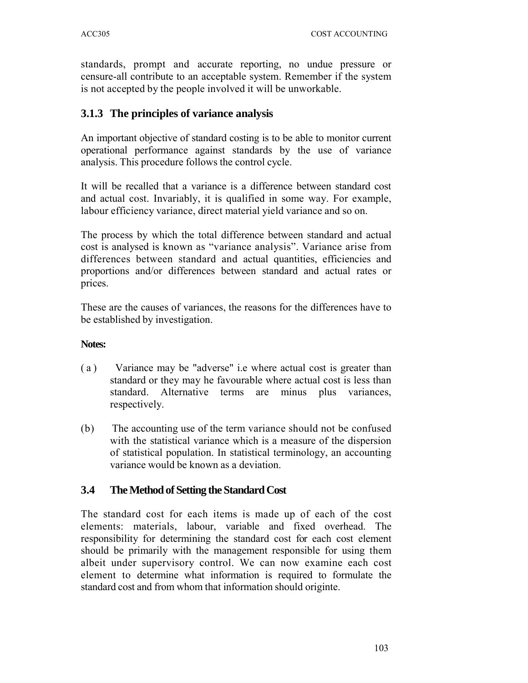standards, prompt and accurate reporting, no undue pressure or censure-all contribute to an acceptable system. Remember if the system is not accepted by the people involved it will be unworkable.

### **3.1.3 The principles of variance analysis**

An important objective of standard costing is to be able to monitor current operational performance against standards by the use of variance analysis. This procedure follows the control cycle.

It will be recalled that a variance is a difference between standard cost and actual cost. Invariably, it is qualified in some way. For example, labour efficiency variance, direct material yield variance and so on.

The process by which the total difference between standard and actual cost is analysed is known as "variance analysis". Variance arise from differences between standard and actual quantities, efficiencies and proportions and/or differences between standard and actual rates or prices.

These are the causes of variances, the reasons for the differences have to be established by investigation.

#### **Notes:**

- ( a ) Variance may be "adverse" i.e where actual cost is greater than standard or they may he favourable where actual cost is less than standard. Alternative terms are minus plus variances, respectively.
- (b) The accounting use of the term variance should not be confused with the statistical variance which is a measure of the dispersion of statistical population. In statistical terminology, an accounting variance would be known as a deviation.

#### **3.4 The Method of Setting the Standard Cost**

The standard cost for each items is made up of each of the cost elements: materials, labour, variable and fixed overhead. The responsibility for determining the standard cost for each cost element should be primarily with the management responsible for using them albeit under supervisory control. We can now examine each cost element to determine what information is required to formulate the standard cost and from whom that information should originte.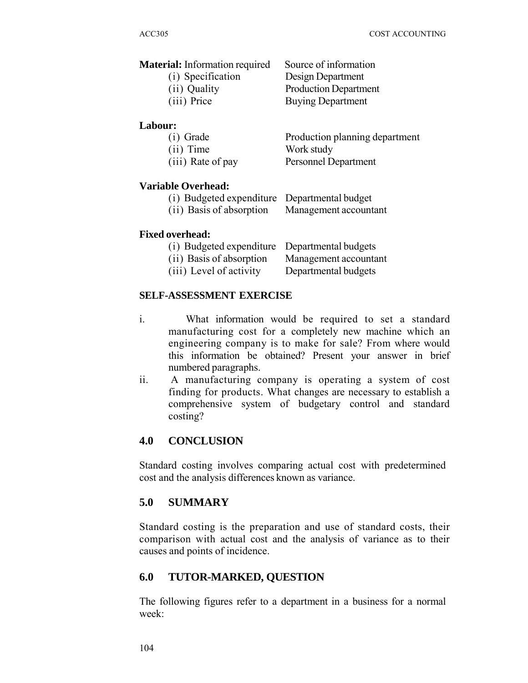| <b>Material:</b> Information required | Source of information                 |
|---------------------------------------|---------------------------------------|
| (i) Specification                     | Design Department                     |
| (ii) Quality                          | <b>Production Department</b>          |
| (iii) Price                           | <b>Buying Department</b>              |
| Labour:                               |                                       |
| $(i)$ Grade                           | Production planning department        |
| $\left( \ldots \right)$               | $W_{\alpha\mu}$ $\mathbf{L}_{\alpha}$ |

(ii ) Time Work study (iii) Rate of pay Personnel Department

#### **Variable Overhead:**

| (i) Budgeted expenditure Departmental budget |                       |
|----------------------------------------------|-----------------------|
| (ii) Basis of absorption                     | Management accountant |

#### **Fixed overhead:**

| (i) Budgeted expenditure Departmental budgets |                       |
|-----------------------------------------------|-----------------------|
| (ii) Basis of absorption                      | Management accountant |
| (iii) Level of activity                       | Departmental budgets  |

#### **SELF-ASSESSMENT EXERCISE**

- i. What information would be required to set a standard manufacturing cost for a completely new machine which an engineering company is to make for sale? From where would this information be obtained? Present your answer in brief numbered paragraphs.
- ii. A manufacturing company is operating a system of cost finding for products. What changes are necessary to establish a comprehensive system of budgetary control and standard costing?

### **4.0 CONCLUSION**

Standard costing involves comparing actual cost with predetermined cost and the analysis differences known as variance.

#### **5.0 SUMMARY**

Standard costing is the preparation and use of standard costs, their comparison with actual cost and the analysis of variance as to their causes and points of incidence.

#### **6.0 TUTOR-MARKED, QUESTION**

The following figures refer to a department in a business for a normal week: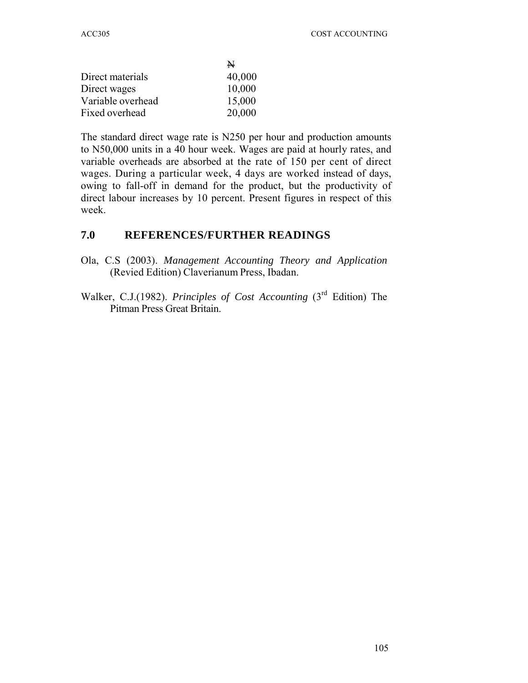|                   | $\mathbf{N}$ |
|-------------------|--------------|
| Direct materials  | 40,000       |
| Direct wages      | 10,000       |
| Variable overhead | 15,000       |
| Fixed overhead    | 20,000       |

The standard direct wage rate is N250 per hour and production amounts to N50,000 units in a 40 hour week. Wages are paid at hourly rates, and variable overheads are absorbed at the rate of 150 per cent of direct wages. During a particular week, 4 days are worked instead of days, owing to fall-off in demand for the product, but the productivity of direct labour increases by 10 percent. Present figures in respect of this week.

# **7.0 REFERENCES/FURTHER READINGS**

- Ola, C.S (2003). *Management Accounting Theory and Application* (Revied Edition) Claverianum Press, Ibadan.
- Walker, C.J.(1982). *Principles of Cost Accounting* (3<sup>rd</sup> Edition) The Pitman Press Great Britain.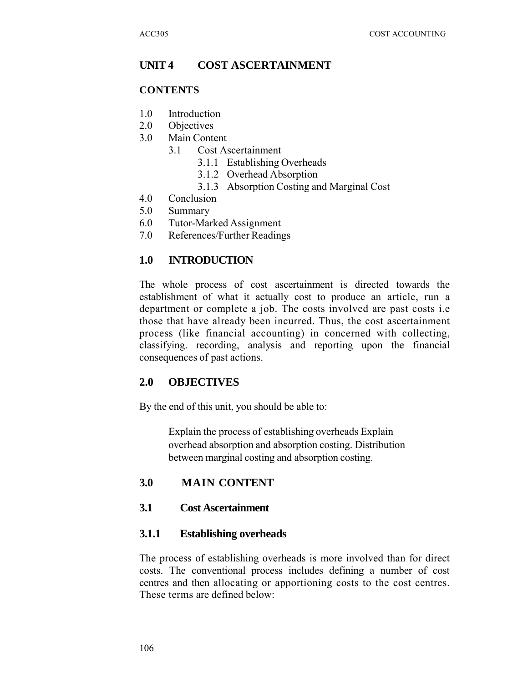# **UNIT 4 COST ASCERTAINMENT**

### **CONTENTS**

- 1.0 Introduction
- 2.0 Objectives
- 3.0 Main Content
	- 3.1 Cost Ascertainment
		- 3.1.1 Establishing Overheads
		- 3.1.2 Overhead Absorption
		- 3.1.3 Absorption Costing and Marginal Cost
- 4.0 Conclusion
- 5.0 Summary
- 6.0 Tutor-Marked Assignment
- 7.0 References/Further Readings

## **1.0 INTRODUCTION**

The whole process of cost ascertainment is directed towards the establishment of what it actually cost to produce an article, run a department or complete a job. The costs involved are past costs i.e those that have already been incurred. Thus, the cost ascertainment process (like financial accounting) in concerned with collecting, classifying. recording, analysis and reporting upon the financial consequences of past actions.

## **2.0 OBJECTIVES**

By the end of this unit, you should be able to:

Explain the process of establishing overheads Explain overhead absorption and absorption costing. Distribution between marginal costing and absorption costing.

## **3.0 MAIN CONTENT**

## **3.1 Cost Ascertainment**

## **3.1.1 Establishing overheads**

The process of establishing overheads is more involved than for direct costs. The conventional process includes defining a number of cost centres and then allocating or apportioning costs to the cost centres. These terms are defined below: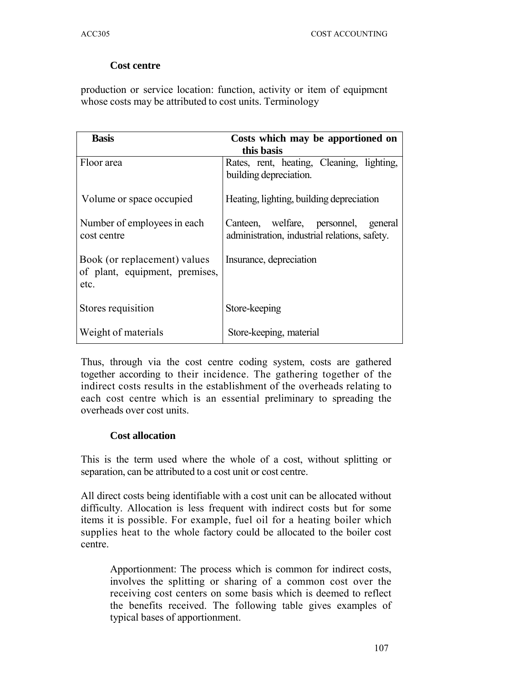### **Cost centre**

production or service location: function, activity or item of equipmcnt whose costs may be attributed to cost units. Terminology

| <b>Basis</b>                                                           | Costs which may be apportioned on                                                     |  |  |  |  |
|------------------------------------------------------------------------|---------------------------------------------------------------------------------------|--|--|--|--|
| Floor area                                                             | this basis<br>Rates, rent, heating, Cleaning, lighting,<br>building depreciation.     |  |  |  |  |
| Volume or space occupied                                               | Heating, lighting, building depreciation                                              |  |  |  |  |
| Number of employees in each.<br>cost centre                            | Canteen, welfare, personnel, general<br>administration, industrial relations, safety. |  |  |  |  |
| Book (or replacement) values<br>of plant, equipment, premises,<br>etc. | Insurance, depreciation                                                               |  |  |  |  |
| Stores requisition                                                     | Store-keeping                                                                         |  |  |  |  |
| Weight of materials                                                    | Store-keeping, material                                                               |  |  |  |  |

Thus, through via the cost centre coding system, costs are gathered together according to their incidence. The gathering together of the indirect costs results in the establishment of the overheads relating to each cost centre which is an essential preliminary to spreading the overheads over cost units.

#### **Cost allocation**

This is the term used where the whole of a cost, without splitting or separation, can be attributed to a cost unit or cost centre.

All direct costs being identifiable with a cost unit can be allocated without difficulty. Allocation is less frequent with indirect costs but for some items it is possible. For example, fuel oil for a heating boiler which supplies heat to the whole factory could be allocated to the boiler cost centre.

Apportionment: The process which is common for indirect costs, involves the splitting or sharing of a common cost over the receiving cost centers on some basis which is deemed to reflect the benefits received. The following table gives examples of typical bases of apportionment.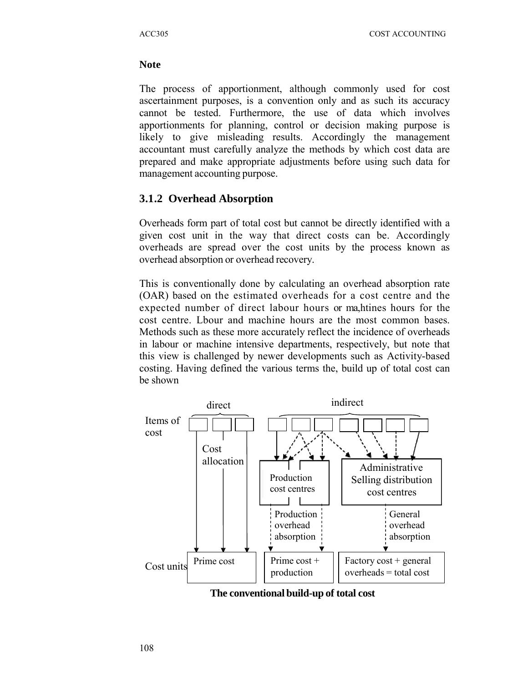#### **Note**

The process of apportionment, although commonly used for cost ascertainment purposes, is a convention only and as such its accuracy cannot be tested. Furthermore, the use of data which involves apportionments for planning, control or decision making purpose is likely to give misleading results. Accordingly the management accountant must carefully analyze the methods by which cost data are prepared and make appropriate adjustments before using such data for management accounting purpose.

## **3.1.2 Overhead Absorption**

Overheads form part of total cost but cannot be directly identified with a given cost unit in the way that direct costs can be. Accordingly overheads are spread over the cost units by the process known as overhead absorption or overhead recovery.

This is conventionally done by calculating an overhead absorption rate (OAR) based on the estimated overheads for a cost centre and the expected number of direct labour hours or ma,htines hours for the cost centre. Lbour and machine hours are the most common bases. Methods such as these more accurately reflect the incidence of overheads in labour or machine intensive departments, respectively, but note that this view is challenged by newer developments such as Activity-based costing. Having defined the various terms the, build up of total cost can be shown



**The conventional build-up of total cost**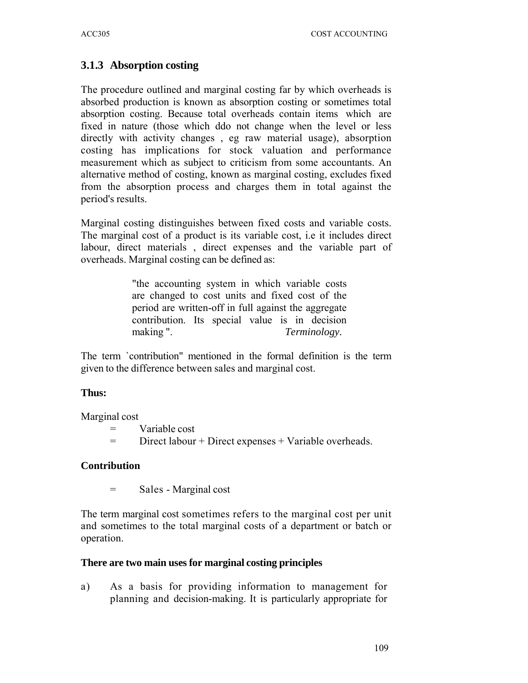# **3.1.3 Absorption costing**

The procedure outlined and marginal costing far by which overheads is absorbed production is known as absorption costing or sometimes total absorption costing. Because total overheads contain items which are fixed in nature (those which ddo not change when the level or less directly with activity changes , eg raw material usage), absorption costing has implications for stock valuation and performance measurement which as subject to criticism from some accountants. An alternative method of costing, known as marginal costing, excludes fixed from the absorption process and charges them in total against the period's results.

Marginal costing distinguishes between fixed costs and variable costs. The marginal cost of a product is its variable cost, i.e it includes direct labour, direct materials , direct expenses and the variable part of overheads. Marginal costing can be defined as:

> "the accounting system in which variable costs are changed to cost units and fixed cost of the period are written-off in full against the aggregate contribution. Its special value is in decision making ". *Terminology.*

The term `contribution" mentioned in the formal definition is the term given to the difference between sales and marginal cost.

## **Thus:**

Marginal cost

= Variable cost

= Direct labour + Direct expenses + Variable overheads.

## **Contribution**

= Sales - Marginal cost

The term marginal cost sometimes refers to the marginal cost per unit and sometimes to the total marginal costs of a department or batch or operation.

## **There are two main uses for marginal costing principles**

a) As a basis for providing information to management for planning and decision-making. It is particularly appropriate for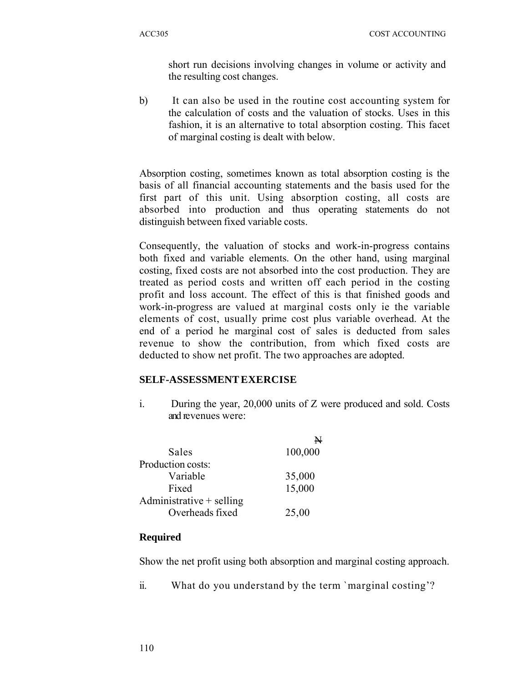short run decisions involving changes in volume or activity and the resulting cost changes.

b) It can also be used in the routine cost accounting system for the calculation of costs and the valuation of stocks. Uses in this fashion, it is an alternative to total absorption costing. This facet of marginal costing is dealt with below.

Absorption costing, sometimes known as total absorption costing is the basis of all financial accounting statements and the basis used for the first part of this unit. Using absorption costing, all costs are absorbed into production and thus operating statements do not distinguish between fixed variable costs.

Consequently, the valuation of stocks and work-in-progress contains both fixed and variable elements. On the other hand, using marginal costing, fixed costs are not absorbed into the cost production. They are treated as period costs and written off each period in the costing profit and loss account. The effect of this is that finished goods and work-in-progress are valued at marginal costs only ie the variable elements of cost, usually prime cost plus variable overhead. At the end of a period he marginal cost of sales is deducted from sales revenue to show the contribution, from which fixed costs are deducted to show net profit. The two approaches are adopted.

#### **SELF-ASSESSMENT EXERCISE**

i. During the year, 20,000 units of Z were produced and sold. Costs and revenues were:

|                            | N       |
|----------------------------|---------|
| Sales                      | 100,000 |
| Production costs:          |         |
| Variable                   | 35,000  |
| Fixed                      | 15,000  |
| Administrative $+$ selling |         |
| Overheads fixed            | 25,00   |
|                            |         |

#### **Required**

Show the net profit using both absorption and marginal costing approach.

ii. What do you understand by the term `marginal costing'?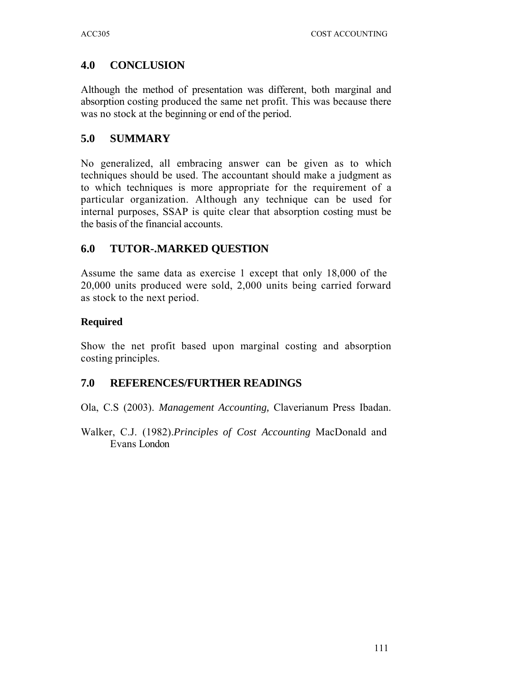# **4.0 CONCLUSION**

Although the method of presentation was different, both marginal and absorption costing produced the same net profit. This was because there was no stock at the beginning or end of the period.

## **5.0 SUMMARY**

No generalized, all embracing answer can be given as to which techniques should be used. The accountant should make a judgment as to which techniques is more appropriate for the requirement of a particular organization. Although any technique can be used for internal purposes, SSAP is quite clear that absorption costing must be the basis of the financial accounts.

## **6.0 TUTOR-.MARKED QUESTION**

Assume the same data as exercise 1 except that only 18,000 of the 20,000 units produced were sold, 2,000 units being carried forward as stock to the next period.

## **Required**

Show the net profit based upon marginal costing and absorption costing principles.

## **7.0 REFERENCES/FURTHER READINGS**

Ola, C.S (2003). *Management Accounting,* Claverianum Press Ibadan.

Walker, C.J. (1982).*Principles of Cost Accounting* MacDonald and Evans London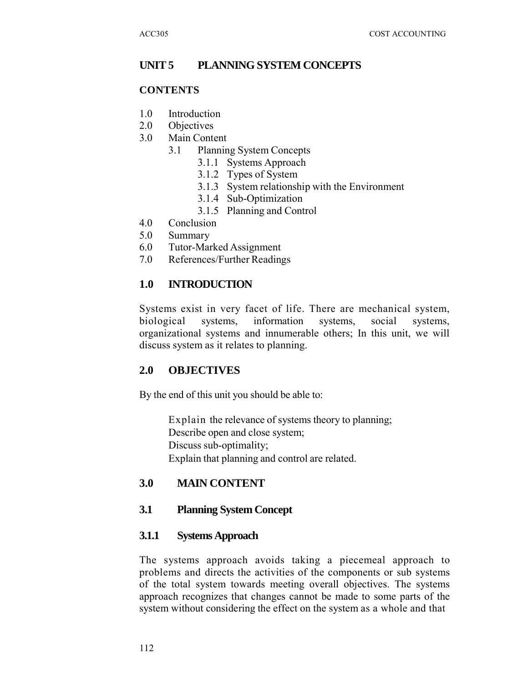# **UNIT 5 PLANNING SYSTEM CONCEPTS**

### **CONTENTS**

- 1.0 Introduction
- 2.0 Objectives
- 3.0 Main Content
	- 3.1 Planning System Concepts
		- 3.1.1 Systems Approach
		- 3.1.2 Types of System
		- 3.1.3 System relationship with the Environment
		- 3.1.4 Sub-Optimization
		- 3.1.5 Planning and Control
- 4.0 Conclusion
- 5.0 Summary
- 6.0 Tutor-Marked Assignment
- 7.0 References/Further Readings

## **1.0 INTRODUCTION**

Systems exist in very facet of life. There are mechanical system, biological systems, information systems, social systems, organizational systems and innumerable others; In this unit, we will discuss system as it relates to planning.

## **2.0 OBJECTIVES**

By the end of this unit you should be able to:

Explain the relevance of systems theory to planning; Describe open and close system; Discuss sub-optimality; Explain that planning and control are related.

## **3.0 MAIN CONTENT**

## **3.1 Planning System Concept**

## **3.1.1 Systems Approach**

The systems approach avoids taking a piecemeal approach to problems and directs the activities of the components or sub systems of the total system towards meeting overall objectives. The systems approach recognizes that changes cannot be made to some parts of the system without considering the effect on the system as a whole and that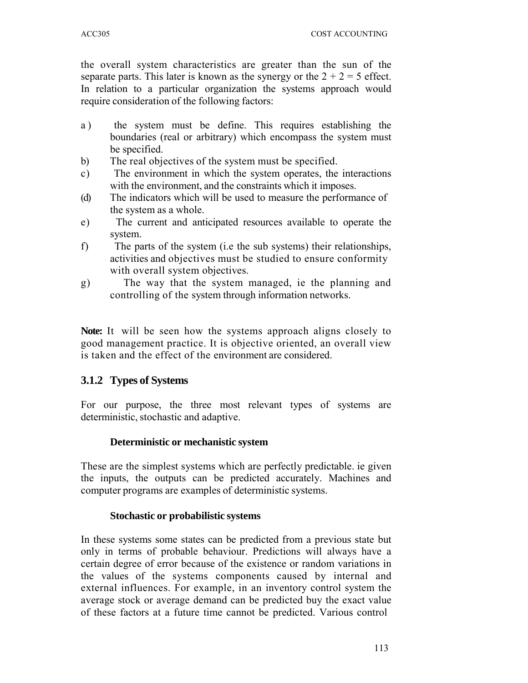the overall system characteristics are greater than the sun of the separate parts. This later is known as the synergy or the  $2 + 2 = 5$  effect. In relation to a particular organization the systems approach would require consideration of the following factors:

- a ) the system must be define. This requires establishing the boundaries (real or arbitrary) which encompass the system must be specified.
- b) The real objectives of the system must be specified.
- c) The environment in which the system operates, the interactions with the environment, and the constraints which it imposes.
- (d) The indicators which will be used to measure the performance of the system as a whole.
- e) The current and anticipated resources available to operate the system.
- f) The parts of the system (i.e the sub systems) their relationships, activities and objectives must be studied to ensure conformity with overall system objectives.
- g) The way that the system managed, ie the planning and controlling of the system through information networks.

**Note:** It will be seen how the systems approach aligns closely to good management practice. It is objective oriented, an overall view is taken and the effect of the environment are considered.

# **3.1.2 Types of Systems**

For our purpose, the three most relevant types of systems are deterministic, stochastic and adaptive.

## **Deterministic or mechanistic system**

These are the simplest systems which are perfectly predictable. ie given the inputs, the outputs can be predicted accurately. Machines and computer programs are examples of deterministic systems.

## **Stochastic or probabilistic systems**

In these systems some states can be predicted from a previous state but only in terms of probable behaviour. Predictions will always have a certain degree of error because of the existence or random variations in the values of the systems components caused by internal and external influences. For example, in an inventory control system the average stock or average demand can be predicted buy the exact value of these factors at a future time cannot be predicted. Various control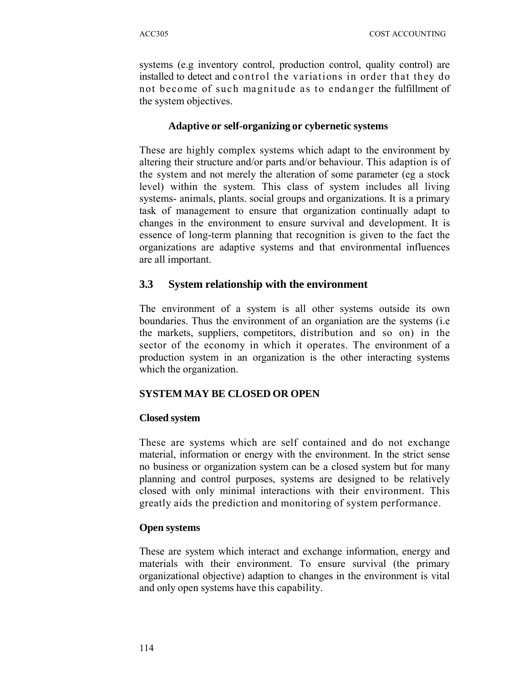systems (e.g inventory control, production control, quality control) are installed to detect and control the variations in order that they do not become of such magnitude as to endanger the fulfillment of the system objectives.

#### **Adaptive or self-organizing or cybernetic systems**

These are highly complex systems which adapt to the environment by altering their structure and/or parts and/or behaviour. This adaption is of the system and not merely the alteration of some parameter (eg a stock level) within the system. This class of system includes all living systems- animals, plants. social groups and organizations. It is a primary task of management to ensure that organization continually adapt to changes in the environment to ensure survival and development. It is essence of long-term planning that recognition is given to the fact the organizations are adaptive systems and that environmental influences are all important.

### **3.3 System relationship with the environment**

The environment of a system is all other systems outside its own boundaries. Thus the environment of an organiation are the systems (i.e the markets, suppliers, competitors, distribution and so on) in the sector of the economy in which it operates. The environment of a production system in an organization is the other interacting systems which the organization.

## **SYSTEM MAY BE CLOSED OR OPEN**

#### **Closed system**

These are systems which are self contained and do not exchange material, information or energy with the environment. In the strict sense no business or organization system can be a closed system but for many planning and control purposes, systems are designed to be relatively closed with only minimal interactions with their environment. This greatly aids the prediction and monitoring of system performance.

#### **Open systems**

These are system which interact and exchange information, energy and materials with their environment. To ensure survival (the primary organizational objective) adaption to changes in the environment is vital and only open systems have this capability.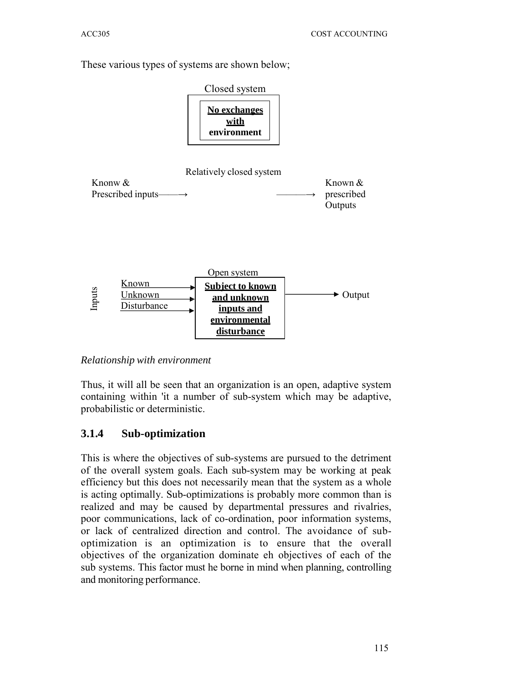These various types of systems are shown below;



*Relationship with environment*

Thus, it will all be seen that an organization is an open, adaptive system containing within 'it a number of sub-system which may be adaptive, probabilistic or deterministic.

## **3.1.4 Sub-optimization**

This is where the objectives of sub-systems are pursued to the detriment of the overall system goals. Each sub-system may be working at peak efficiency but this does not necessarily mean that the system as a whole is acting optimally. Sub-optimizations is probably more common than is realized and may be caused by departmental pressures and rivalries, poor communications, lack of co-ordination, poor information systems, or lack of centralized direction and control. The avoidance of suboptimization is an optimization is to ensure that the overall objectives of the organization dominate eh objectives of each of the sub systems. This factor must he borne in mind when planning, controlling and monitoring performance.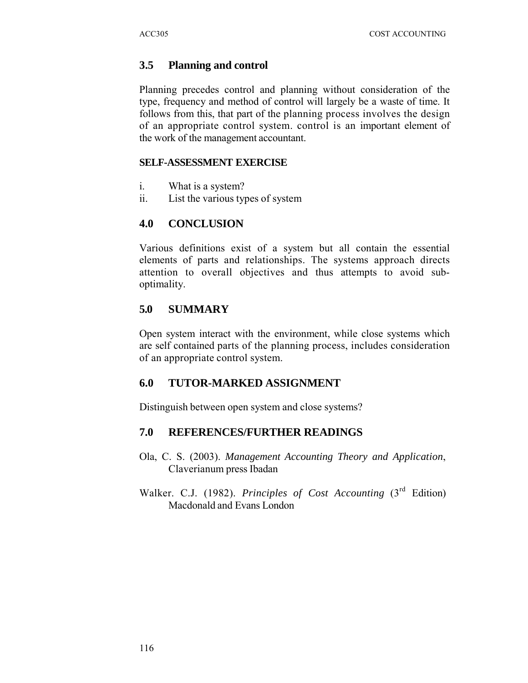## **3.5 Planning and control**

Planning precedes control and planning without consideration of the type, frequency and method of control will largely be a waste of time. It follows from this, that part of the planning process involves the design of an appropriate control system. control is an important element of the work of the management accountant.

#### **SELF-ASSESSMENT EXERCISE**

- i. What is a system?
- ii. List the various types of system

## **4.0 CONCLUSION**

Various definitions exist of a system but all contain the essential elements of parts and relationships. The systems approach directs attention to overall objectives and thus attempts to avoid suboptimality.

## **5.0 SUMMARY**

Open system interact with the environment, while close systems which are self contained parts of the planning process, includes consideration of an appropriate control system.

## **6.0 TUTOR-MARKED ASSIGNMENT**

Distinguish between open system and close systems?

## **7.0 REFERENCES/FURTHER READINGS**

- Ola, C. S. (2003). *Management Accounting Theory and Application*, Claverianum press Ibadan
- Walker. C.J. (1982). *Principles of Cost Accounting* (3<sup>rd</sup> Edition) Macdonald and Evans London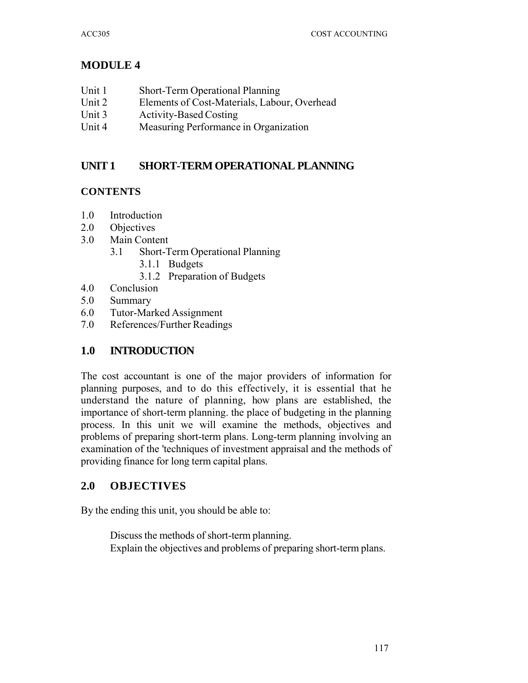# **MODULE 4**

- Unit 1 Short-Term Operational Planning
- Unit 2 Elements of Cost-Materials, Labour, Overhead
- Unit 3 Activity-Based Costing
- Unit 4 Measuring Performance in Organization

# **UNIT 1 SHORT-TERM OPERATIONAL PLANNING**

# **CONTENTS**

- 1.0 Introduction
- 2.0 Objectives
- 3.0 Main Content
	- 3.1 Short-Term Operational Planning
		- 3.1.1 Budgets
		- 3.1.2 Preparation of Budgets
- 4.0 Conclusion
- 5.0 Summary
- 6.0 Tutor-Marked Assignment
- 7.0 References/Further Readings

# **1.0 INTRODUCTION**

The cost accountant is one of the major providers of information for planning purposes, and to do this effectively, it is essential that he understand the nature of planning, how plans are established, the importance of short-term planning. the place of budgeting in the planning process. In this unit we will examine the methods, objectives and problems of preparing short-term plans. Long-term planning involving an examination of the 'techniques of investment appraisal and the methods of providing finance for long term capital plans.

# **2.0 OBJECTIVES**

By the ending this unit, you should be able to:

Discuss the methods of short-term planning. Explain the objectives and problems of preparing short-term plans.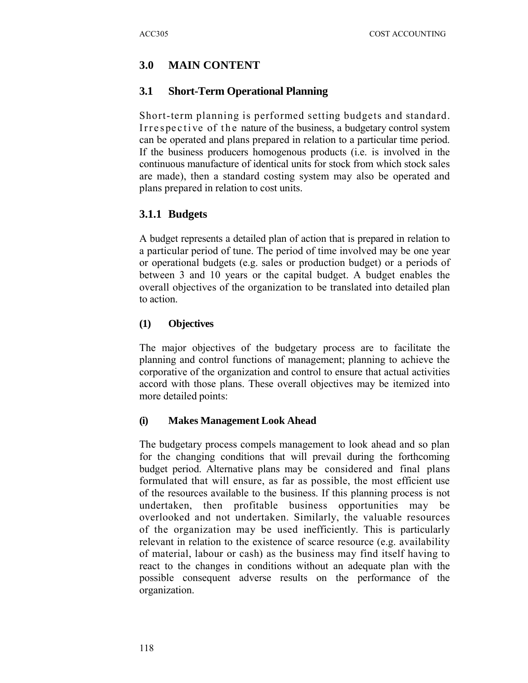# **3.0 MAIN CONTENT**

## **3.1 Short-Term Operational Planning**

Short-term planning is performed setting budgets and standard. Irrespective of the nature of the business, a budgetary control system can be operated and plans prepared in relation to a particular time period. If the business producers homogenous products (i.e. is involved in the continuous manufacture of identical units for stock from which stock sales are made), then a standard costing system may also be operated and plans prepared in relation to cost units.

## **3.1.1 Budgets**

A budget represents a detailed plan of action that is prepared in relation to a particular period of tune. The period of time involved may be one year or operational budgets (e.g. sales or production budget) or a periods of between 3 and 10 years or the capital budget. A budget enables the overall objectives of the organization to be translated into detailed plan to action.

## **(1) Objectives**

The major objectives of the budgetary process are to facilitate the planning and control functions of management; planning to achieve the corporative of the organization and control to ensure that actual activities accord with those plans. These overall objectives may be itemized into more detailed points:

## **(i) Makes Management Look Ahead**

The budgetary process compels management to look ahead and so plan for the changing conditions that will prevail during the forthcoming budget period. Alternative plans may be considered and final plans formulated that will ensure, as far as possible, the most efficient use of the resources available to the business. If this planning process is not undertaken, then profitable business opportunities may be overlooked and not undertaken. Similarly, the valuable resources of the organization may be used inefficiently. This is particularly relevant in relation to the existence of scarce resource (e.g. availability of material, labour or cash) as the business may find itself having to react to the changes in conditions without an adequate plan with the possible consequent adverse results on the performance of the organization.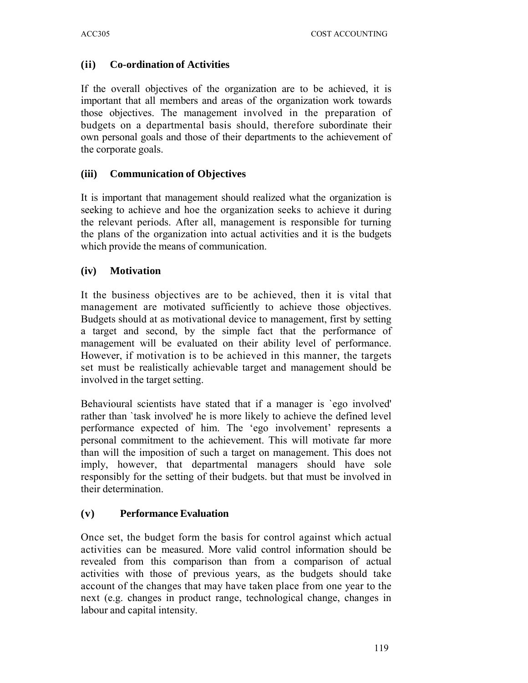## **(ii ) Co-ordination of Activities**

If the overall objectives of the organization are to be achieved, it is important that all members and areas of the organization work towards those objectives. The management involved in the preparation of budgets on a departmental basis should, therefore subordinate their own personal goals and those of their departments to the achievement of the corporate goals.

## **(iii) Communication of Objectives**

It is important that management should realized what the organization is seeking to achieve and hoe the organization seeks to achieve it during the relevant periods. After all, management is responsible for turning the plans of the organization into actual activities and it is the budgets which provide the means of communication.

## **(iv) Motivation**

It the business objectives are to be achieved, then it is vital that management are motivated sufficiently to achieve those objectives. Budgets should at as motivational device to management, first by setting a target and second, by the simple fact that the performance of management will be evaluated on their ability level of performance. However, if motivation is to be achieved in this manner, the targets set must be realistically achievable target and management should be involved in the target setting.

Behavioural scientists have stated that if a manager is `ego involved' rather than `task involved' he is more likely to achieve the defined level performance expected of him. The 'ego involvement' represents a personal commitment to the achievement. This will motivate far more than will the imposition of such a target on management. This does not imply, however, that departmental managers should have sole responsibly for the setting of their budgets. but that must be involved in their determination.

## **(v ) Performance Evaluation**

Once set, the budget form the basis for control against which actual activities can be measured. More valid control information should be revealed from this comparison than from a comparison of actual activities with those of previous years, as the budgets should take account of the changes that may have taken place from one year to the next (e.g. changes in product range, technological change, changes in labour and capital intensity.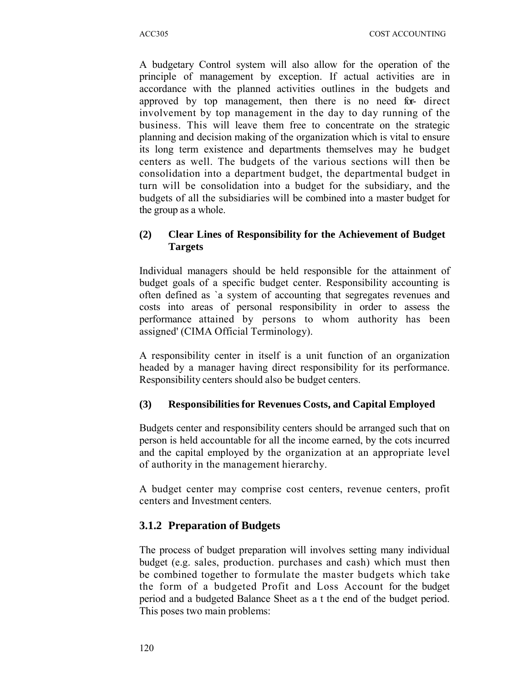A budgetary Control system will also allow for the operation of the principle of management by exception. If actual activities are in accordance with the planned activities outlines in the budgets and approved by top management, then there is no need for- direct involvement by top management in the day to day running of the business. This will leave them free to concentrate on the strategic planning and decision making of the organization which is vital to ensure its long term existence and departments themselves may he budget centers as well. The budgets of the various sections will then be consolidation into a department budget, the departmental budget in turn will be consolidation into a budget for the subsidiary, and the budgets of all the subsidiaries will be combined into a master budget for the group as a whole.

## **(2) Clear Lines of Responsibility for the Achievement of Budget Targets**

Individual managers should be held responsible for the attainment of budget goals of a specific budget center. Responsibility accounting is often defined as `a system of accounting that segregates revenues and costs into areas of personal responsibility in order to assess the performance attained by persons to whom authority has been assigned' (CIMA Official Terminology).

A responsibility center in itself is a unit function of an organization headed by a manager having direct responsibility for its performance. Responsibility centers should also be budget centers.

## **(3) Responsibilities for Revenues Costs, and Capital Employed**

Budgets center and responsibility centers should be arranged such that on person is held accountable for all the income earned, by the cots incurred and the capital employed by the organization at an appropriate level of authority in the management hierarchy.

A budget center may comprise cost centers, revenue centers, profit centers and Investment centers.

## **3.1.2 Preparation of Budgets**

The process of budget preparation will involves setting many individual budget (e.g. sales, production. purchases and cash) which must then be combined together to formulate the master budgets which take the form of a budgeted Profit and Loss Account for the budget period and a budgeted Balance Sheet as a t the end of the budget period. This poses two main problems: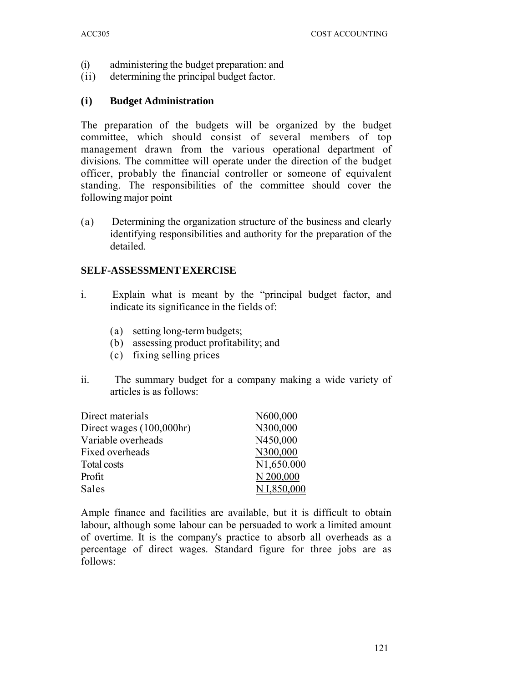- (i) administering the budget preparation: and
- (ii ) determining the principal budget factor.

## **(i ) Budget Administration**

The preparation of the budgets will be organized by the budget committee, which should consist of several members of top management drawn from the various operational department of divisions. The committee will operate under the direction of the budget officer, probably the financial controller or someone of equivalent standing. The responsibilities of the committee should cover the following major point

(a) Determining the organization structure of the business and clearly identifying responsibilities and authority for the preparation of the detailed.

## **SELF-ASSESSMENT EXERCISE**

- i. Explain what is meant by the "principal budget factor, and indicate its significance in the fields of:
	- (a) setting long-term budgets;
	- (b) assessing product profitability; and
	- (c ) fixing selling prices
- ii. The summary budget for a company making a wide variety of articles is as follows:

| N600,000   |
|------------|
| N300,000   |
| N450,000   |
| N300,000   |
| N1,650.000 |
| N 200,000  |
| NI.850,000 |
|            |

Ample finance and facilities are available, but it is difficult to obtain labour, although some labour can be persuaded to work a limited amount of overtime. It is the company's practice to absorb all overheads as a percentage of direct wages. Standard figure for three jobs are as follows: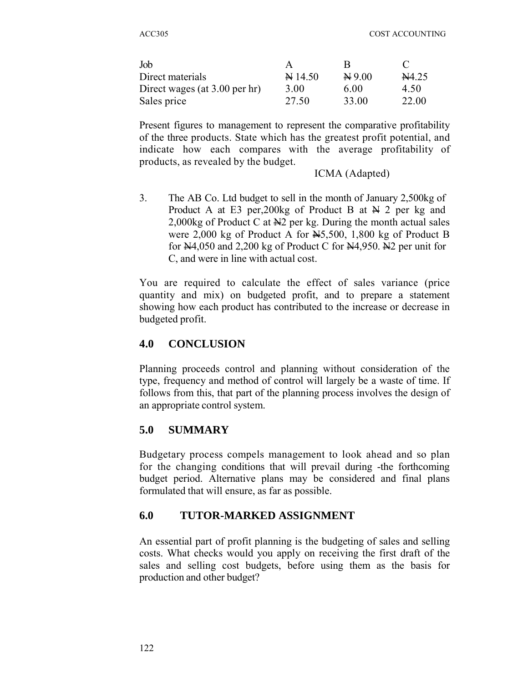| Job                           |                 | к     |                  |
|-------------------------------|-----------------|-------|------------------|
| Direct materials              | $\approx 14.50$ | N9.00 | $\mathbb{N}4.25$ |
| Direct wages (at 3.00 per hr) | 3.00            | 6.00  | 4.50             |
| Sales price                   | 27.50           | 33.00 | 22.00            |

Present figures to management to represent the comparative profitability of the three products. State which has the greatest profit potential, and indicate how each compares with the average profitability of products, as revealed by the budget.

#### ICMA (Adapted)

3. The AB Co. Ltd budget to sell in the month of January 2,500kg of Product A at E3 per, 200 kg of Product B at  $\overline{H}$  2 per kg and 2,000kg of Product C at  $\mathbb{H}2$  per kg. During the month actual sales were 2,000 kg of Product A for  $\frac{N}{5,500}$ , 1,800 kg of Product B for  $\frac{N4}{050}$  and 2,200 kg of Product C for  $\frac{N4}{950}$ .  $\frac{N2}{12}$  per unit for C, and were in line with actual cost.

You are required to calculate the effect of sales variance (price quantity and mix) on budgeted profit, and to prepare a statement showing how each product has contributed to the increase or decrease in budgeted profit.

## **4.0 CONCLUSION**

Planning proceeds control and planning without consideration of the type, frequency and method of control will largely be a waste of time. If follows from this, that part of the planning process involves the design of an appropriate control system.

## **5.0 SUMMARY**

Budgetary process compels management to look ahead and so plan for the changing conditions that will prevail during -the forthcoming budget period. Alternative plans may be considered and final plans formulated that will ensure, as far as possible.

## **6.0 TUTOR-MARKED ASSIGNMENT**

An essential part of profit planning is the budgeting of sales and selling costs. What checks would you apply on receiving the first draft of the sales and selling cost budgets, before using them as the basis for production and other budget?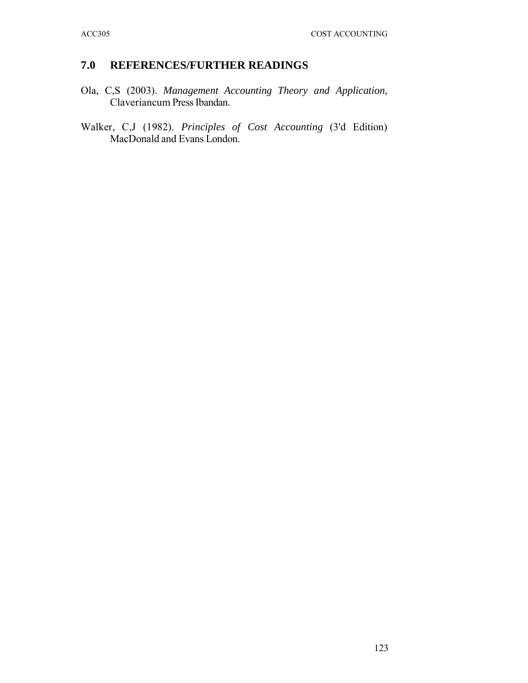# **7.0 REFERENCES/FURTHER READINGS**

- Ola, C,S (2003). *Management Accounting Theory and Application*, Claveriancum Press Ibandan.
- Walker, C,J (1982). *Principles of Cost Accounting* (3'd Edition) MacDonald and Evans London.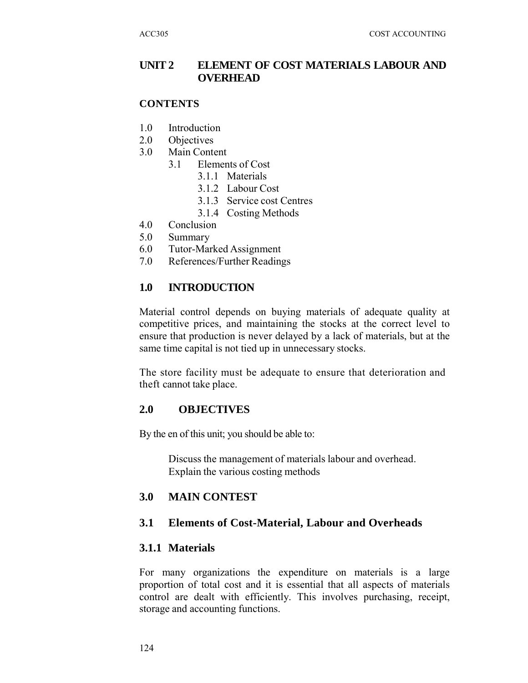# **UNIT 2 ELEMENT OF COST MATERIALS LABOUR AND OVERHEAD**

### **CONTENTS**

- 1.0 Introduction
- 2.0 Objectives
- 3.0 Main Content
	- 3.1 Elements of Cost
		- 3.1.1 Materials
		- 3.1.2 Labour Cost
		- 3.1.3 Service cost Centres
		- 3.1.4 Costing Methods
- 4.0 Conclusion
- 5.0 Summary
- 6.0 Tutor-Marked Assignment
- 7.0 References/Further Readings

## **1.0 INTRODUCTION**

Material control depends on buying materials of adequate quality at competitive prices, and maintaining the stocks at the correct level to ensure that production is never delayed by a lack of materials, but at the same time capital is not tied up in unnecessary stocks.

The store facility must be adequate to ensure that deterioration and theft cannot take place.

## **2.0 OBJECTIVES**

By the en of this unit; you should be able to:

Discuss the management of materials labour and overhead. Explain the various costing methods

## **3.0 MAIN CONTEST**

## **3.1 Elements of Cost-Material, Labour and Overheads**

#### **3.1.1 Materials**

For many organizations the expenditure on materials is a large proportion of total cost and it is essential that all aspects of materials control are dealt with efficiently. This involves purchasing, receipt, storage and accounting functions.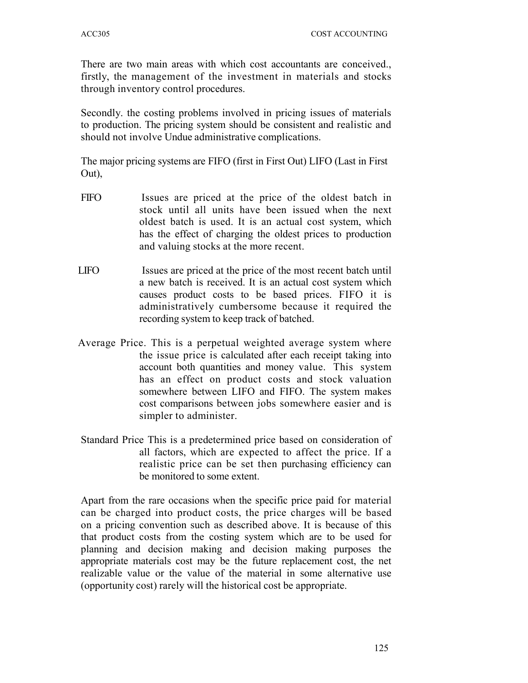There are two main areas with which cost accountants are conceived., firstly, the management of the investment in materials and stocks through inventory control procedures.

Secondly. the costing problems involved in pricing issues of materials to production. The pricing system should be consistent and realistic and should not involve Undue administrative complications.

The major pricing systems are FIFO (first in First Out) LIFO (Last in First Out),

- FIFO Issues are priced at the price of the oldest batch in stock until all units have been issued when the next oldest batch is used. It is an actual cost system, which has the effect of charging the oldest prices to production and valuing stocks at the more recent.
- LIFO Issues are priced at the price of the most recent batch until a new batch is received. It is an actual cost system which causes product costs to be based prices. FIFO it is administratively cumbersome because it required the recording system to keep track of batched.
- Average Price. This is a perpetual weighted average system where the issue price is calculated after each receipt taking into account both quantities and money value. This system has an effect on product costs and stock valuation somewhere between LIFO and FIFO. The system makes cost comparisons between jobs somewhere easier and is simpler to administer.
- Standard Price This is a predetermined price based on consideration of all factors, which are expected to affect the price. If a realistic price can be set then purchasing efficiency can be monitored to some extent.

Apart from the rare occasions when the specific price paid for material can be charged into product costs, the price charges will be based on a pricing convention such as described above. It is because of this that product costs from the costing system which are to be used for planning and decision making and decision making purposes the appropriate materials cost may be the future replacement cost, the net realizable value or the value of the material in some alternative use (opportunity cost) rarely will the historical cost be appropriate.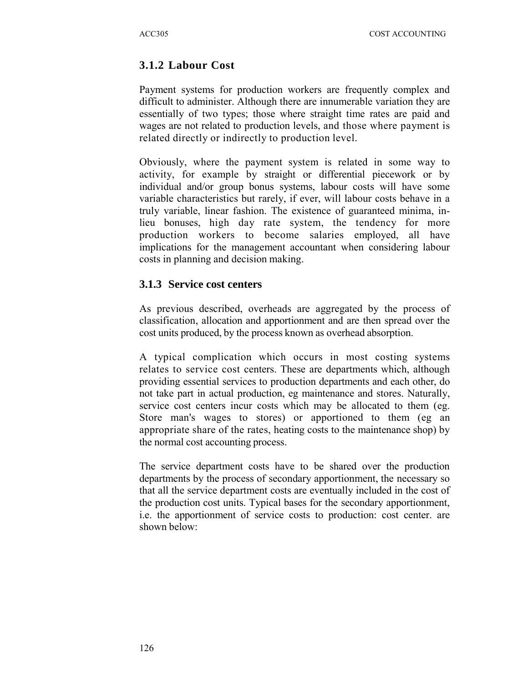# **3.1.2 Labour Cost**

Payment systems for production workers are frequently complex and difficult to administer. Although there are innumerable variation they are essentially of two types; those where straight time rates are paid and wages are not related to production levels, and those where payment is related directly or indirectly to production level.

Obviously, where the payment system is related in some way to activity, for example by straight or differential piecework or by individual and/or group bonus systems, labour costs will have some variable characteristics but rarely, if ever, will labour costs behave in a truly variable, linear fashion. The existence of guaranteed minima, inlieu bonuses, high day rate system, the tendency for more production workers to become salaries employed, all have implications for the management accountant when considering labour costs in planning and decision making.

## **3.1.3 Service cost centers**

As previous described, overheads are aggregated by the process of classification, allocation and apportionment and are then spread over the cost units produced, by the process known as overhead absorption.

A typical complication which occurs in most costing systems relates to service cost centers. These are departments which, although providing essential services to production departments and each other, do not take part in actual production, eg maintenance and stores. Naturally, service cost centers incur costs which may be allocated to them (eg. Store man's wages to stores) or apportioned to them (eg an appropriate share of the rates, heating costs to the maintenance shop) by the normal cost accounting process.

The service department costs have to be shared over the production departments by the process of secondary apportionment, the necessary so that all the service department costs are eventually included in the cost of the production cost units. Typical bases for the secondary apportionment, i.e. the apportionment of service costs to production: cost center. are shown below: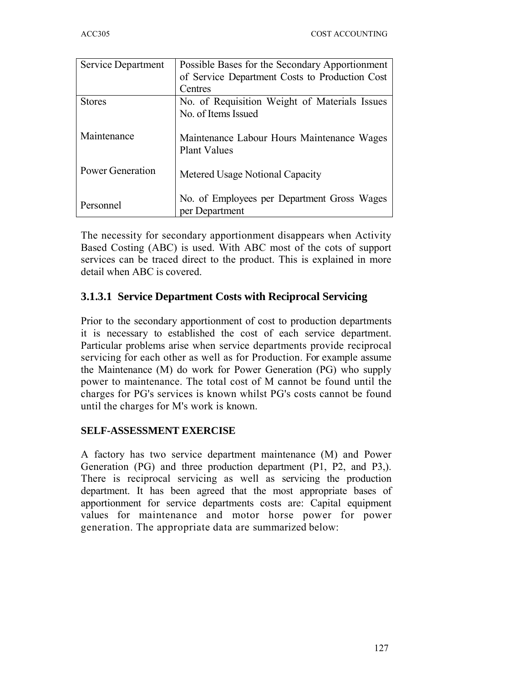| <b>Service Department</b> | Possible Bases for the Secondary Apportionment                    |
|---------------------------|-------------------------------------------------------------------|
|                           | of Service Department Costs to Production Cost                    |
|                           | Centres                                                           |
| <b>Stores</b>             | No. of Requisition Weight of Materials Issues                     |
|                           | No. of Items Issued                                               |
| Maintenance               | Maintenance Labour Hours Maintenance Wages<br><b>Plant Values</b> |
| <b>Power Generation</b>   | Metered Usage Notional Capacity                                   |
| Personnel                 | No. of Employees per Department Gross Wages<br>per Department     |

The necessity for secondary apportionment disappears when Activity Based Costing (ABC) is used. With ABC most of the cots of support services can be traced direct to the product. This is explained in more detail when ABC is covered.

# **3.1.3.1 Service Department Costs with Reciprocal Servicing**

Prior to the secondary apportionment of cost to production departments it is necessary to established the cost of each service department. Particular problems arise when service departments provide reciprocal servicing for each other as well as for Production. For example assume the Maintenance (M) do work for Power Generation (PG) who supply power to maintenance. The total cost of M cannot be found until the charges for PG's services is known whilst PG's costs cannot be found until the charges for M's work is known.

## **SELF-ASSESSMENT EXERCISE**

A factory has two service department maintenance (M) and Power Generation (PG) and three production department (P1, P2, and P3,). There is reciprocal servicing as well as servicing the production department. It has been agreed that the most appropriate bases of apportionment for service departments costs are: Capital equipment values for maintenance and motor horse power for power generation. The appropriate data are summarized below: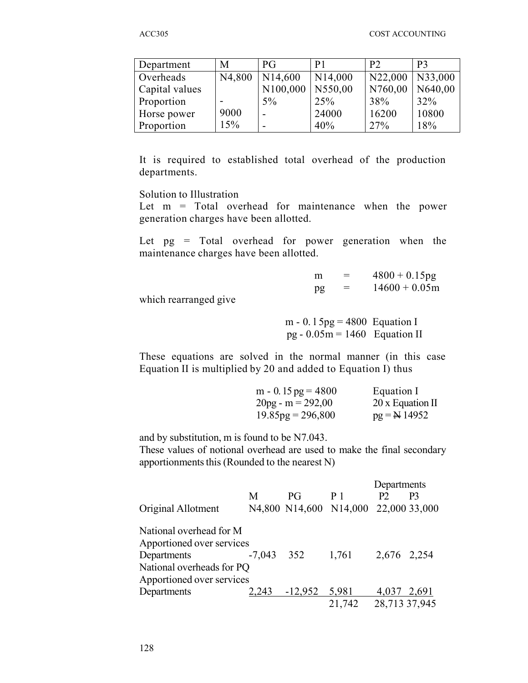| Department       | M    | PG               | P <sub>1</sub>      | P <sub>2</sub> | P <sub>3</sub>  |
|------------------|------|------------------|---------------------|----------------|-----------------|
| <b>Overheads</b> |      | $N4,800$ N14,600 | N <sub>14,000</sub> | N22,000        | $\vert$ N33,000 |
| Capital values   |      | N100,000         | N550,00             | N760,00        | N640,00         |
| Proportion       |      | $5\%$            | 25%                 | 38%            | 32%             |
| Horse power      | 9000 |                  | 24000               | 16200          | 10800           |
| Proportion       | 15%  |                  | 40%                 | 27%            | 18%             |

It is required to established total overhead of the production departments.

Solution to Illustration

Let  $m =$  Total overhead for maintenance when the power generation charges have been allotted.

Let pg = Total overhead for power generation when the maintenance charges have been allotted.

|                       | m  | $=$ | $4800 + 0.15$ pg |
|-----------------------|----|-----|------------------|
|                       | pg | $=$ | $14600 + 0.05m$  |
| which rearranged give |    |     |                  |

m - 0. l  $5pg = 4800$  Equation I  $pg - 0.05m = 1460$  Equation II

These equations are solved in the normal manner (in this case Equation II is multiplied by 20 and added to Equation I) thus

| m - 0.15 pg = $4800$ | Equation I       |
|----------------------|------------------|
| $20pg - m = 292,00$  | 20 x Equation II |
| $19.85pg = 296,800$  | $pg = N 14952$   |

and by substitution, m is found to be N7.043.

These values of notional overhead are used to make the final secondary apportionments this (Rounded to the nearest N)

|                           |          |           |                        | Departments   |                |
|---------------------------|----------|-----------|------------------------|---------------|----------------|
|                           | M        | PG        | P <sub>1</sub>         | $\mathbf{p}$  | P <sub>3</sub> |
| Original Allotment        |          |           | N4,800 N14,600 N14,000 |               | 22,000 33,000  |
| National overhead for M   |          |           |                        |               |                |
| Apportioned over services |          |           |                        |               |                |
| Departments               | $-7,043$ | 352       | 1,761                  | 2,676 2,254   |                |
| National overheads for PQ |          |           |                        |               |                |
| Apportioned over services |          |           |                        |               |                |
| Departments               | 2,243    | $-12,952$ | 5,981                  | 4,037         | 2,691          |
|                           |          |           | 21,742                 | 28,713 37,945 |                |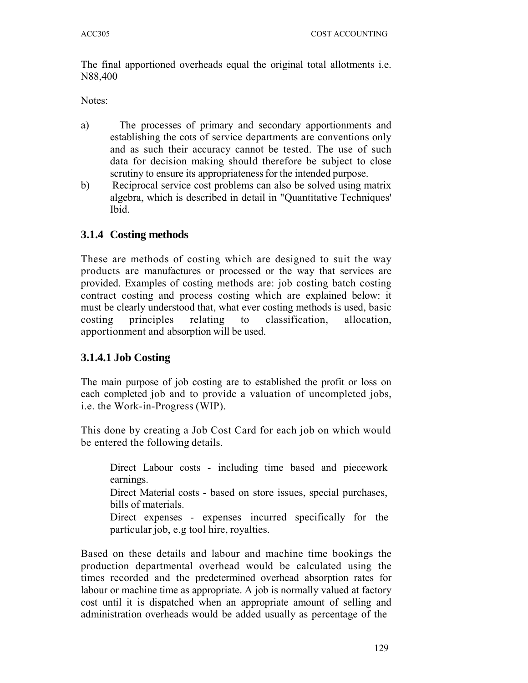The final apportioned overheads equal the original total allotments i.e. N88,400

Notes:

- a) The processes of primary and secondary apportionments and establishing the cots of service departments are conventions only and as such their accuracy cannot be tested. The use of such data for decision making should therefore be subject to close scrutiny to ensure its appropriateness for the intended purpose.
- b) Reciprocal service cost problems can also be solved using matrix algebra, which is described in detail in "Quantitative Techniques' Ibid.

# **3.1.4 Costing methods**

These are methods of costing which are designed to suit the way products are manufactures or processed or the way that services are provided. Examples of costing methods are: job costing batch costing contract costing and process costing which are explained below: it must be clearly understood that, what ever costing methods is used, basic costing principles relating to classification, allocation, apportionment and absorption will be used.

# **3.1.4.1 Job Costing**

The main purpose of job costing are to established the profit or loss on each completed job and to provide a valuation of uncompleted jobs, i.e. the Work-in-Progress (WIP).

This done by creating a Job Cost Card for each job on which would be entered the following details.

Direct Labour costs - including time based and piecework earnings.

Direct Material costs - based on store issues, special purchases, bills of materials.

Direct expenses - expenses incurred specifically for the particular job, e.g tool hire, royalties.

Based on these details and labour and machine time bookings the production departmental overhead would be calculated using the times recorded and the predetermined overhead absorption rates for labour or machine time as appropriate. A job is normally valued at factory cost until it is dispatched when an appropriate amount of selling and administration overheads would be added usually as percentage of the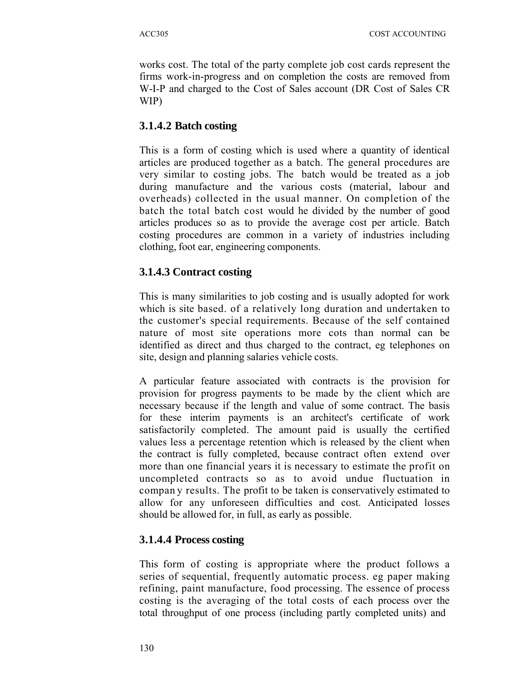works cost. The total of the party complete job cost cards represent the firms work-in-progress and on completion the costs are removed from W-I-P and charged to the Cost of Sales account (DR Cost of Sales CR WIP)

# **3.1.4.2 Batch costing**

This is a form of costing which is used where a quantity of identical articles are produced together as a batch. The general procedures are very similar to costing jobs. The batch would be treated as a job during manufacture and the various costs (material, labour and overheads) collected in the usual manner. On completion of the batch the total batch cost would he divided by the number of good articles produces so as to provide the average cost per article. Batch costing procedures are common in a variety of industries including clothing, foot ear, engineering components.

# **3.1.4.3 Contract costing**

This is many similarities to job costing and is usually adopted for work which is site based. of a relatively long duration and undertaken to the customer's special requirements. Because of the self contained nature of most site operations more cots than normal can be identified as direct and thus charged to the contract, eg telephones on site, design and planning salaries vehicle costs.

A particular feature associated with contracts is the provision for provision for progress payments to be made by the client which are necessary because if the length and value of some contract. The basis for these interim payments is an architect's certificate of work satisfactorily completed. The amount paid is usually the certified values less a percentage retention which is released by the client when the contract is fully completed, because contract often extend over more than one financial years it is necessary to estimate the profit on uncompleted contracts so as to avoid undue fluctuation in compan y results. The profit to be taken is conservatively estimated to allow for any unforeseen difficulties and cost. Anticipated losses should be allowed for, in full, as early as possible.

# **3.1.4.4 Process costing**

This form of costing is appropriate where the product follows a series of sequential, frequently automatic process. eg paper making refining, paint manufacture, food processing. The essence of process costing is the averaging of the total costs of each process over the total throughput of one process (including partly completed units) and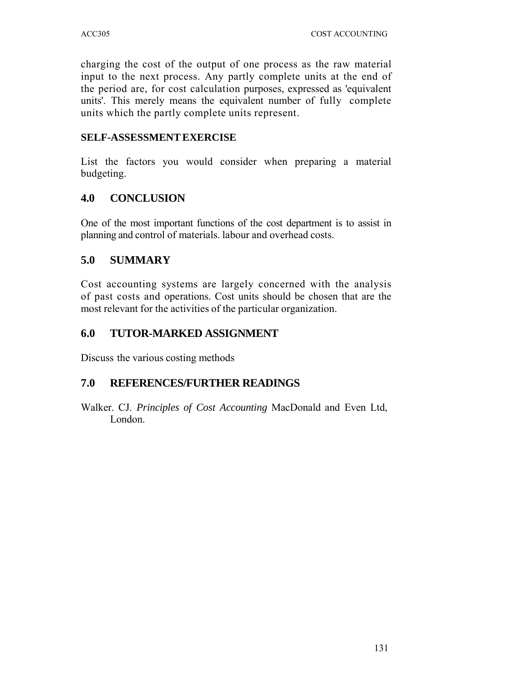charging the cost of the output of one process as the raw material input to the next process. Any partly complete units at the end of the period are, for cost calculation purposes, expressed as 'equivalent units'. This merely means the equivalent number of fully complete units which the partly complete units represent.

### **SELF-ASSESSMENT EXERCISE**

List the factors you would consider when preparing a material budgeting.

## **4.0 CONCLUSION**

One of the most important functions of the cost department is to assist in planning and control of materials. labour and overhead costs.

## **5.0 SUMMARY**

Cost accounting systems are largely concerned with the analysis of past costs and operations. Cost units should be chosen that are the most relevant for the activities of the particular organization.

## **6.0 TUTOR-MARKED ASSIGNMENT**

Discuss the various costing methods

## **7.0 REFERENCES/FURTHER READINGS**

Walker. CJ. *Principles of Cost Accounting* MacDonald and Even Ltd, London.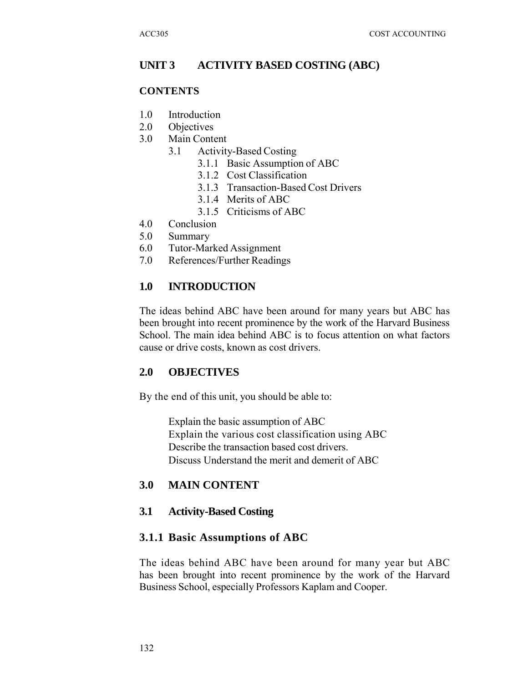# **UNIT 3 ACTIVITY BASED COSTING (ABC)**

### **CONTENTS**

- 1.0 Introduction
- 2.0 Objectives
- 3.0 Main Content
	- 3.1 Activity-Based Costing
		- 3.1.1 Basic Assumption of ABC
		- 3.1.2 Cost Classification
		- 3.1.3 Transaction-Based Cost Drivers
		- 3.1.4 Merits of ABC
		- 3.1.5 Criticisms of ABC
- 4.0 Conclusion
- 5.0 Summary
- 6.0 Tutor-Marked Assignment
- 7.0 References/Further Readings

## **1.0 INTRODUCTION**

The ideas behind ABC have been around for many years but ABC has been brought into recent prominence by the work of the Harvard Business School. The main idea behind ABC is to focus attention on what factors cause or drive costs, known as cost drivers.

## **2.0 OBJECTIVES**

By the end of this unit, you should be able to:

Explain the basic assumption of ABC Explain the various cost classification using ABC Describe the transaction based cost drivers. Discuss Understand the merit and demerit of ABC

## **3.0 MAIN CONTENT**

## **3.1 Activity-Based Costing**

#### **3.1.1 Basic Assumptions of ABC**

The ideas behind ABC have been around for many year but ABC has been brought into recent prominence by the work of the Harvard Business School, especially Professors Kaplam and Cooper.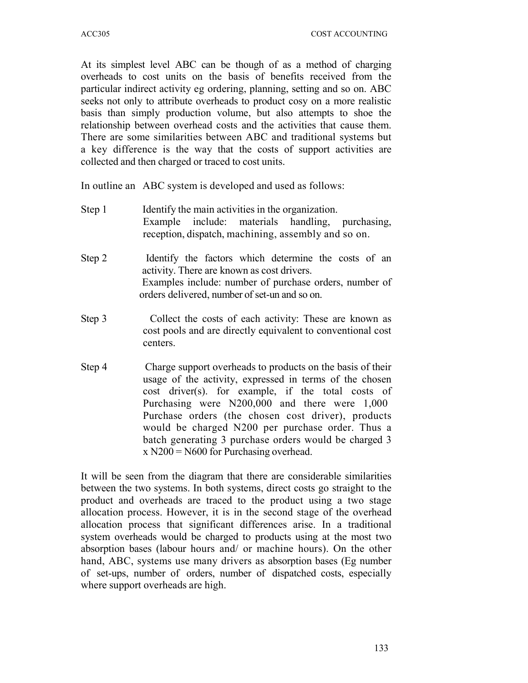At its simplest level ABC can be though of as a method of charging overheads to cost units on the basis of benefits received from the particular indirect activity eg ordering, planning, setting and so on. ABC seeks not only to attribute overheads to product cosy on a more realistic basis than simply production volume, but also attempts to shoe the relationship between overhead costs and the activities that cause them. There are some similarities between ABC and traditional systems but a key difference is the way that the costs of support activities are collected and then charged or traced to cost units.

In outline an ABC system is developed and used as follows:

- Step 1 Identify the main activities in the organization. Example include: materials handling, purchasing, reception, dispatch, machining, assembly and so on.
- Step 2 Identify the factors which determine the costs of an activity. There are known as cost drivers. Examples include: number of purchase orders, number of orders delivered, number of set-un and so on.
- Step 3 Collect the costs of each activity: These are known as cost pools and are directly equivalent to conventional cost centers.
- Step 4 Charge support overheads to products on the basis of their usage of the activity, expressed in terms of the chosen cost driver(s). for example, if the total costs of Purchasing were N200,000 and there were 1,000 Purchase orders (the chosen cost driver), products would be charged N200 per purchase order. Thus a batch generating 3 purchase orders would be charged 3  $x N200 = N600$  for Purchasing overhead.

It will be seen from the diagram that there are considerable similarities between the two systems. In both systems, direct costs go straight to the product and overheads are traced to the product using a two stage allocation process. However, it is in the second stage of the overhead allocation process that significant differences arise. In a traditional system overheads would be charged to products using at the most two absorption bases (labour hours and/ or machine hours). On the other hand, ABC, systems use many drivers as absorption bases (Eg number of set-ups, number of orders, number of dispatched costs, especially where support overheads are high.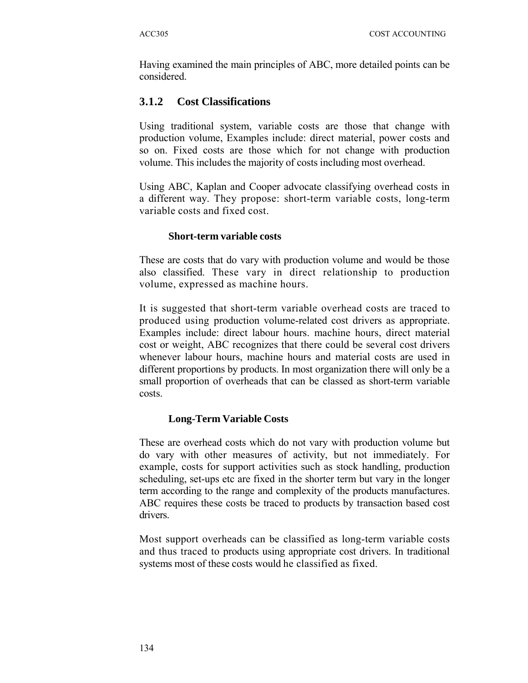Having examined the main principles of ABC, more detailed points can be considered.

## **3.1.2 Cost Classifications**

Using traditional system, variable costs are those that change with production volume, Examples include: direct material, power costs and so on. Fixed costs are those which for not change with production volume. This includes the majority of costs including most overhead.

Using ABC, Kaplan and Cooper advocate classifying overhead costs in a different way. They propose: short-term variable costs, long-term variable costs and fixed cost.

## **Short-term variable costs**

These are costs that do vary with production volume and would be those also classified. These vary in direct relationship to production volume, expressed as machine hours.

It is suggested that short-term variable overhead costs are traced to produced using production volume-related cost drivers as appropriate. Examples include: direct labour hours. machine hours, direct material cost or weight, ABC recognizes that there could be several cost drivers whenever labour hours, machine hours and material costs are used in different proportions by products. In most organization there will only be a small proportion of overheads that can be classed as short-term variable costs.

## **Long-Term Variable Costs**

These are overhead costs which do not vary with production volume but do vary with other measures of activity, but not immediately. For example, costs for support activities such as stock handling, production scheduling, set-ups etc are fixed in the shorter term but vary in the longer term according to the range and complexity of the products manufactures. ABC requires these costs be traced to products by transaction based cost drivers.

Most support overheads can be classified as long-term variable costs and thus traced to products using appropriate cost drivers. In traditional systems most of these costs would he classified as fixed.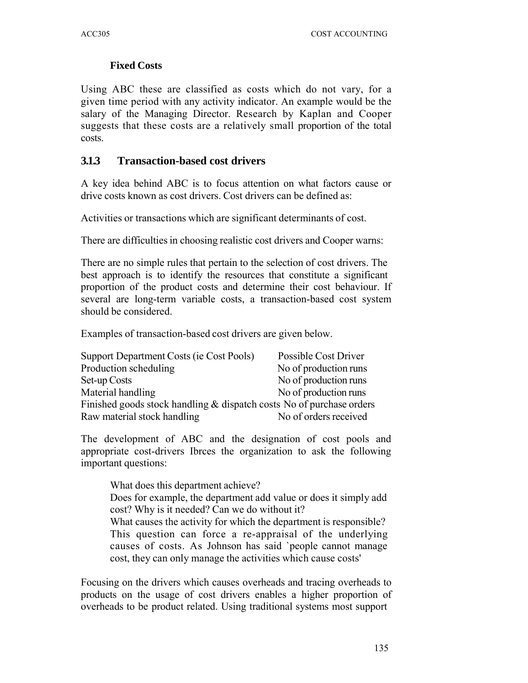## **Fixed Costs**

Using ABC these are classified as costs which do not vary, for a given time period with any activity indicator. An example would be the salary of the Managing Director. Research by Kaplan and Cooper suggests that these costs are a relatively small proportion of the total costs.

## **3.1.3 Transaction-based cost drivers**

A key idea behind ABC is to focus attention on what factors cause or drive costs known as cost drivers. Cost drivers can be defined as:

Activities or transactions which are significant determinants of cost.

There are difficulties in choosing realistic cost drivers and Cooper warns:

There are no simple rules that pertain to the selection of cost drivers. The best approach is to identify the resources that constitute a significant proportion of the product costs and determine their cost behaviour. If several are long-term variable costs, a transaction-based cost system should be considered.

Examples of transaction-based cost drivers are given below.

| Support Department Costs (ie Cost Pools)                               | Possible Cost Driver  |
|------------------------------------------------------------------------|-----------------------|
| Production scheduling                                                  | No of production runs |
| Set-up Costs                                                           | No of production runs |
| Material handling                                                      | No of production runs |
| Finished goods stock handling $&$ dispatch costs No of purchase orders |                       |
| Raw material stock handling                                            | No of orders received |

The development of ABC and the designation of cost pools and appropriate cost-drivers Ibrces the organization to ask the following important questions:

What does this department achieve? Does for example, the department add value or does it simply add cost? Why is it needed? Can we do without it? What causes the activity for which the department is responsible? This question can force a re-appraisal of the underlying causes of costs. As Johnson has said `people cannot manage cost, they can only manage the activities which cause costs'

Focusing on the drivers which causes overheads and tracing overheads to products on the usage of cost drivers enables a higher proportion of overheads to be product related. Using traditional systems most support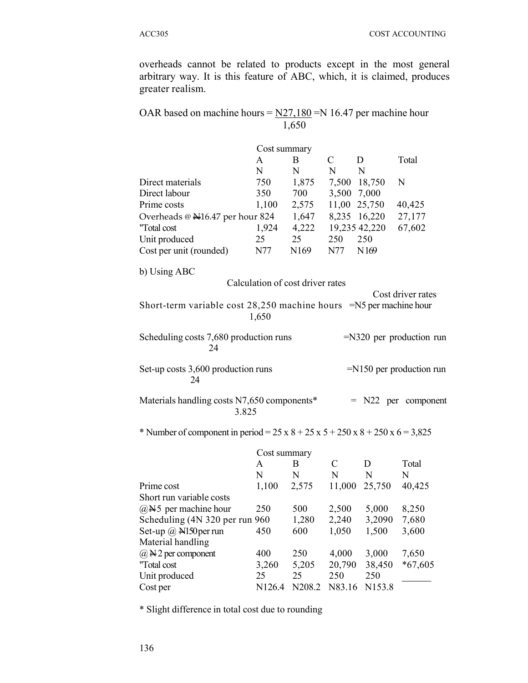overheads cannot be related to products except in the most general arbitrary way. It is this feature of ABC, which, it is claimed, produces greater realism.

OAR based on machine hours =  $N27,180$  = N 16.47 per machine hour 1,650

|                                                                                                     | Cost summary |                                  |               |                  |                            |
|-----------------------------------------------------------------------------------------------------|--------------|----------------------------------|---------------|------------------|----------------------------|
|                                                                                                     | A            | B                                | $\mathcal{C}$ | D                | Total                      |
|                                                                                                     | $\mathbf N$  | $\mathbf N$                      | $\mathbf N$   | N                |                            |
| Direct materials                                                                                    | 750          | 1,875                            | 7,500 18,750  |                  | N                          |
| Direct labour                                                                                       | 350          | 700                              | 3,500 7,000   |                  |                            |
| Prime costs                                                                                         | 1,100        | 2,575                            | 11,00 25,750  |                  | 40,425                     |
| Overheads @ $\text{\textsterling}16.47$ per hour 824                                                |              | 1,647                            | 8,235 16,220  |                  | 27,177                     |
| "Total cost                                                                                         | 1,924        | 4,222                            | 19,235 42,220 |                  | 67,602                     |
| Unit produced                                                                                       | 25           | 25                               | 250           | 250              |                            |
| Cost per unit (rounded)                                                                             | N77          | N169                             | N77           | N <sub>169</sub> |                            |
| b) Using ABC                                                                                        |              |                                  |               |                  |                            |
|                                                                                                     |              | Calculation of cost driver rates |               |                  |                            |
|                                                                                                     |              |                                  |               |                  | Cost driver rates          |
| Short-term variable cost $28,250$ machine hours =N5 per machine hour                                | 1,650        |                                  |               |                  |                            |
| Scheduling costs 7,680 production runs<br>$=N320$ per production run<br>24                          |              |                                  |               |                  |                            |
| Set-up costs 3,600 production runs<br>24                                                            |              |                                  |               |                  | $=N150$ per production run |
| Materials handling costs N7,650 components*<br>3.825                                                |              |                                  |               |                  | $=$ N22 per component      |
| * Number of component in period = $25 \times 8 + 25 \times 5 + 250 \times 8 + 250 \times 6 = 3,825$ |              |                                  |               |                  |                            |
|                                                                                                     | Cost summary |                                  |               |                  |                            |
|                                                                                                     | A            | B                                | $\mathcal{C}$ | D                | Total                      |
|                                                                                                     | N            | $\mathbf N$                      | N             | N                | N                          |
| Prime cost                                                                                          | 1,100        | 2,575                            | 11,000        | 25,750           | 40,425                     |
| Short run variable costs                                                                            |              |                                  |               |                  |                            |
| $(a)$ N $5$ per machine hour                                                                        | 250          | 500                              | 2,500         | 5,000            | 8,250                      |
| Scheduling (4N 320 per run 960                                                                      |              | 1,280                            | 2,240         | 3,2090           | 7,680                      |
| Set-up @ N150 per run                                                                               | 450          | 600                              | 1,050         | 1,500            | 3,600                      |
| Material handling                                                                                   |              |                                  |               |                  |                            |
| $@$ N 2 per component                                                                               | 400          | 250                              | 4,000         | 3,000            | 7,650                      |
| "Total cost                                                                                         | 3,260        | 5,205                            | 20,790        | 38,450           | $*67,605$                  |
| Unit produced                                                                                       | 25           | 25                               | 250           | 250              |                            |
| Cost per                                                                                            | N126.4       | N208.2                           | N83.16        | N153.8           |                            |

\* Slight difference in total cost due to rounding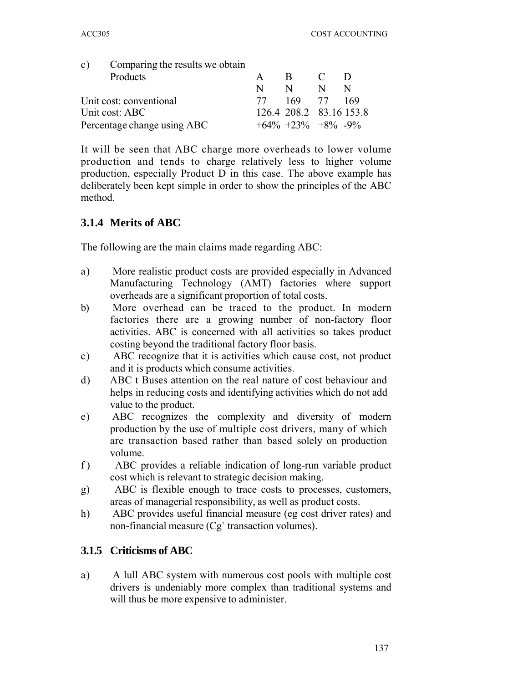| $\mathcal{C}$ )         | Comparing the results we obtain |              |                         |              |   |
|-------------------------|---------------------------------|--------------|-------------------------|--------------|---|
|                         | Products                        | $\mathbf{A}$ | R.                      |              |   |
|                         |                                 | N            | N                       | $\mathbf{N}$ | N |
| Unit cost: conventional |                                 | 77           | 169 77 169              |              |   |
| Unit cost: ABC          |                                 |              | 126.4 208.2 83.16 153.8 |              |   |
|                         | Percentage change using ABC     |              | $+64\% +23\% +8\% -9\%$ |              |   |

It will be seen that ABC charge more overheads to lower volume production and tends to charge relatively less to higher volume production, especially Product D in this case. The above example has deliberately been kept simple in order to show the principles of the ABC method.

# **3.1.4 Merits of ABC**

The following are the main claims made regarding ABC:

- a) More realistic product costs are provided especially in Advanced Manufacturing Technology (AMT) factories where support overheads are a significant proportion of total costs.
- b) More overhead can be traced to the product. In modern factories there are a growing number of non-factory floor activities. ABC is concerned with all activities so takes product costing beyond the traditional factory floor basis.
- c) ABC recognize that it is activities which cause cost, not product and it is products which consume activities.
- d) ABC t Buses attention on the real nature of cost behaviour and helps in reducing costs and identifying activities which do not add value to the product.
- e) ABC recognizes the complexity and diversity of modern production by the use of multiple cost drivers, many of which are transaction based rather than based solely on production volume.
- f ) ABC provides a reliable indication of long-run variable product cost which is relevant to strategic decision making.
- g) ABC is flexible enough to trace costs to processes, customers, areas of managerial responsibility, as well as product costs.
- h) ABC provides useful financial measure (eg cost driver rates) and non-financial measure (Cg` transaction volumes).

## **3.1.5 Criticisms of ABC**

a) A lull ABC system with numerous cost pools with multiple cost drivers is undeniably more complex than traditional systems and will thus be more expensive to administer.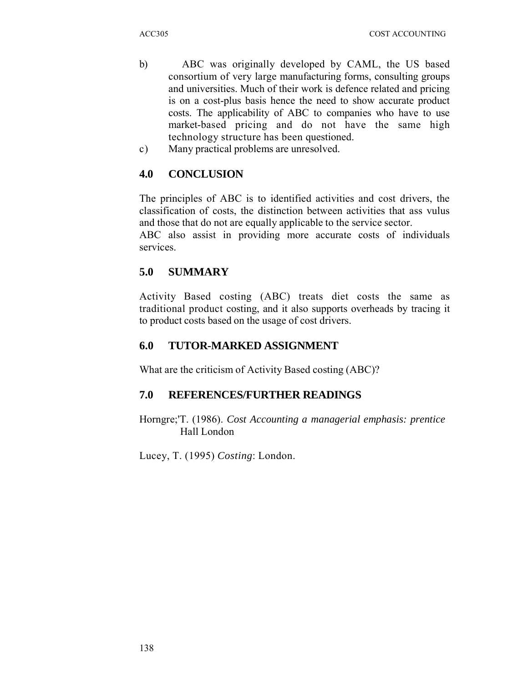- b) ABC was originally developed by CAML, the US based consortium of very large manufacturing forms, consulting groups and universities. Much of their work is defence related and pricing is on a cost-plus basis hence the need to show accurate product costs. The applicability of ABC to companies who have to use market-based pricing and do not have the same high technology structure has been questioned.
- c) Many practical problems are unresolved.

## **4.0 CONCLUSION**

The principles of ABC is to identified activities and cost drivers, the classification of costs, the distinction between activities that ass vulus and those that do not are equally applicable to the service sector.

ABC also assist in providing more accurate costs of individuals services.

## **5.0 SUMMARY**

Activity Based costing (ABC) treats diet costs the same as traditional product costing, and it also supports overheads by tracing it to product costs based on the usage of cost drivers.

## **6.0 TUTOR-MARKED ASSIGNMENT**

What are the criticism of Activity Based costing (ABC)?

## **7.0 REFERENCES/FURTHER READINGS**

Horngre;'T. (1986). *Cost Accounting a managerial emphasis: prentice* Hall London

Lucey, T. (1995) *Costing*: London.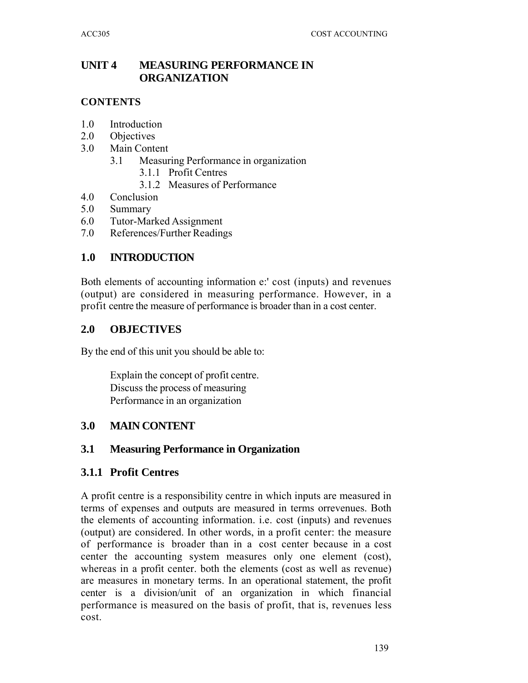# **UNIT 4 MEASURING PERFORMANCE IN ORGANIZATION**

### **CONTENTS**

- 1.0 Introduction
- 2.0 Objectives
- 3.0 Main Content
	- 3.1 Measuring Performance in organization
		- 3.1.1 Profit Centres
		- 3.1.2 Measures of Performance
- 4.0 Conclusion
- 5.0 Summary
- 6.0 Tutor-Marked Assignment
- 7.0 References/Further Readings

## **1.0 INTRODUCTION**

Both elements of accounting information e:' cost (inputs) and revenues (output) are considered in measuring performance. However, in a profit centre the measure of performance is broader than in a cost center.

## **2.0 OBJECTIVES**

By the end of this unit you should be able to:

Explain the concept of profit centre. Discuss the process of measuring Performance in an organization

## **3.0 MAIN CONTENT**

## **3.1 Measuring Performance in Organization**

## **3.1.1 Profit Centres**

A profit centre is a responsibility centre in which inputs are measured in terms of expenses and outputs are measured in terms orrevenues. Both the elements of accounting information. i.e. cost (inputs) and revenues (output) are considered. In other words, in a profit center: the measure of performance is broader than in a cost center because in a cost center the accounting system measures only one element (cost), whereas in a profit center. both the elements (cost as well as revenue) are measures in monetary terms. In an operational statement, the profit center is a division/unit of an organization in which financial performance is measured on the basis of profit, that is, revenues less cost.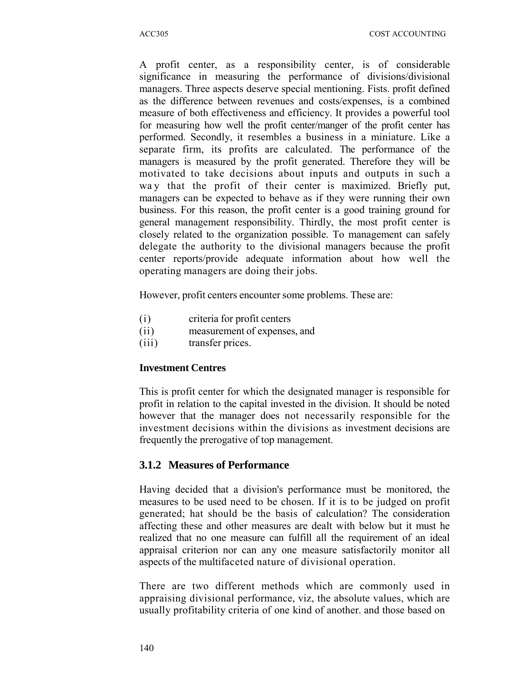A profit center, as a responsibility center, is of considerable significance in measuring the performance of divisions/divisional managers. Three aspects deserve special mentioning. Fists. profit defined as the difference between revenues and costs/expenses, is a combined measure of both effectiveness and efficiency. It provides a powerful tool for measuring how well the profit center/manger of the profit center has performed. Secondly, it resembles a business in a miniature. Like a separate firm, its profits are calculated. The performance of the managers is measured by the profit generated. Therefore they will be motivated to take decisions about inputs and outputs in such a wa y that the profit of their center is maximized. Briefly put, managers can be expected to behave as if they were running their own business. For this reason, the profit center is a good training ground for general management responsibility. Thirdly, the most profit center is closely related to the organization possible. To management can safely delegate the authority to the divisional managers because the profit center reports/provide adequate information about how well the operating managers are doing their jobs.

However, profit centers encounter some problems. These are:

- (i) criteria for profit centers
- (ii) measurement of expenses, and
- (iii) transfer prices.

#### **Investment Centres**

This is profit center for which the designated manager is responsible for profit in relation to the capital invested in the division. It should be noted however that the manager does not necessarily responsible for the investment decisions within the divisions as investment decisions are frequently the prerogative of top management.

## **3.1.2 Measures of Performance**

Having decided that a division's performance must be monitored, the measures to be used need to be chosen. If it is to be judged on profit generated; hat should be the basis of calculation? The consideration affecting these and other measures are dealt with below but it must he realized that no one measure can fulfill all the requirement of an ideal appraisal criterion nor can any one measure satisfactorily monitor all aspects of the multifaceted nature of divisional operation.

There are two different methods which are commonly used in appraising divisional performance, viz, the absolute values, which are usually profitability criteria of one kind of another. and those based on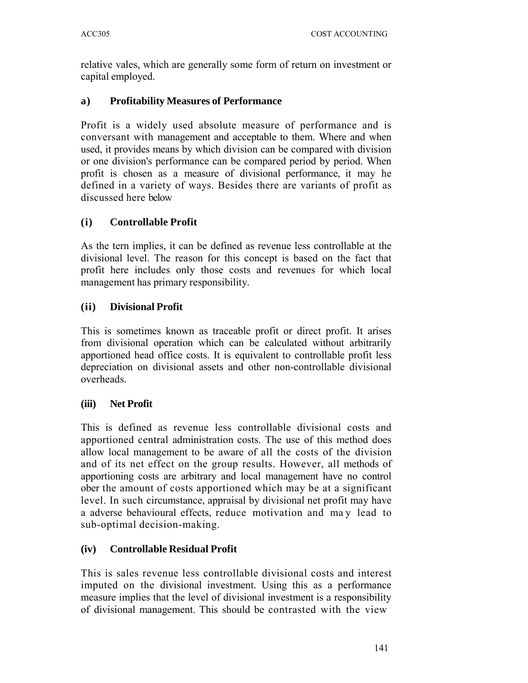relative vales, which are generally some form of return on investment or capital employed.

## **a ) Profitability Measures of Performance**

Profit is a widely used absolute measure of performance and is conversant with management and acceptable to them. Where and when used, it provides means by which division can be compared with division or one division's performance can be compared period by period. When profit is chosen as a measure of divisional performance, it may he defined in a variety of ways. Besides there are variants of profit as discussed here below

# **(i ) Controllable Profit**

As the tern implies, it can be defined as revenue less controllable at the divisional level. The reason for this concept is based on the fact that profit here includes only those costs and revenues for which local management has primary responsibility.

# **(ii ) Divisional Profit**

This is sometimes known as traceable profit or direct profit. It arises from divisional operation which can be calculated without arbitrarily apportioned head office costs. It is equivalent to controllable profit less depreciation on divisional assets and other non-controllable divisional overheads.

## **(iii) Net Profit**

This is defined as revenue less controllable divisional costs and apportioned central administration costs. The use of this method does allow local management to be aware of all the costs of the division and of its net effect on the group results. However, all methods of apportioning costs are arbitrary and local management have no control ober the amount of costs apportioned which may be at a significant level. In such circumstance, appraisal by divisional net profit may have a adverse behavioural effects, reduce motivation and ma y lead to sub-optimal decision-making.

## **(iv) Controllable Residual Profit**

This is sales revenue less controllable divisional costs and interest imputed on the divisional investment. Using this as a performance measure implies that the level of divisional investment is a responsibility of divisional management. This should be contrasted with the view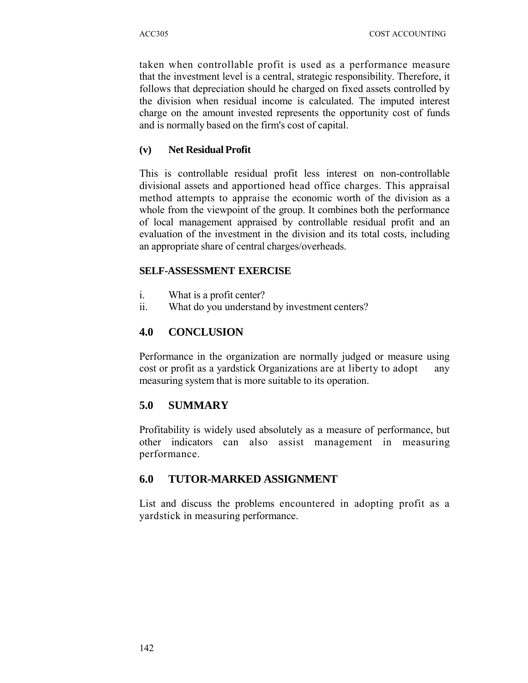taken when controllable profit is used as a performance measure that the investment level is a central, strategic responsibility. Therefore, it follows that depreciation should he charged on fixed assets controlled by the division when residual income is calculated. The imputed interest charge on the amount invested represents the opportunity cost of funds and is normally based on the firm's cost of capital.

#### **(v) Net Residual Profit**

This is controllable residual profit less interest on non-controllable divisional assets and apportioned head office charges. This appraisal method attempts to appraise the economic worth of the division as a whole from the viewpoint of the group. It combines both the performance of local management appraised by controllable residual profit and an evaluation of the investment in the division and its total costs, including an appropriate share of central charges/overheads.

#### **SELF-ASSESSMENT EXERCISE**

- i. What is a profit center?
- ii. What do you understand by investment centers?

## **4.0 CONCLUSION**

Performance in the organization are normally judged or measure using cost or profit as a yardstick Organizations are at liberty to adopt any measuring system that is more suitable to its operation.

# **5.0 SUMMARY**

Profitability is widely used absolutely as a measure of performance, but other indicators can also assist management in measuring performance.

## **6.0 TUTOR-MARKED ASSIGNMENT**

List and discuss the problems encountered in adopting profit as a yardstick in measuring performance.